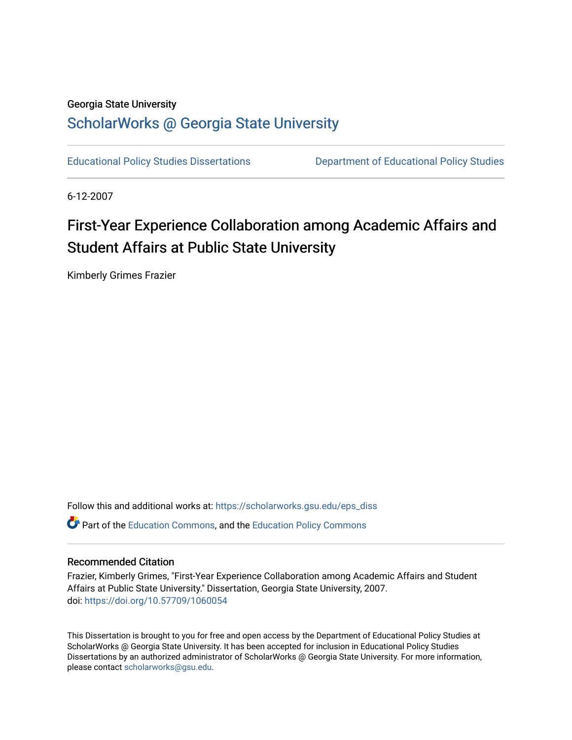# Georgia State University

# [ScholarWorks @ Georgia State University](https://scholarworks.gsu.edu/)

[Educational Policy Studies Dissertations](https://scholarworks.gsu.edu/eps_diss) [Department of Educational Policy Studies](https://scholarworks.gsu.edu/eps) 

6-12-2007

# First-Year Experience Collaboration among Academic Affairs and Student Affairs at Public State University

Kimberly Grimes Frazier

Follow this and additional works at: [https://scholarworks.gsu.edu/eps\\_diss](https://scholarworks.gsu.edu/eps_diss?utm_source=scholarworks.gsu.edu%2Feps_diss%2F11&utm_medium=PDF&utm_campaign=PDFCoverPages)  Part of the [Education Commons](http://network.bepress.com/hgg/discipline/784?utm_source=scholarworks.gsu.edu%2Feps_diss%2F11&utm_medium=PDF&utm_campaign=PDFCoverPages), and the [Education Policy Commons](http://network.bepress.com/hgg/discipline/1026?utm_source=scholarworks.gsu.edu%2Feps_diss%2F11&utm_medium=PDF&utm_campaign=PDFCoverPages)

### Recommended Citation

Frazier, Kimberly Grimes, "First-Year Experience Collaboration among Academic Affairs and Student Affairs at Public State University." Dissertation, Georgia State University, 2007. doi: <https://doi.org/10.57709/1060054>

This Dissertation is brought to you for free and open access by the Department of Educational Policy Studies at ScholarWorks @ Georgia State University. It has been accepted for inclusion in Educational Policy Studies Dissertations by an authorized administrator of ScholarWorks @ Georgia State University. For more information, please contact [scholarworks@gsu.edu.](mailto:scholarworks@gsu.edu)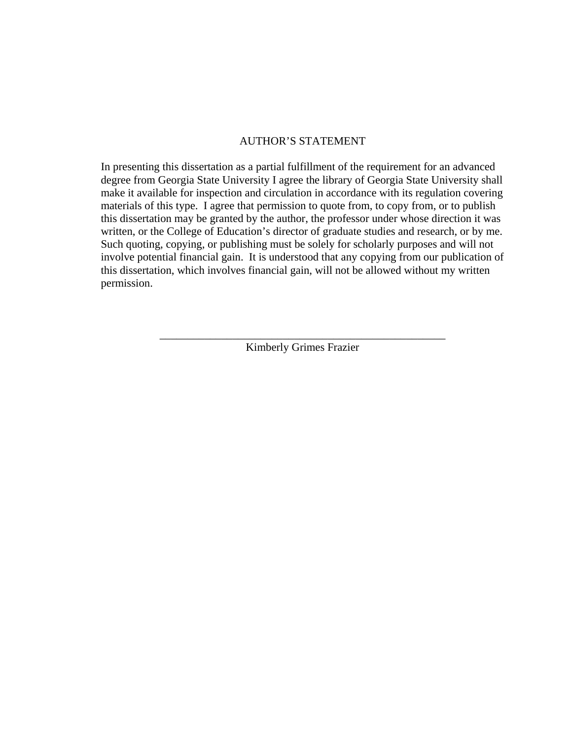# AUTHOR'S STATEMENT

In presenting this dissertation as a partial fulfillment of the requirement for an advanced degree from Georgia State University I agree the library of Georgia State University shall make it available for inspection and circulation in accordance with its regulation covering materials of this type. I agree that permission to quote from, to copy from, or to publish this dissertation may be granted by the author, the professor under whose direction it was written, or the College of Education's director of graduate studies and research, or by me. Such quoting, copying, or publishing must be solely for scholarly purposes and will not involve potential financial gain. It is understood that any copying from our publication of this dissertation, which involves financial gain, will not be allowed without my written permission.

> \_\_\_\_\_\_\_\_\_\_\_\_\_\_\_\_\_\_\_\_\_\_\_\_\_\_\_\_\_\_\_\_\_\_\_\_\_\_\_\_\_\_\_\_\_\_\_\_\_\_\_ Kimberly Grimes Frazier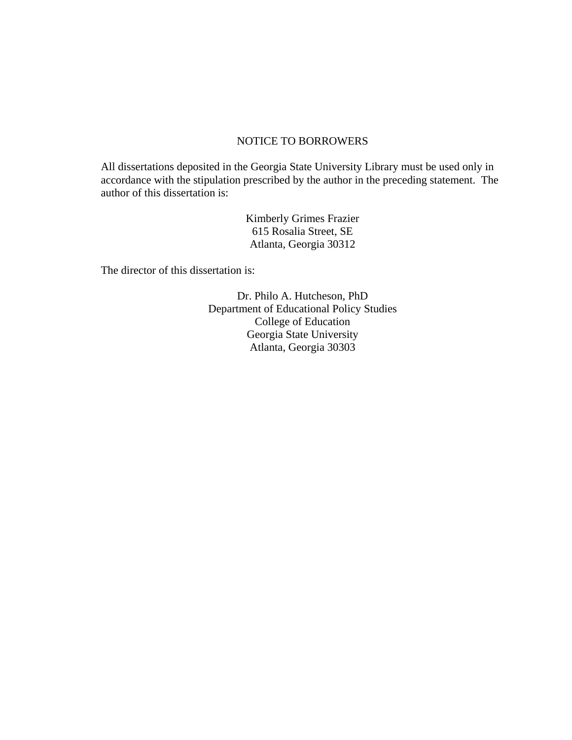# NOTICE TO BORROWERS

All dissertations deposited in the Georgia State University Library must be used only in accordance with the stipulation prescribed by the author in the preceding statement. The author of this dissertation is:

> Kimberly Grimes Frazier 615 Rosalia Street, SE Atlanta, Georgia 30312

The director of this dissertation is:

Dr. Philo A. Hutcheson, PhD Department of Educational Policy Studies College of Education Georgia State University Atlanta, Georgia 30303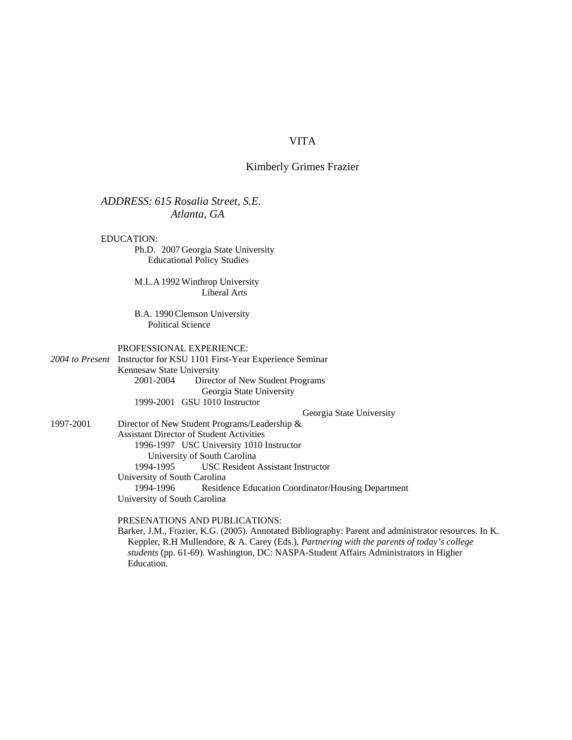# VITA

#### Kimberly Grimes Frazier

#### *ADDRESS: 615 Rosalia Street, S.E. Atlanta, GA*

#### EDUCATION:

Ph.D. 2007 Georgia State University Educational Policy Studies

M.L.A 1992 Winthrop University Liberal Arts

B.A. 1990 Clemson University Political Science

#### PROFESSIONAL EXPERIENCE:

*2004 to Present* Instructor for KSU 1101 First-Year Experience Seminar Kennesaw State University 2001-2004 Director of New Student Programs Georgia State University 1999-2001 GSU 1010 Instructor

Georgia State University

1997-2001 Director of New Student Programs/Leadership & Assistant Director of Student Activities 1996-1997 USC University 1010 Instructor University of South Carolina 1994-1995 USC Resident Assistant Instructor University of South Carolina 1994-1996 Residence Education Coordinator/Housing Department University of South Carolina

#### PRESENATIONS AND PUBLICATIONS:

Barker, J.M., Frazier, K.G. (2005). Annotated Bibliography: Parent and administrator resources. In K. Keppler, R.H Mullendore, & A. Carey (Eds.), *Partnering with the parents of today's college students* (pp. 61-69). Washington, DC: NASPA-Student Affairs Administrators in Higher Education.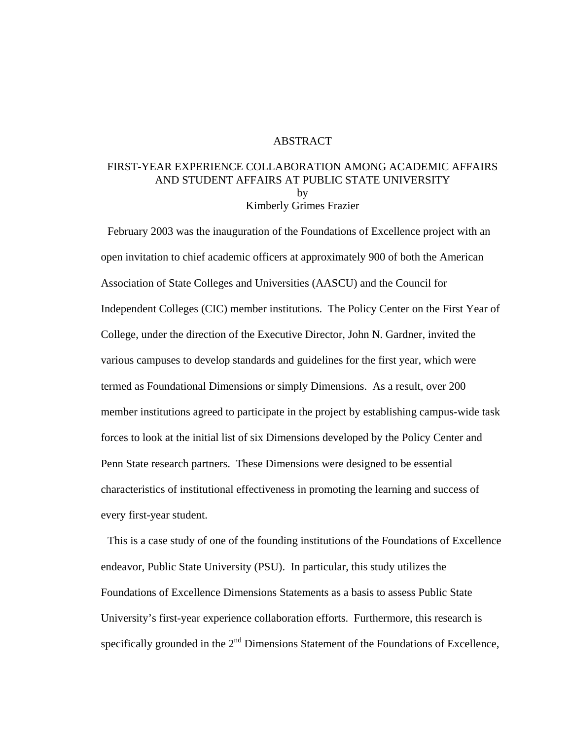#### ABSTRACT

# FIRST-YEAR EXPERIENCE COLLABORATION AMONG ACADEMIC AFFAIRS AND STUDENT AFFAIRS AT PUBLIC STATE UNIVERSITY by Kimberly Grimes Frazier

 February 2003 was the inauguration of the Foundations of Excellence project with an open invitation to chief academic officers at approximately 900 of both the American Association of State Colleges and Universities (AASCU) and the Council for Independent Colleges (CIC) member institutions. The Policy Center on the First Year of College, under the direction of the Executive Director, John N. Gardner, invited the various campuses to develop standards and guidelines for the first year, which were termed as Foundational Dimensions or simply Dimensions. As a result, over 200 member institutions agreed to participate in the project by establishing campus-wide task forces to look at the initial list of six Dimensions developed by the Policy Center and Penn State research partners. These Dimensions were designed to be essential characteristics of institutional effectiveness in promoting the learning and success of every first-year student.

 This is a case study of one of the founding institutions of the Foundations of Excellence endeavor, Public State University (PSU). In particular, this study utilizes the Foundations of Excellence Dimensions Statements as a basis to assess Public State University's first-year experience collaboration efforts. Furthermore, this research is specifically grounded in the  $2<sup>nd</sup>$  Dimensions Statement of the Foundations of Excellence,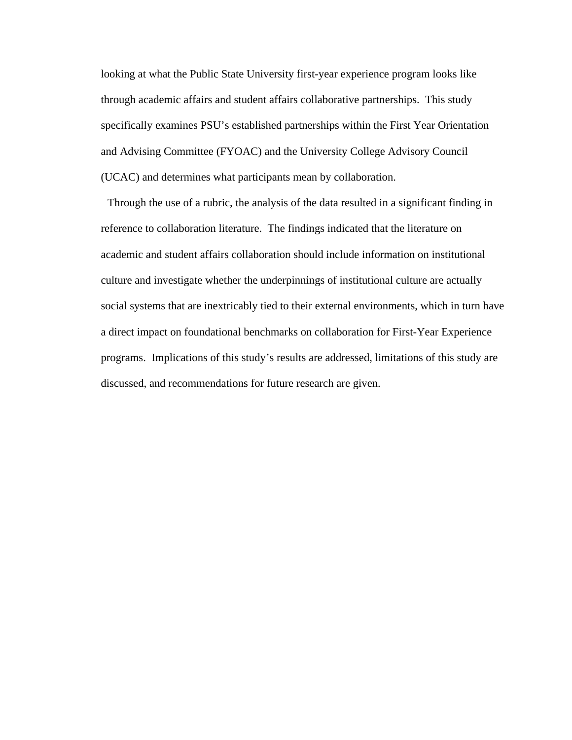looking at what the Public State University first-year experience program looks like through academic affairs and student affairs collaborative partnerships. This study specifically examines PSU's established partnerships within the First Year Orientation and Advising Committee (FYOAC) and the University College Advisory Council (UCAC) and determines what participants mean by collaboration.

 Through the use of a rubric, the analysis of the data resulted in a significant finding in reference to collaboration literature. The findings indicated that the literature on academic and student affairs collaboration should include information on institutional culture and investigate whether the underpinnings of institutional culture are actually social systems that are inextricably tied to their external environments, which in turn have a direct impact on foundational benchmarks on collaboration for First-Year Experience programs. Implications of this study's results are addressed, limitations of this study are discussed, and recommendations for future research are given.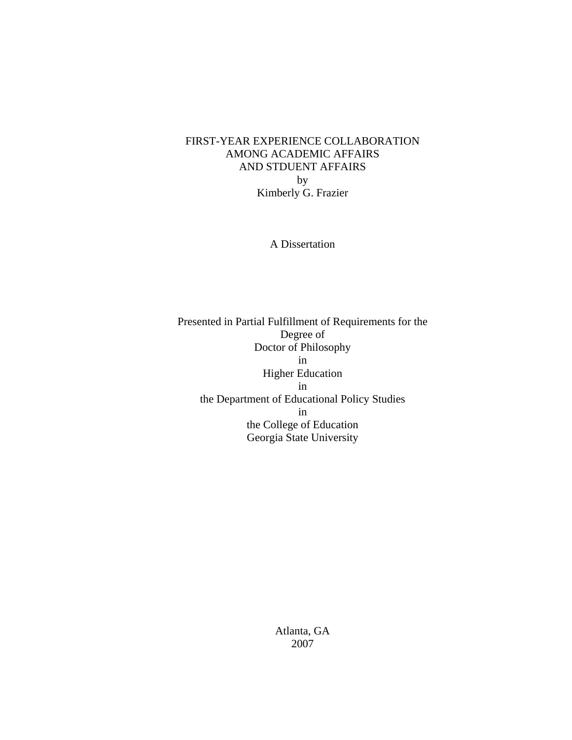# FIRST-YEAR EXPERIENCE COLLABORATION AMONG ACADEMIC AFFAIRS AND STDUENT AFFAIRS by Kimberly G. Frazier

A Dissertation

Presented in Partial Fulfillment of Requirements for the Degree of Doctor of Philosophy in Higher Education in the Department of Educational Policy Studies in the College of Education Georgia State University

> Atlanta, GA 2007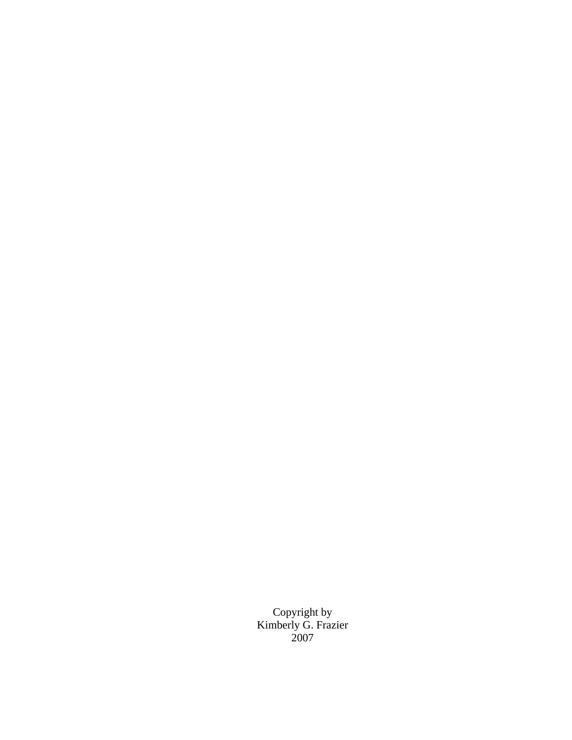Copyright by Kimberly G. Frazier 2007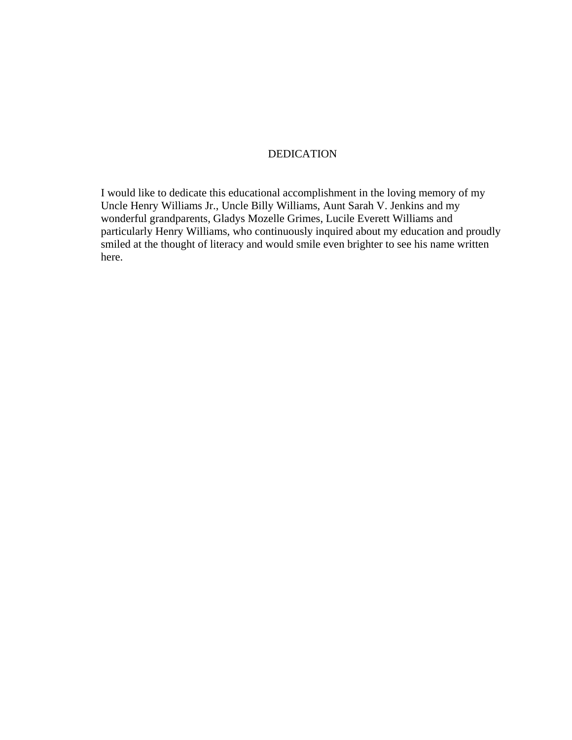# DEDICATION

I would like to dedicate this educational accomplishment in the loving memory of my Uncle Henry Williams Jr., Uncle Billy Williams, Aunt Sarah V. Jenkins and my wonderful grandparents, Gladys Mozelle Grimes, Lucile Everett Williams and particularly Henry Williams, who continuously inquired about my education and proudly smiled at the thought of literacy and would smile even brighter to see his name written here.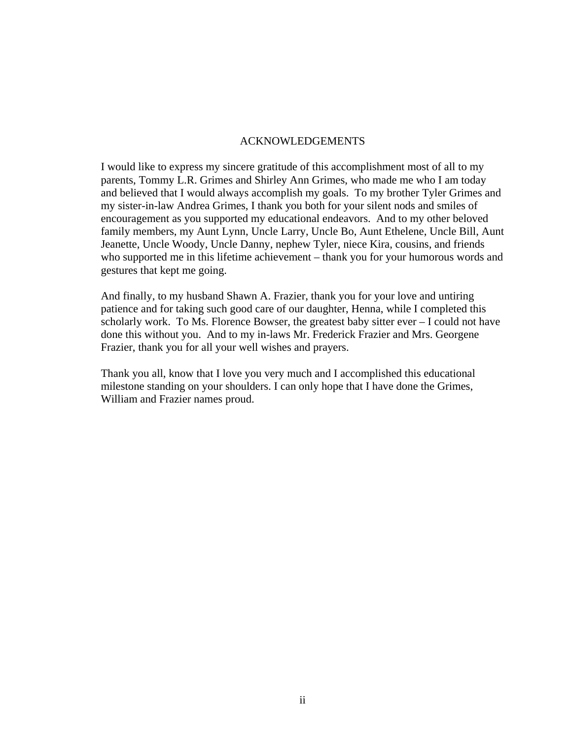# ACKNOWLEDGEMENTS

I would like to express my sincere gratitude of this accomplishment most of all to my parents, Tommy L.R. Grimes and Shirley Ann Grimes, who made me who I am today and believed that I would always accomplish my goals. To my brother Tyler Grimes and my sister-in-law Andrea Grimes, I thank you both for your silent nods and smiles of encouragement as you supported my educational endeavors. And to my other beloved family members, my Aunt Lynn, Uncle Larry, Uncle Bo, Aunt Ethelene, Uncle Bill, Aunt Jeanette, Uncle Woody, Uncle Danny, nephew Tyler, niece Kira, cousins, and friends who supported me in this lifetime achievement – thank you for your humorous words and gestures that kept me going.

And finally, to my husband Shawn A. Frazier, thank you for your love and untiring patience and for taking such good care of our daughter, Henna, while I completed this scholarly work. To Ms. Florence Bowser, the greatest baby sitter ever – I could not have done this without you. And to my in-laws Mr. Frederick Frazier and Mrs. Georgene Frazier, thank you for all your well wishes and prayers.

Thank you all, know that I love you very much and I accomplished this educational milestone standing on your shoulders. I can only hope that I have done the Grimes, William and Frazier names proud.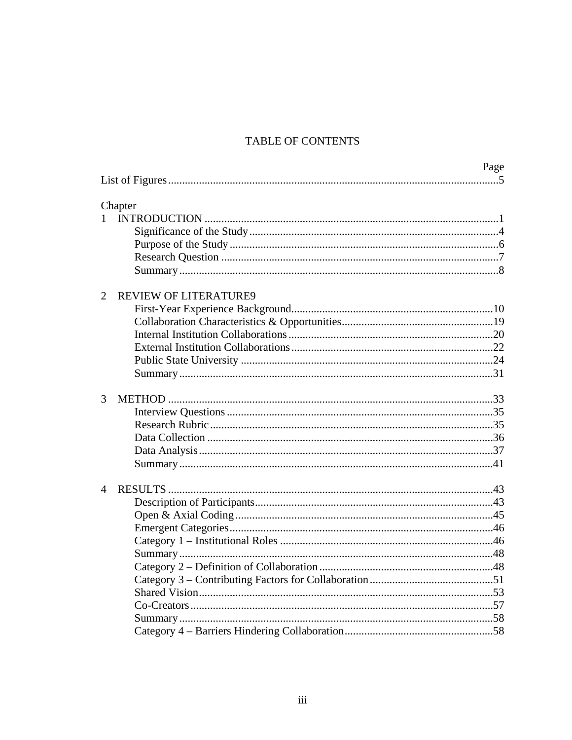# TABLE OF CONTENTS

|                                                | Page |
|------------------------------------------------|------|
|                                                |      |
| Chapter                                        |      |
| $\mathbf{1}$                                   |      |
|                                                |      |
|                                                |      |
|                                                |      |
|                                                |      |
| $\overline{2}$<br><b>REVIEW OF LITERATURE9</b> |      |
|                                                |      |
|                                                |      |
|                                                |      |
|                                                |      |
|                                                |      |
|                                                |      |
| 3                                              |      |
|                                                |      |
|                                                |      |
|                                                |      |
|                                                |      |
|                                                |      |
| $\overline{4}$                                 |      |
|                                                |      |
|                                                |      |
|                                                |      |
|                                                |      |
|                                                |      |
|                                                |      |
|                                                |      |
|                                                |      |
|                                                |      |
|                                                |      |
|                                                |      |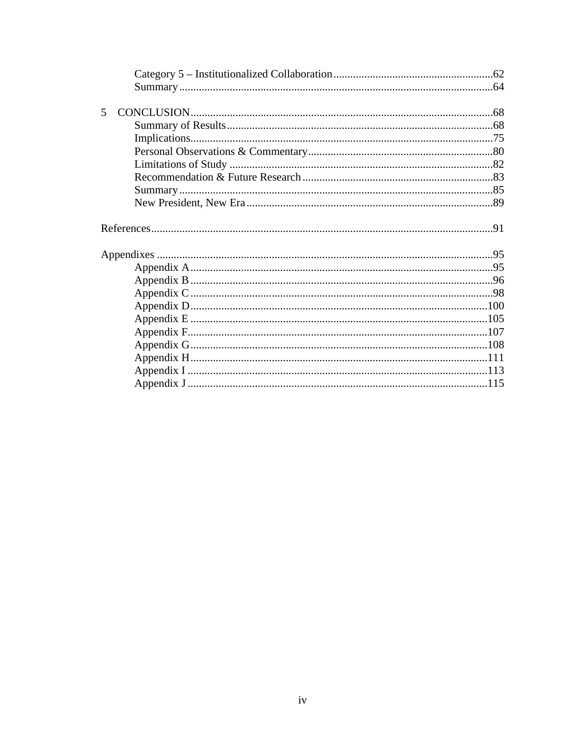| 5 |  |
|---|--|
|   |  |
|   |  |
|   |  |
|   |  |
|   |  |
|   |  |
|   |  |
|   |  |
|   |  |
|   |  |
|   |  |
|   |  |
|   |  |
|   |  |
|   |  |
|   |  |
|   |  |
|   |  |
|   |  |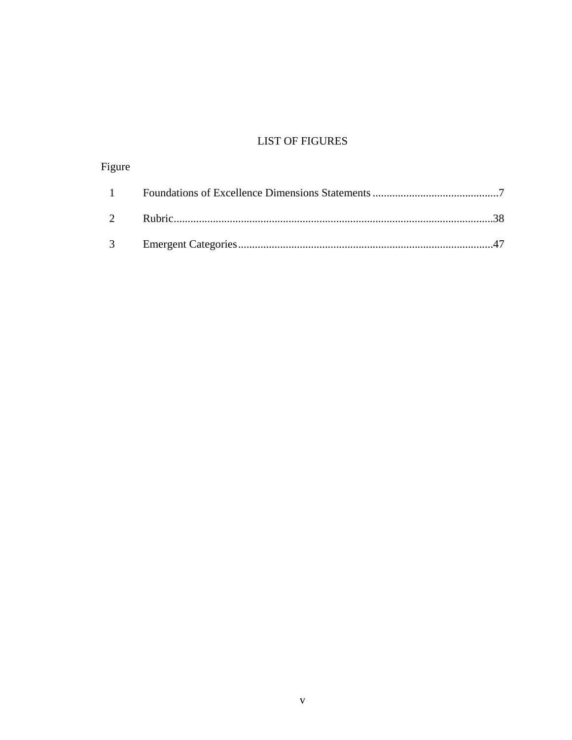# **LIST OF FIGURES**

| Figure |  |
|--------|--|
|        |  |
|        |  |
|        |  |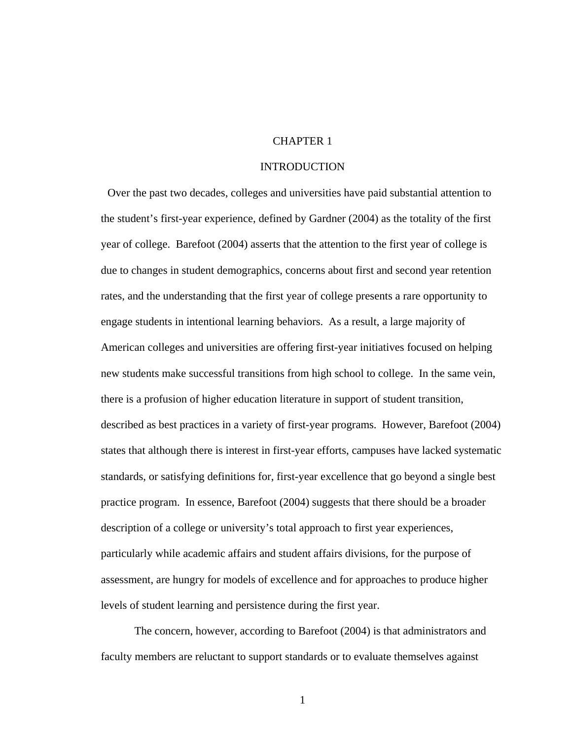### CHAPTER 1

#### INTRODUCTION

 Over the past two decades, colleges and universities have paid substantial attention to the student's first-year experience, defined by Gardner (2004) as the totality of the first year of college. Barefoot (2004) asserts that the attention to the first year of college is due to changes in student demographics, concerns about first and second year retention rates, and the understanding that the first year of college presents a rare opportunity to engage students in intentional learning behaviors. As a result, a large majority of American colleges and universities are offering first-year initiatives focused on helping new students make successful transitions from high school to college. In the same vein, there is a profusion of higher education literature in support of student transition, described as best practices in a variety of first-year programs. However, Barefoot (2004) states that although there is interest in first-year efforts, campuses have lacked systematic standards, or satisfying definitions for, first-year excellence that go beyond a single best practice program. In essence, Barefoot (2004) suggests that there should be a broader description of a college or university's total approach to first year experiences, particularly while academic affairs and student affairs divisions, for the purpose of assessment, are hungry for models of excellence and for approaches to produce higher levels of student learning and persistence during the first year.

The concern, however, according to Barefoot (2004) is that administrators and faculty members are reluctant to support standards or to evaluate themselves against

1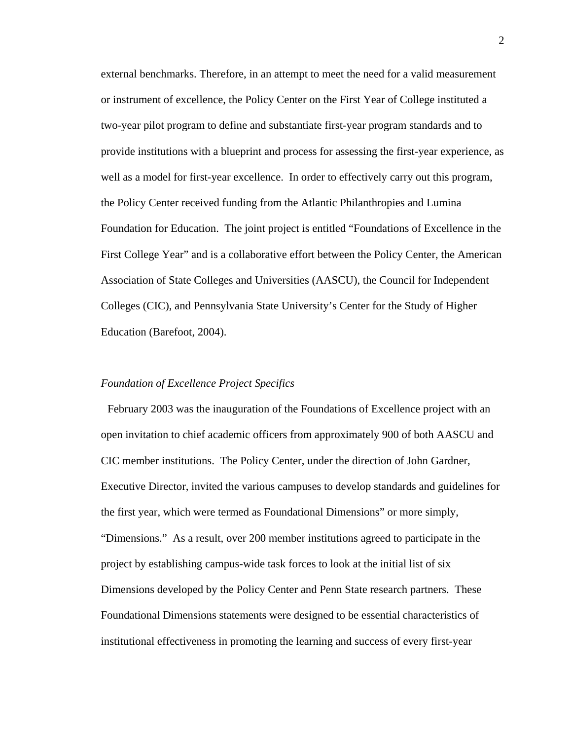external benchmarks. Therefore, in an attempt to meet the need for a valid measurement or instrument of excellence, the Policy Center on the First Year of College instituted a two-year pilot program to define and substantiate first-year program standards and to provide institutions with a blueprint and process for assessing the first-year experience, as well as a model for first-year excellence. In order to effectively carry out this program, the Policy Center received funding from the Atlantic Philanthropies and Lumina Foundation for Education. The joint project is entitled "Foundations of Excellence in the First College Year" and is a collaborative effort between the Policy Center, the American Association of State Colleges and Universities (AASCU), the Council for Independent Colleges (CIC), and Pennsylvania State University's Center for the Study of Higher Education (Barefoot, 2004).

#### *Foundation of Excellence Project Specifics*

 February 2003 was the inauguration of the Foundations of Excellence project with an open invitation to chief academic officers from approximately 900 of both AASCU and CIC member institutions. The Policy Center, under the direction of John Gardner, Executive Director, invited the various campuses to develop standards and guidelines for the first year, which were termed as Foundational Dimensions" or more simply, "Dimensions." As a result, over 200 member institutions agreed to participate in the project by establishing campus-wide task forces to look at the initial list of six Dimensions developed by the Policy Center and Penn State research partners. These Foundational Dimensions statements were designed to be essential characteristics of institutional effectiveness in promoting the learning and success of every first-year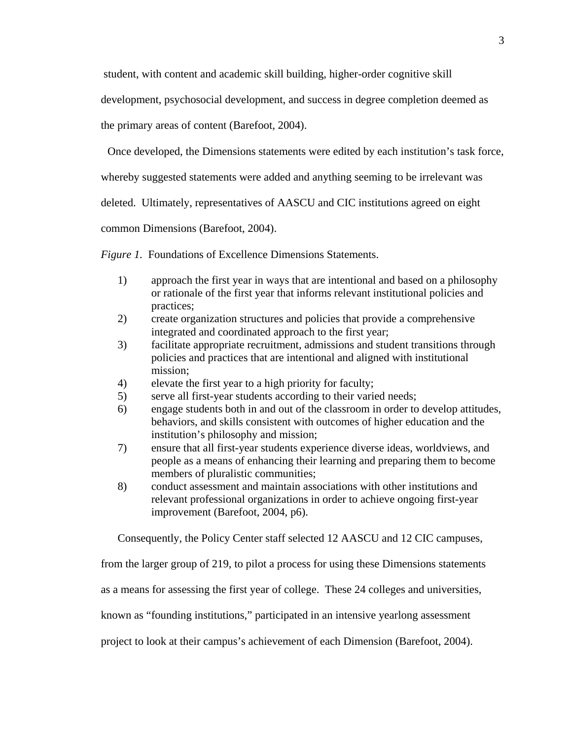student, with content and academic skill building, higher-order cognitive skill

development, psychosocial development, and success in degree completion deemed as

the primary areas of content (Barefoot, 2004).

Once developed, the Dimensions statements were edited by each institution's task force,

whereby suggested statements were added and anything seeming to be irrelevant was

deleted. Ultimately, representatives of AASCU and CIC institutions agreed on eight

common Dimensions (Barefoot, 2004).

*Figure 1.* Foundations of Excellence Dimensions Statements.

- 1) approach the first year in ways that are intentional and based on a philosophy or rationale of the first year that informs relevant institutional policies and practices;
- 2) create organization structures and policies that provide a comprehensive integrated and coordinated approach to the first year;
- 3) facilitate appropriate recruitment, admissions and student transitions through policies and practices that are intentional and aligned with institutional mission;
- 4) elevate the first year to a high priority for faculty;
- 5) serve all first-year students according to their varied needs;
- 6) engage students both in and out of the classroom in order to develop attitudes, behaviors, and skills consistent with outcomes of higher education and the institution's philosophy and mission;
- 7) ensure that all first-year students experience diverse ideas, worldviews, and people as a means of enhancing their learning and preparing them to become members of pluralistic communities;
- 8) conduct assessment and maintain associations with other institutions and relevant professional organizations in order to achieve ongoing first-year improvement (Barefoot, 2004, p6).

Consequently, the Policy Center staff selected 12 AASCU and 12 CIC campuses,

from the larger group of 219, to pilot a process for using these Dimensions statements

as a means for assessing the first year of college. These 24 colleges and universities,

known as "founding institutions," participated in an intensive yearlong assessment

project to look at their campus's achievement of each Dimension (Barefoot, 2004).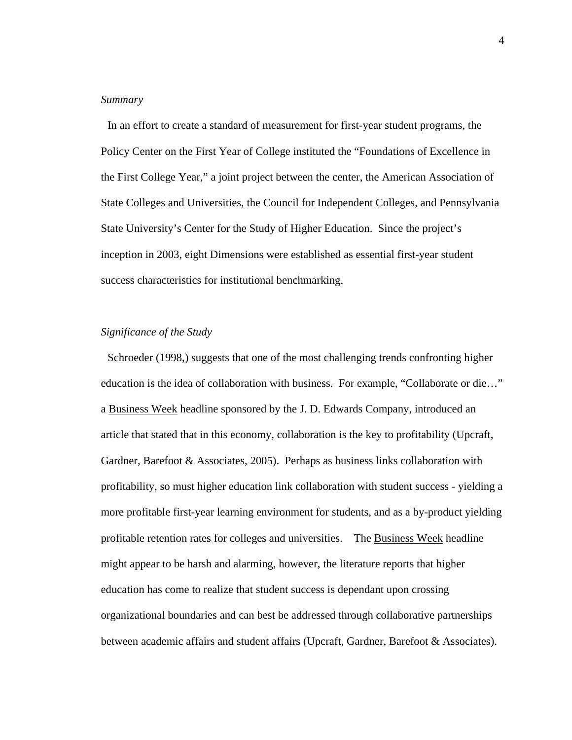#### *Summary*

 In an effort to create a standard of measurement for first-year student programs, the Policy Center on the First Year of College instituted the "Foundations of Excellence in the First College Year," a joint project between the center, the American Association of State Colleges and Universities, the Council for Independent Colleges, and Pennsylvania State University's Center for the Study of Higher Education. Since the project's inception in 2003, eight Dimensions were established as essential first-year student success characteristics for institutional benchmarking.

#### *Significance of the Study*

 Schroeder (1998,) suggests that one of the most challenging trends confronting higher education is the idea of collaboration with business. For example, "Collaborate or die…" a Business Week headline sponsored by the J. D. Edwards Company, introduced an article that stated that in this economy, collaboration is the key to profitability (Upcraft, Gardner, Barefoot & Associates, 2005). Perhaps as business links collaboration with profitability, so must higher education link collaboration with student success - yielding a more profitable first-year learning environment for students, and as a by-product yielding profitable retention rates for colleges and universities. The Business Week headline might appear to be harsh and alarming, however, the literature reports that higher education has come to realize that student success is dependant upon crossing organizational boundaries and can best be addressed through collaborative partnerships between academic affairs and student affairs (Upcraft, Gardner, Barefoot & Associates).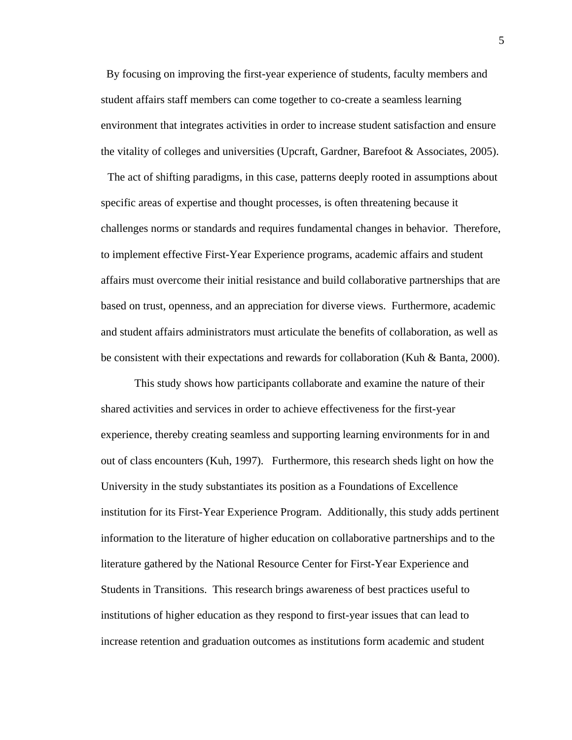By focusing on improving the first-year experience of students, faculty members and student affairs staff members can come together to co-create a seamless learning environment that integrates activities in order to increase student satisfaction and ensure the vitality of colleges and universities (Upcraft, Gardner, Barefoot & Associates, 2005).

 The act of shifting paradigms, in this case, patterns deeply rooted in assumptions about specific areas of expertise and thought processes, is often threatening because it challenges norms or standards and requires fundamental changes in behavior. Therefore, to implement effective First-Year Experience programs, academic affairs and student affairs must overcome their initial resistance and build collaborative partnerships that are based on trust, openness, and an appreciation for diverse views. Furthermore, academic and student affairs administrators must articulate the benefits of collaboration, as well as be consistent with their expectations and rewards for collaboration (Kuh & Banta, 2000).

This study shows how participants collaborate and examine the nature of their shared activities and services in order to achieve effectiveness for the first-year experience, thereby creating seamless and supporting learning environments for in and out of class encounters (Kuh, 1997). Furthermore, this research sheds light on how the University in the study substantiates its position as a Foundations of Excellence institution for its First-Year Experience Program. Additionally, this study adds pertinent information to the literature of higher education on collaborative partnerships and to the literature gathered by the National Resource Center for First-Year Experience and Students in Transitions. This research brings awareness of best practices useful to institutions of higher education as they respond to first-year issues that can lead to increase retention and graduation outcomes as institutions form academic and student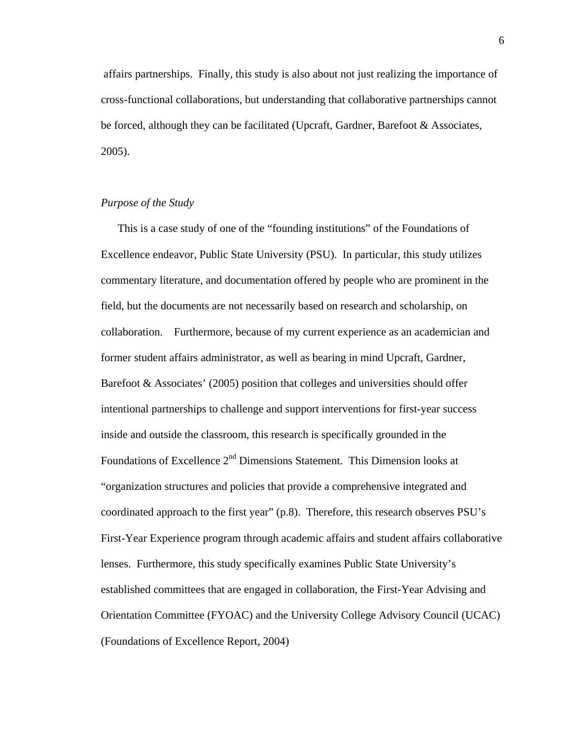affairs partnerships.Finally, this study is also about not just realizing the importance of cross-functional collaborations, but understanding that collaborative partnerships cannot be forced, although they can be facilitated (Upcraft, Gardner, Barefoot & Associates, 2005).

### *Purpose of the Study*

This is a case study of one of the "founding institutions" of the Foundations of Excellence endeavor, Public State University (PSU). In particular, this study utilizes commentary literature, and documentation offered by people who are prominent in the field, but the documents are not necessarily based on research and scholarship, on collaboration.Furthermore, because of my current experience as an academician and former student affairs administrator, as well as bearing in mind Upcraft, Gardner, Barefoot  $\&$  Associates' (2005) position that colleges and universities should offer intentional partnerships to challenge and support interventions for first-year success inside and outside the classroom, this research is specifically grounded in the Foundations of Excellence 2<sup>nd</sup> Dimensions Statement. This Dimension looks at "organization structures and policies that provide a comprehensive integrated and coordinated approach to the first year" (p.8). Therefore, this research observes PSU's First-Year Experience program through academic affairs and student affairs collaborative lenses. Furthermore, this study specifically examines Public State University's established committees that are engaged in collaboration, the First-Year Advising and Orientation Committee (FYOAC) and the University College Advisory Council (UCAC) (Foundations of Excellence Report, 2004)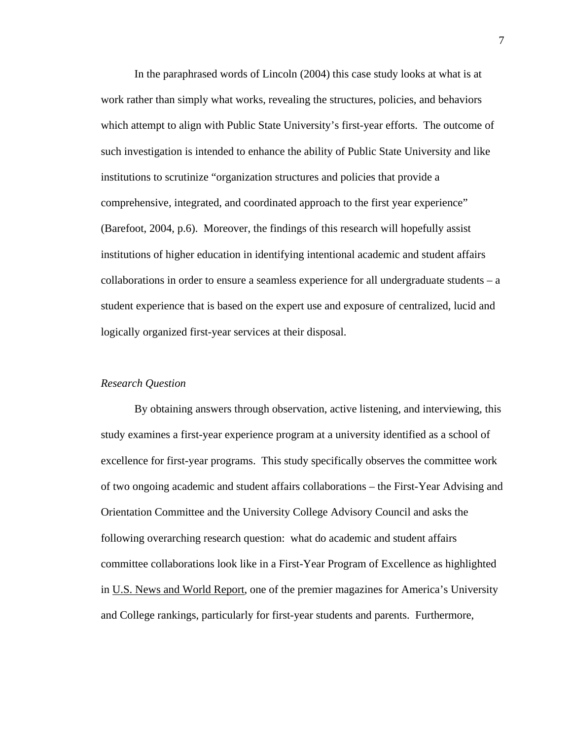In the paraphrased words of Lincoln (2004) this case study looks at what is at work rather than simply what works, revealing the structures, policies, and behaviors which attempt to align with Public State University's first-year efforts. The outcome of such investigation is intended to enhance the ability of Public State University and like institutions to scrutinize "organization structures and policies that provide a comprehensive, integrated, and coordinated approach to the first year experience" (Barefoot, 2004, p.6). Moreover, the findings of this research will hopefully assist institutions of higher education in identifying intentional academic and student affairs collaborations in order to ensure a seamless experience for all undergraduate students – a student experience that is based on the expert use and exposure of centralized, lucid and logically organized first-year services at their disposal.

### *Research Question*

By obtaining answers through observation, active listening, and interviewing, this study examines a first-year experience program at a university identified as a school of excellence for first-year programs. This study specifically observes the committee work of two ongoing academic and student affairs collaborations – the First-Year Advising and Orientation Committee and the University College Advisory Council and asks the following overarching research question: what do academic and student affairs committee collaborations look like in a First-Year Program of Excellence as highlighted in U.S. News and World Report, one of the premier magazines for America's University and College rankings, particularly for first-year students and parents. Furthermore,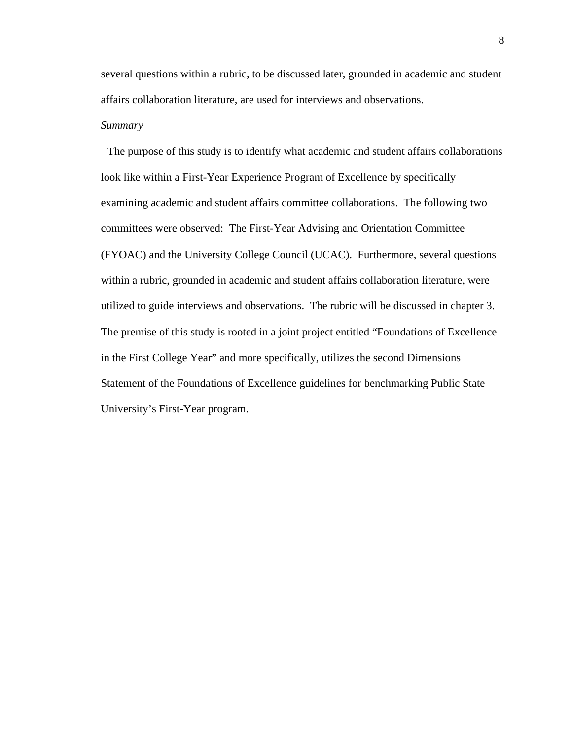several questions within a rubric, to be discussed later, grounded in academic and student affairs collaboration literature, are used for interviews and observations.

# *Summary*

 The purpose of this study is to identify what academic and student affairs collaborations look like within a First-Year Experience Program of Excellence by specifically examining academic and student affairs committee collaborations. The following two committees were observed: The First-Year Advising and Orientation Committee (FYOAC) and the University College Council (UCAC). Furthermore, several questions within a rubric, grounded in academic and student affairs collaboration literature, were utilized to guide interviews and observations. The rubric will be discussed in chapter 3. The premise of this study is rooted in a joint project entitled "Foundations of Excellence in the First College Year" and more specifically, utilizes the second Dimensions Statement of the Foundations of Excellence guidelines for benchmarking Public State University's First-Year program.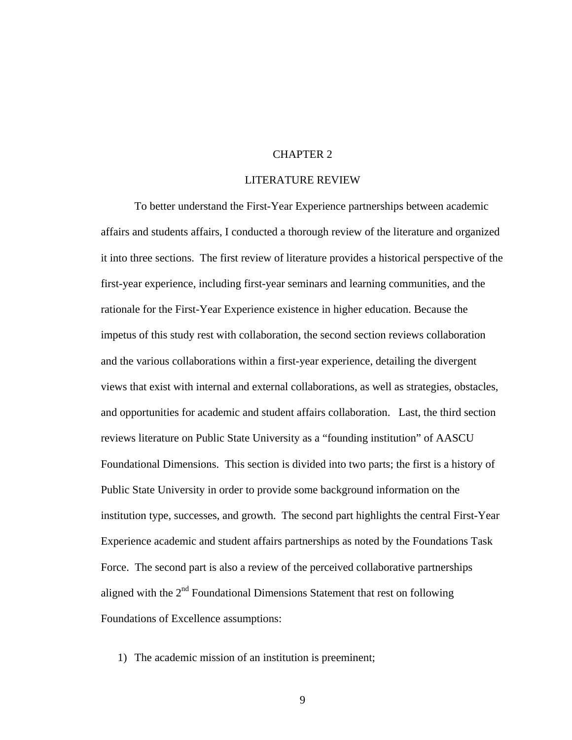# CHAPTER 2

#### LITERATURE REVIEW

To better understand the First-Year Experience partnerships between academic affairs and students affairs, I conducted a thorough review of the literature and organized it into three sections. The first review of literature provides a historical perspective of the first-year experience, including first-year seminars and learning communities, and the rationale for the First-Year Experience existence in higher education. Because the impetus of this study rest with collaboration, the second section reviews collaboration and the various collaborations within a first-year experience, detailing the divergent views that exist with internal and external collaborations, as well as strategies, obstacles, and opportunities for academic and student affairs collaboration. Last, the third section reviews literature on Public State University as a "founding institution" of AASCU Foundational Dimensions. This section is divided into two parts; the first is a history of Public State University in order to provide some background information on the institution type, successes, and growth. The second part highlights the central First-Year Experience academic and student affairs partnerships as noted by the Foundations Task Force. The second part is also a review of the perceived collaborative partnerships aligned with the  $2<sup>nd</sup>$  Foundational Dimensions Statement that rest on following Foundations of Excellence assumptions:

1) The academic mission of an institution is preeminent;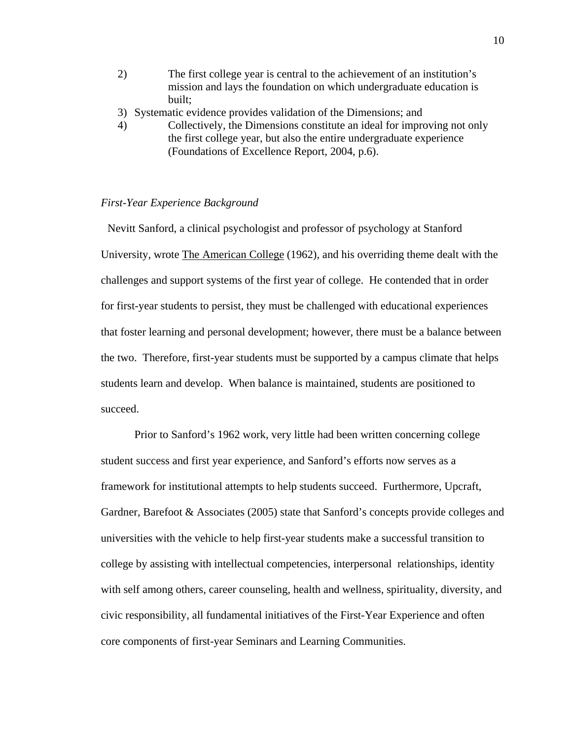- 2) The first college year is central to the achievement of an institution's mission and lays the foundation on which undergraduate education is built;
- 3) Systematic evidence provides validation of the Dimensions; and
- 4) Collectively, the Dimensions constitute an ideal for improving not only the first college year, but also the entire undergraduate experience (Foundations of Excellence Report, 2004, p.6).

### *First-Year Experience Background*

 Nevitt Sanford, a clinical psychologist and professor of psychology at Stanford University, wrote The American College (1962), and his overriding theme dealt with the challenges and support systems of the first year of college. He contended that in order for first-year students to persist, they must be challenged with educational experiences that foster learning and personal development; however, there must be a balance between the two. Therefore, first-year students must be supported by a campus climate that helps students learn and develop. When balance is maintained, students are positioned to succeed.

Prior to Sanford's 1962 work, very little had been written concerning college student success and first year experience, and Sanford's efforts now serves as a framework for institutional attempts to help students succeed. Furthermore, Upcraft, Gardner, Barefoot & Associates (2005) state that Sanford's concepts provide colleges and universities with the vehicle to help first-year students make a successful transition to college by assisting with intellectual competencies, interpersonal relationships, identity with self among others, career counseling, health and wellness, spirituality, diversity, and civic responsibility, all fundamental initiatives of the First-Year Experience and often core components of first-year Seminars and Learning Communities.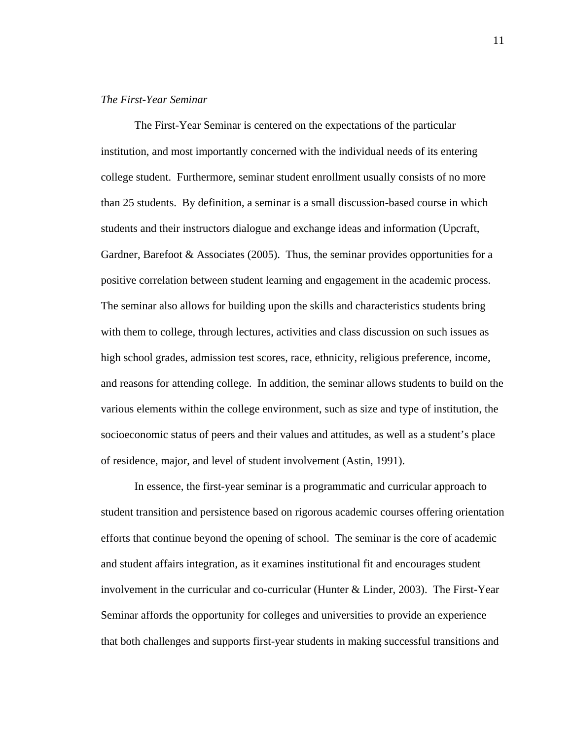#### *The First-Year Seminar*

The First-Year Seminar is centered on the expectations of the particular institution, and most importantly concerned with the individual needs of its entering college student. Furthermore, seminar student enrollment usually consists of no more than 25 students. By definition, a seminar is a small discussion-based course in which students and their instructors dialogue and exchange ideas and information (Upcraft, Gardner, Barefoot & Associates (2005). Thus, the seminar provides opportunities for a positive correlation between student learning and engagement in the academic process. The seminar also allows for building upon the skills and characteristics students bring with them to college, through lectures, activities and class discussion on such issues as high school grades, admission test scores, race, ethnicity, religious preference, income, and reasons for attending college. In addition, the seminar allows students to build on the various elements within the college environment, such as size and type of institution, the socioeconomic status of peers and their values and attitudes, as well as a student's place of residence, major, and level of student involvement (Astin, 1991).

In essence, the first-year seminar is a programmatic and curricular approach to student transition and persistence based on rigorous academic courses offering orientation efforts that continue beyond the opening of school. The seminar is the core of academic and student affairs integration, as it examines institutional fit and encourages student involvement in the curricular and co-curricular (Hunter & Linder, 2003). The First-Year Seminar affords the opportunity for colleges and universities to provide an experience that both challenges and supports first-year students in making successful transitions and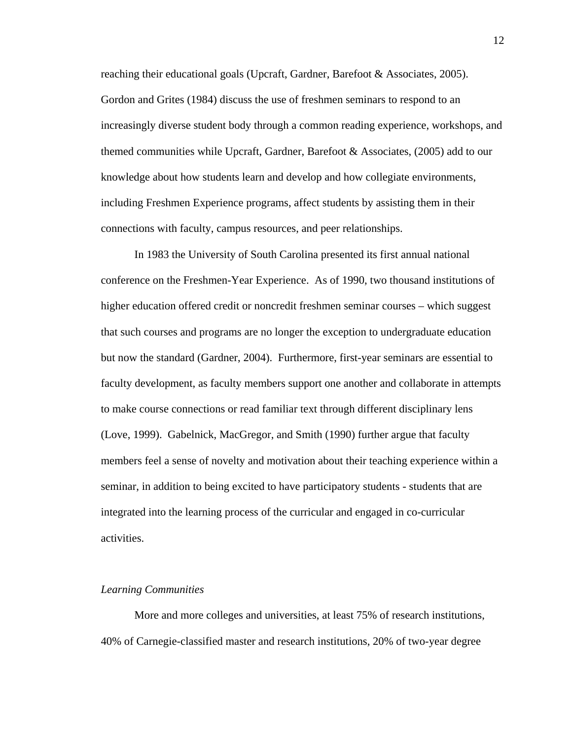reaching their educational goals (Upcraft, Gardner, Barefoot & Associates, 2005). Gordon and Grites (1984) discuss the use of freshmen seminars to respond to an increasingly diverse student body through a common reading experience, workshops, and themed communities while Upcraft, Gardner, Barefoot & Associates, (2005) add to our knowledge about how students learn and develop and how collegiate environments, including Freshmen Experience programs, affect students by assisting them in their connections with faculty, campus resources, and peer relationships.

In 1983 the University of South Carolina presented its first annual national conference on the Freshmen-Year Experience. As of 1990, two thousand institutions of higher education offered credit or noncredit freshmen seminar courses – which suggest that such courses and programs are no longer the exception to undergraduate education but now the standard (Gardner, 2004). Furthermore, first-year seminars are essential to faculty development, as faculty members support one another and collaborate in attempts to make course connections or read familiar text through different disciplinary lens (Love, 1999). Gabelnick, MacGregor, and Smith (1990) further argue that faculty members feel a sense of novelty and motivation about their teaching experience within a seminar, in addition to being excited to have participatory students - students that are integrated into the learning process of the curricular and engaged in co-curricular activities.

#### *Learning Communities*

More and more colleges and universities, at least 75% of research institutions, 40% of Carnegie-classified master and research institutions, 20% of two-year degree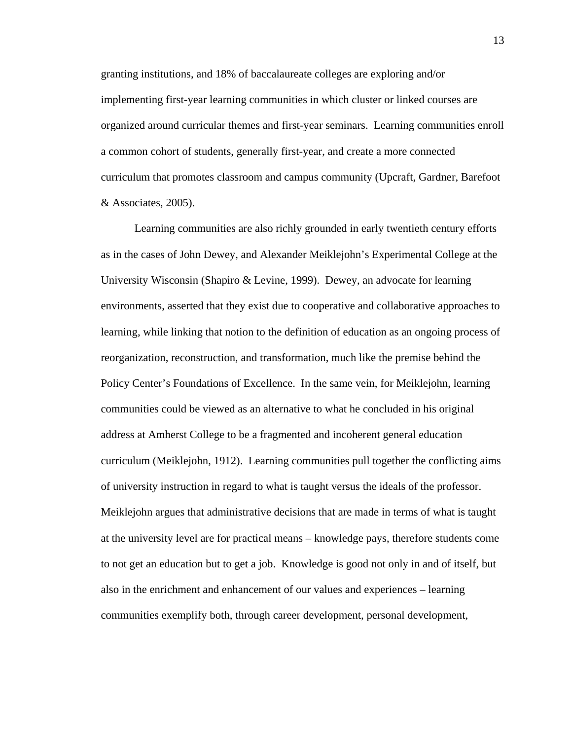granting institutions, and 18% of baccalaureate colleges are exploring and/or implementing first-year learning communities in which cluster or linked courses are organized around curricular themes and first-year seminars. Learning communities enroll a common cohort of students, generally first-year, and create a more connected curriculum that promotes classroom and campus community (Upcraft, Gardner, Barefoot & Associates, 2005).

Learning communities are also richly grounded in early twentieth century efforts as in the cases of John Dewey, and Alexander Meiklejohn's Experimental College at the University Wisconsin (Shapiro & Levine, 1999). Dewey, an advocate for learning environments, asserted that they exist due to cooperative and collaborative approaches to learning, while linking that notion to the definition of education as an ongoing process of reorganization, reconstruction, and transformation, much like the premise behind the Policy Center's Foundations of Excellence. In the same vein, for Meiklejohn, learning communities could be viewed as an alternative to what he concluded in his original address at Amherst College to be a fragmented and incoherent general education curriculum (Meiklejohn, 1912). Learning communities pull together the conflicting aims of university instruction in regard to what is taught versus the ideals of the professor. Meiklejohn argues that administrative decisions that are made in terms of what is taught at the university level are for practical means – knowledge pays, therefore students come to not get an education but to get a job. Knowledge is good not only in and of itself, but also in the enrichment and enhancement of our values and experiences – learning communities exemplify both, through career development, personal development,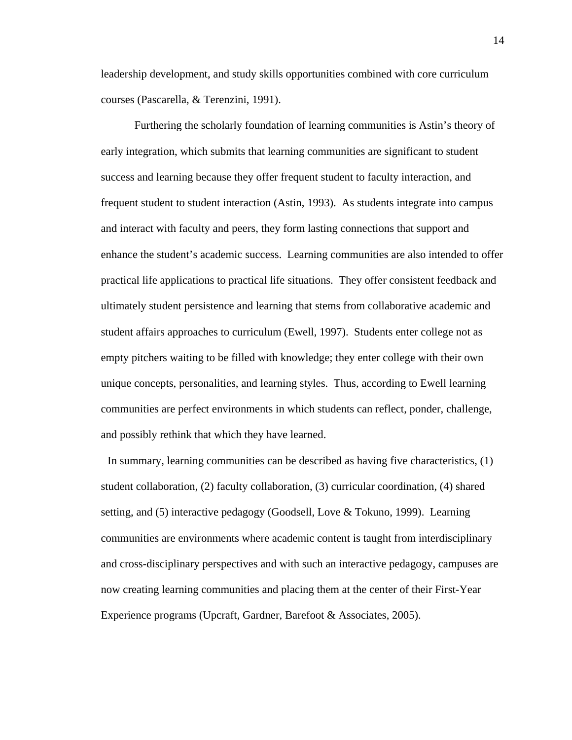leadership development, and study skills opportunities combined with core curriculum courses (Pascarella, & Terenzini, 1991).

Furthering the scholarly foundation of learning communities is Astin's theory of early integration, which submits that learning communities are significant to student success and learning because they offer frequent student to faculty interaction, and frequent student to student interaction (Astin, 1993). As students integrate into campus and interact with faculty and peers, they form lasting connections that support and enhance the student's academic success. Learning communities are also intended to offer practical life applications to practical life situations. They offer consistent feedback and ultimately student persistence and learning that stems from collaborative academic and student affairs approaches to curriculum (Ewell, 1997). Students enter college not as empty pitchers waiting to be filled with knowledge; they enter college with their own unique concepts, personalities, and learning styles. Thus, according to Ewell learning communities are perfect environments in which students can reflect, ponder, challenge, and possibly rethink that which they have learned.

 In summary, learning communities can be described as having five characteristics, (1) student collaboration, (2) faculty collaboration, (3) curricular coordination, (4) shared setting, and (5) interactive pedagogy (Goodsell, Love & Tokuno, 1999). Learning communities are environments where academic content is taught from interdisciplinary and cross-disciplinary perspectives and with such an interactive pedagogy, campuses are now creating learning communities and placing them at the center of their First-Year Experience programs (Upcraft, Gardner, Barefoot & Associates, 2005).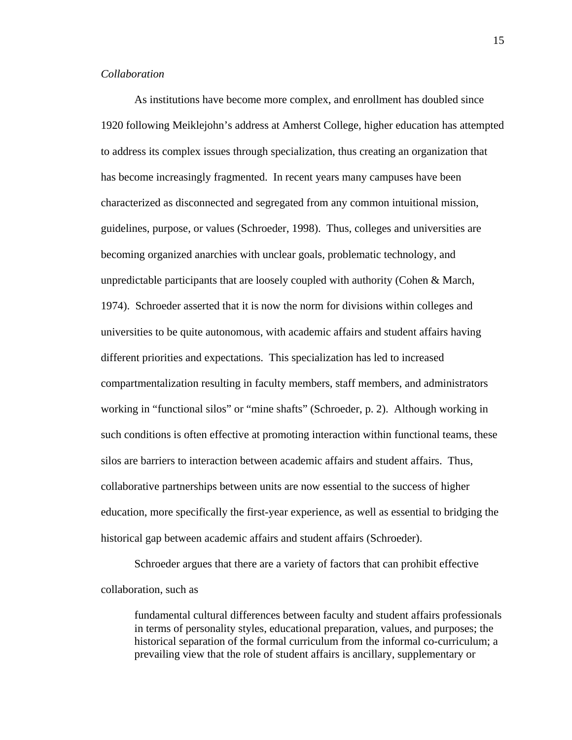#### *Collaboration*

As institutions have become more complex, and enrollment has doubled since 1920 following Meiklejohn's address at Amherst College, higher education has attempted to address its complex issues through specialization, thus creating an organization that has become increasingly fragmented. In recent years many campuses have been characterized as disconnected and segregated from any common intuitional mission, guidelines, purpose, or values (Schroeder, 1998). Thus, colleges and universities are becoming organized anarchies with unclear goals, problematic technology, and unpredictable participants that are loosely coupled with authority (Cohen  $\&$  March, 1974). Schroeder asserted that it is now the norm for divisions within colleges and universities to be quite autonomous, with academic affairs and student affairs having different priorities and expectations. This specialization has led to increased compartmentalization resulting in faculty members, staff members, and administrators working in "functional silos" or "mine shafts" (Schroeder, p. 2). Although working in such conditions is often effective at promoting interaction within functional teams, these silos are barriers to interaction between academic affairs and student affairs. Thus, collaborative partnerships between units are now essential to the success of higher education, more specifically the first-year experience, as well as essential to bridging the historical gap between academic affairs and student affairs (Schroeder).

Schroeder argues that there are a variety of factors that can prohibit effective collaboration, such as

fundamental cultural differences between faculty and student affairs professionals in terms of personality styles, educational preparation, values, and purposes; the historical separation of the formal curriculum from the informal co-curriculum; a prevailing view that the role of student affairs is ancillary, supplementary or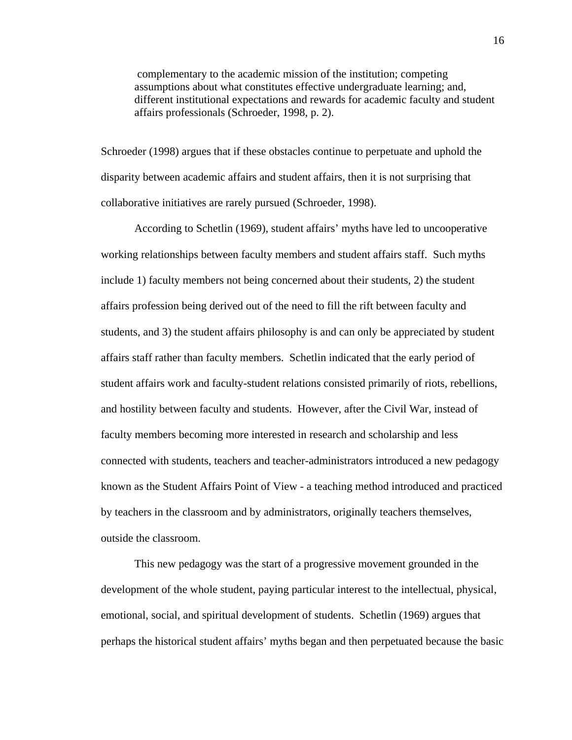complementary to the academic mission of the institution; competing assumptions about what constitutes effective undergraduate learning; and, different institutional expectations and rewards for academic faculty and student affairs professionals (Schroeder, 1998, p. 2).

Schroeder (1998) argues that if these obstacles continue to perpetuate and uphold the disparity between academic affairs and student affairs, then it is not surprising that collaborative initiatives are rarely pursued (Schroeder, 1998).

According to Schetlin (1969), student affairs' myths have led to uncooperative working relationships between faculty members and student affairs staff. Such myths include 1) faculty members not being concerned about their students, 2) the student affairs profession being derived out of the need to fill the rift between faculty and students, and 3) the student affairs philosophy is and can only be appreciated by student affairs staff rather than faculty members. Schetlin indicated that the early period of student affairs work and faculty-student relations consisted primarily of riots, rebellions, and hostility between faculty and students. However, after the Civil War, instead of faculty members becoming more interested in research and scholarship and less connected with students, teachers and teacher-administrators introduced a new pedagogy known as the Student Affairs Point of View - a teaching method introduced and practiced by teachers in the classroom and by administrators, originally teachers themselves, outside the classroom.

This new pedagogy was the start of a progressive movement grounded in the development of the whole student, paying particular interest to the intellectual, physical, emotional, social, and spiritual development of students. Schetlin (1969) argues that perhaps the historical student affairs' myths began and then perpetuated because the basic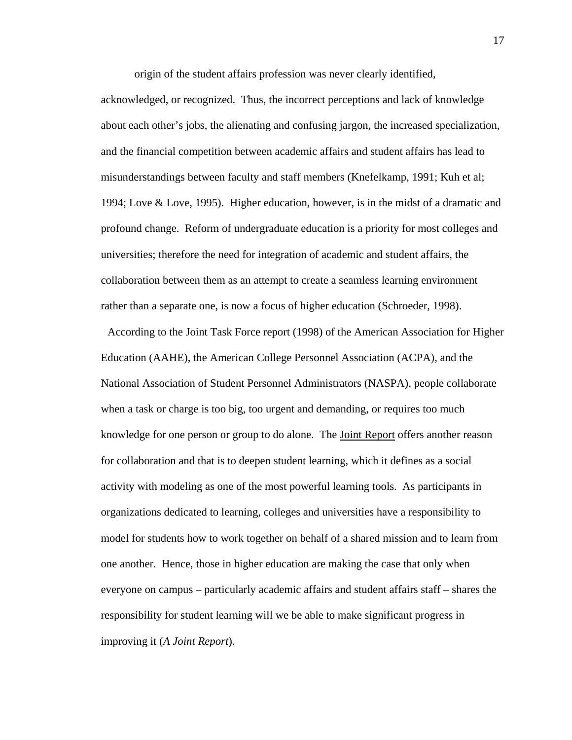origin of the student affairs profession was never clearly identified,

acknowledged, or recognized. Thus, the incorrect perceptions and lack of knowledge about each other's jobs, the alienating and confusing jargon, the increased specialization, and the financial competition between academic affairs and student affairs has lead to misunderstandings between faculty and staff members (Knefelkamp, 1991; Kuh et al; 1994; Love & Love, 1995). Higher education, however, is in the midst of a dramatic and profound change. Reform of undergraduate education is a priority for most colleges and universities; therefore the need for integration of academic and student affairs, the collaboration between them as an attempt to create a seamless learning environment rather than a separate one, is now a focus of higher education (Schroeder, 1998).

 According to the Joint Task Force report (1998) of the American Association for Higher Education (AAHE), the American College Personnel Association (ACPA), and the National Association of Student Personnel Administrators (NASPA), people collaborate when a task or charge is too big, too urgent and demanding, or requires too much knowledge for one person or group to do alone. The Joint Report offers another reason for collaboration and that is to deepen student learning, which it defines as a social activity with modeling as one of the most powerful learning tools. As participants in organizations dedicated to learning, colleges and universities have a responsibility to model for students how to work together on behalf of a shared mission and to learn from one another. Hence, those in higher education are making the case that only when everyone on campus – particularly academic affairs and student affairs staff – shares the responsibility for student learning will we be able to make significant progress in improving it (*A Joint Report*).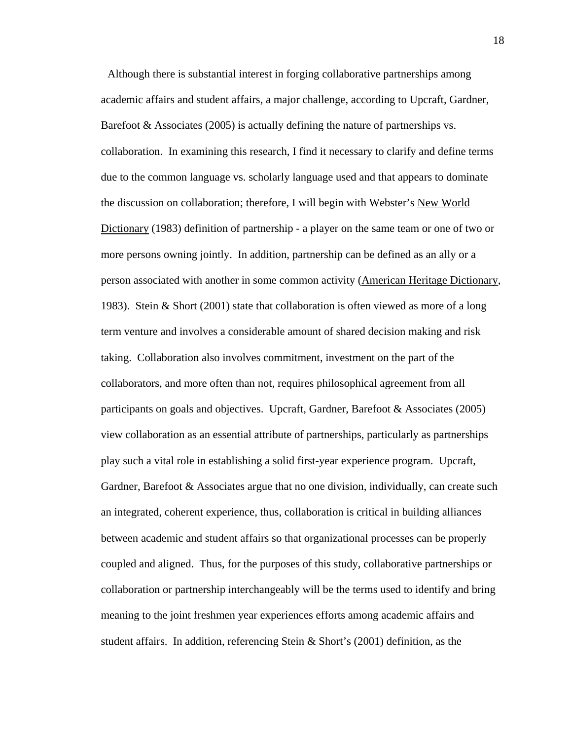Although there is substantial interest in forging collaborative partnerships among academic affairs and student affairs, a major challenge, according to Upcraft, Gardner, Barefoot  $\&$  Associates (2005) is actually defining the nature of partnerships vs. collaboration. In examining this research, I find it necessary to clarify and define terms due to the common language vs. scholarly language used and that appears to dominate the discussion on collaboration; therefore, I will begin with Webster's New World Dictionary (1983) definition of partnership - a player on the same team or one of two or more persons owning jointly. In addition, partnership can be defined as an ally or a person associated with another in some common activity (American Heritage Dictionary, 1983). Stein & Short (2001) state that collaboration is often viewed as more of a long term venture and involves a considerable amount of shared decision making and risk taking. Collaboration also involves commitment, investment on the part of the collaborators, and more often than not, requires philosophical agreement from all participants on goals and objectives. Upcraft, Gardner, Barefoot & Associates (2005) view collaboration as an essential attribute of partnerships, particularly as partnerships play such a vital role in establishing a solid first-year experience program. Upcraft, Gardner, Barefoot & Associates argue that no one division, individually, can create such an integrated, coherent experience, thus, collaboration is critical in building alliances between academic and student affairs so that organizational processes can be properly coupled and aligned. Thus, for the purposes of this study, collaborative partnerships or collaboration or partnership interchangeably will be the terms used to identify and bring meaning to the joint freshmen year experiences efforts among academic affairs and student affairs. In addition, referencing Stein & Short's (2001) definition, as the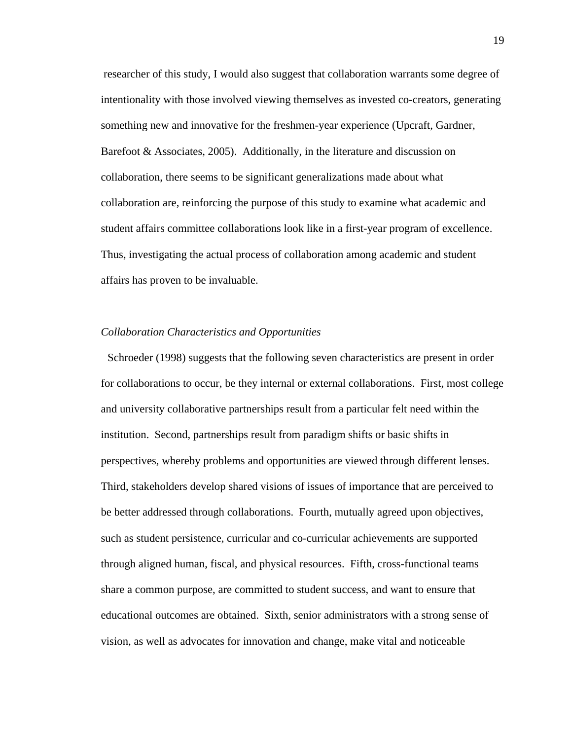researcher of this study, I would also suggest that collaboration warrants some degree of intentionality with those involved viewing themselves as invested co-creators, generating something new and innovative for the freshmen-year experience (Upcraft, Gardner, Barefoot & Associates, 2005). Additionally, in the literature and discussion on collaboration, there seems to be significant generalizations made about what collaboration are, reinforcing the purpose of this study to examine what academic and student affairs committee collaborations look like in a first-year program of excellence. Thus, investigating the actual process of collaboration among academic and student affairs has proven to be invaluable.

#### *Collaboration Characteristics and Opportunities*

 Schroeder (1998) suggests that the following seven characteristics are present in order for collaborations to occur, be they internal or external collaborations. First, most college and university collaborative partnerships result from a particular felt need within the institution. Second, partnerships result from paradigm shifts or basic shifts in perspectives, whereby problems and opportunities are viewed through different lenses. Third, stakeholders develop shared visions of issues of importance that are perceived to be better addressed through collaborations. Fourth, mutually agreed upon objectives, such as student persistence, curricular and co-curricular achievements are supported through aligned human, fiscal, and physical resources. Fifth, cross-functional teams share a common purpose, are committed to student success, and want to ensure that educational outcomes are obtained. Sixth, senior administrators with a strong sense of vision, as well as advocates for innovation and change, make vital and noticeable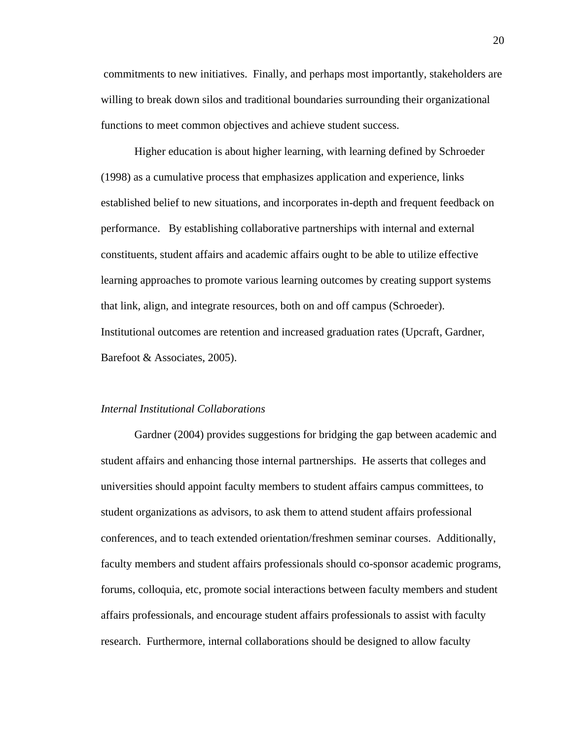commitments to new initiatives. Finally, and perhaps most importantly, stakeholders are willing to break down silos and traditional boundaries surrounding their organizational functions to meet common objectives and achieve student success.

Higher education is about higher learning, with learning defined by Schroeder (1998) as a cumulative process that emphasizes application and experience, links established belief to new situations, and incorporates in-depth and frequent feedback on performance. By establishing collaborative partnerships with internal and external constituents, student affairs and academic affairs ought to be able to utilize effective learning approaches to promote various learning outcomes by creating support systems that link, align, and integrate resources, both on and off campus (Schroeder). Institutional outcomes are retention and increased graduation rates (Upcraft, Gardner, Barefoot & Associates, 2005).

#### *Internal Institutional Collaborations*

Gardner (2004) provides suggestions for bridging the gap between academic and student affairs and enhancing those internal partnerships. He asserts that colleges and universities should appoint faculty members to student affairs campus committees, to student organizations as advisors, to ask them to attend student affairs professional conferences, and to teach extended orientation/freshmen seminar courses. Additionally, faculty members and student affairs professionals should co-sponsor academic programs, forums, colloquia, etc, promote social interactions between faculty members and student affairs professionals, and encourage student affairs professionals to assist with faculty research. Furthermore, internal collaborations should be designed to allow faculty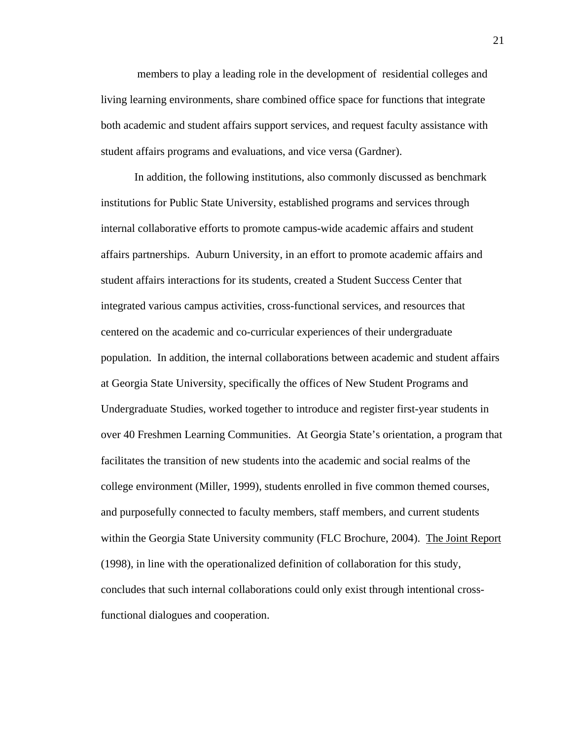members to play a leading role in the development of residential colleges and living learning environments, share combined office space for functions that integrate both academic and student affairs support services, and request faculty assistance with student affairs programs and evaluations, and vice versa (Gardner).

In addition, the following institutions, also commonly discussed as benchmark institutions for Public State University, established programs and services through internal collaborative efforts to promote campus-wide academic affairs and student affairs partnerships. Auburn University, in an effort to promote academic affairs and student affairs interactions for its students, created a Student Success Center that integrated various campus activities, cross-functional services, and resources that centered on the academic and co-curricular experiences of their undergraduate population. In addition, the internal collaborations between academic and student affairs at Georgia State University, specifically the offices of New Student Programs and Undergraduate Studies, worked together to introduce and register first-year students in over 40 Freshmen Learning Communities. At Georgia State's orientation, a program that facilitates the transition of new students into the academic and social realms of the college environment (Miller, 1999), students enrolled in five common themed courses, and purposefully connected to faculty members, staff members, and current students within the Georgia State University community (FLC Brochure, 2004). The Joint Report (1998), in line with the operationalized definition of collaboration for this study, concludes that such internal collaborations could only exist through intentional crossfunctional dialogues and cooperation.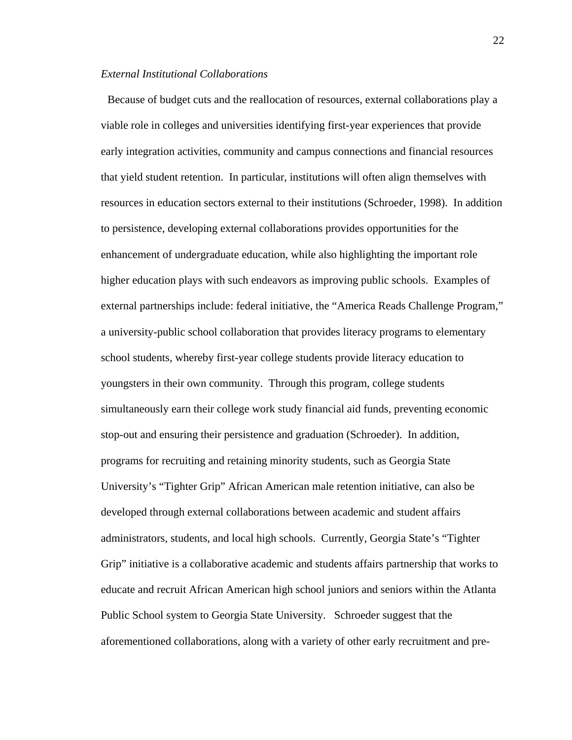#### *External Institutional Collaborations*

 Because of budget cuts and the reallocation of resources, external collaborations play a viable role in colleges and universities identifying first-year experiences that provide early integration activities, community and campus connections and financial resources that yield student retention. In particular, institutions will often align themselves with resources in education sectors external to their institutions (Schroeder, 1998). In addition to persistence, developing external collaborations provides opportunities for the enhancement of undergraduate education, while also highlighting the important role higher education plays with such endeavors as improving public schools. Examples of external partnerships include: federal initiative, the "America Reads Challenge Program," a university-public school collaboration that provides literacy programs to elementary school students, whereby first-year college students provide literacy education to youngsters in their own community. Through this program, college students simultaneously earn their college work study financial aid funds, preventing economic stop-out and ensuring their persistence and graduation (Schroeder). In addition, programs for recruiting and retaining minority students, such as Georgia State University's "Tighter Grip" African American male retention initiative, can also be developed through external collaborations between academic and student affairs administrators, students, and local high schools. Currently, Georgia State's "Tighter Grip" initiative is a collaborative academic and students affairs partnership that works to educate and recruit African American high school juniors and seniors within the Atlanta Public School system to Georgia State University. Schroeder suggest that the aforementioned collaborations, along with a variety of other early recruitment and pre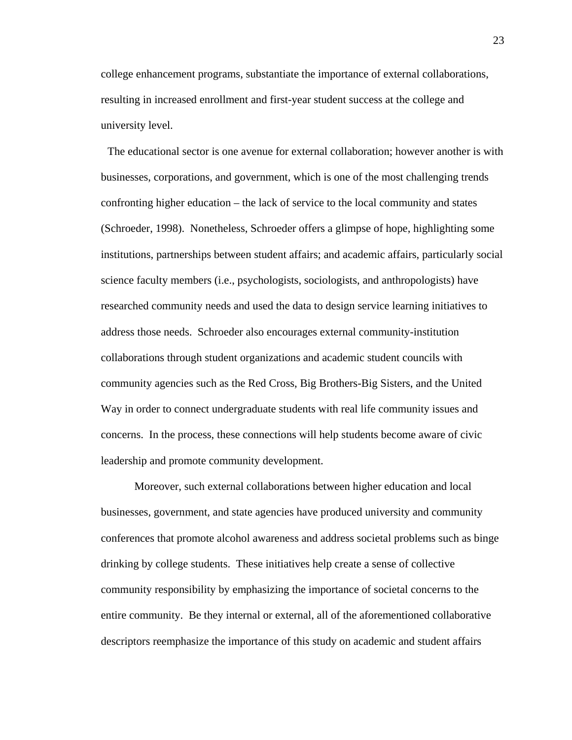college enhancement programs, substantiate the importance of external collaborations, resulting in increased enrollment and first-year student success at the college and university level.

 The educational sector is one avenue for external collaboration; however another is with businesses, corporations, and government, which is one of the most challenging trends confronting higher education – the lack of service to the local community and states (Schroeder, 1998). Nonetheless, Schroeder offers a glimpse of hope, highlighting some institutions, partnerships between student affairs; and academic affairs, particularly social science faculty members (i.e., psychologists, sociologists, and anthropologists) have researched community needs and used the data to design service learning initiatives to address those needs. Schroeder also encourages external community-institution collaborations through student organizations and academic student councils with community agencies such as the Red Cross, Big Brothers-Big Sisters, and the United Way in order to connect undergraduate students with real life community issues and concerns. In the process, these connections will help students become aware of civic leadership and promote community development.

Moreover, such external collaborations between higher education and local businesses, government, and state agencies have produced university and community conferences that promote alcohol awareness and address societal problems such as binge drinking by college students. These initiatives help create a sense of collective community responsibility by emphasizing the importance of societal concerns to the entire community. Be they internal or external, all of the aforementioned collaborative descriptors reemphasize the importance of this study on academic and student affairs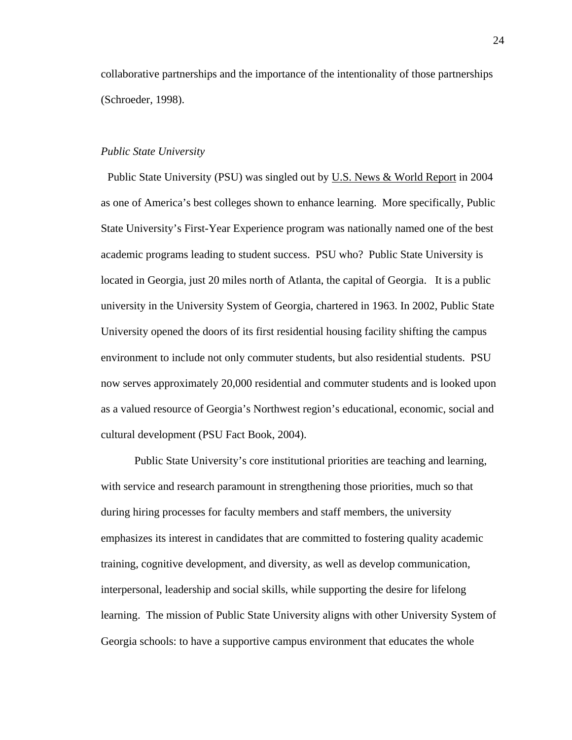collaborative partnerships and the importance of the intentionality of those partnerships (Schroeder, 1998).

#### *Public State University*

 Public State University (PSU) was singled out by U.S. News & World Report in 2004 as one of America's best colleges shown to enhance learning. More specifically, Public State University's First-Year Experience program was nationally named one of the best academic programs leading to student success. PSU who? Public State University is located in Georgia, just 20 miles north of Atlanta, the capital of Georgia. It is a public university in the University System of Georgia, chartered in 1963. In 2002, Public State University opened the doors of its first residential housing facility shifting the campus environment to include not only commuter students, but also residential students. PSU now serves approximately 20,000 residential and commuter students and is looked upon as a valued resource of Georgia's Northwest region's educational, economic, social and cultural development (PSU Fact Book, 2004).

Public State University's core institutional priorities are teaching and learning, with service and research paramount in strengthening those priorities, much so that during hiring processes for faculty members and staff members, the university emphasizes its interest in candidates that are committed to fostering quality academic training, cognitive development, and diversity, as well as develop communication, interpersonal, leadership and social skills, while supporting the desire for lifelong learning. The mission of Public State University aligns with other University System of Georgia schools: to have a supportive campus environment that educates the whole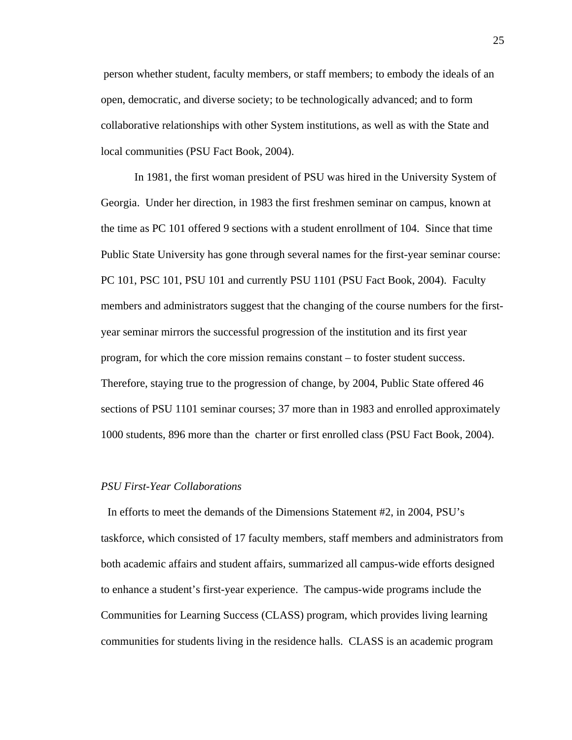person whether student, faculty members, or staff members; to embody the ideals of an open, democratic, and diverse society; to be technologically advanced; and to form collaborative relationships with other System institutions, as well as with the State and local communities (PSU Fact Book, 2004).

In 1981, the first woman president of PSU was hired in the University System of Georgia. Under her direction, in 1983 the first freshmen seminar on campus, known at the time as PC 101 offered 9 sections with a student enrollment of 104. Since that time Public State University has gone through several names for the first-year seminar course: PC 101, PSC 101, PSU 101 and currently PSU 1101 (PSU Fact Book, 2004). Faculty members and administrators suggest that the changing of the course numbers for the firstyear seminar mirrors the successful progression of the institution and its first year program, for which the core mission remains constant – to foster student success. Therefore, staying true to the progression of change, by 2004, Public State offered 46 sections of PSU 1101 seminar courses; 37 more than in 1983 and enrolled approximately 1000 students, 896 more than the charter or first enrolled class (PSU Fact Book, 2004).

# *PSU First-Year Collaborations*

 In efforts to meet the demands of the Dimensions Statement #2, in 2004, PSU's taskforce, which consisted of 17 faculty members, staff members and administrators from both academic affairs and student affairs, summarized all campus-wide efforts designed to enhance a student's first-year experience. The campus-wide programs include the Communities for Learning Success (CLASS) program, which provides living learning communities for students living in the residence halls. CLASS is an academic program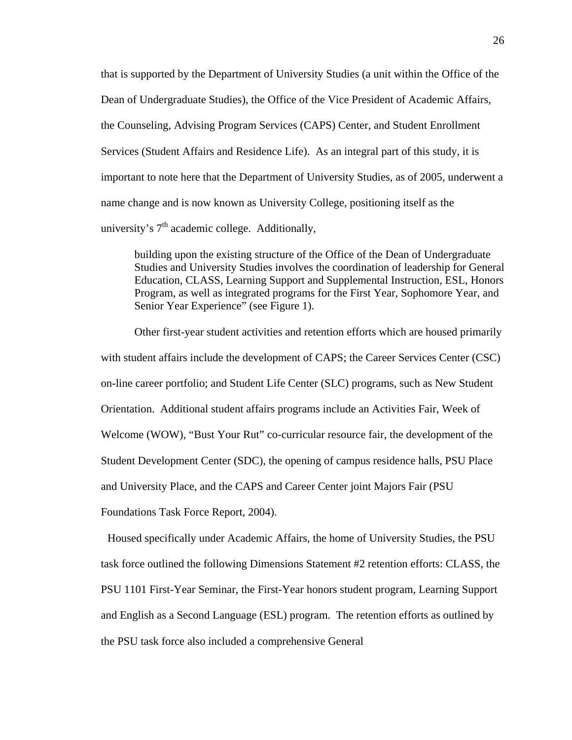that is supported by the Department of University Studies (a unit within the Office of the Dean of Undergraduate Studies), the Office of the Vice President of Academic Affairs, the Counseling, Advising Program Services (CAPS) Center, and Student Enrollment Services (Student Affairs and Residence Life). As an integral part of this study, it is important to note here that the Department of University Studies, as of 2005, underwent a name change and is now known as University College, positioning itself as the university's  $7<sup>th</sup>$  academic college. Additionally,

building upon the existing structure of the Office of the Dean of Undergraduate Studies and University Studies involves the coordination of leadership for General Education, CLASS, Learning Support and Supplemental Instruction, ESL, Honors Program, as well as integrated programs for the First Year, Sophomore Year, and Senior Year Experience" (see Figure 1).

Other first-year student activities and retention efforts which are housed primarily with student affairs include the development of CAPS; the Career Services Center (CSC) on-line career portfolio; and Student Life Center (SLC) programs, such as New Student Orientation. Additional student affairs programs include an Activities Fair, Week of Welcome (WOW), "Bust Your Rut" co-curricular resource fair, the development of the Student Development Center (SDC), the opening of campus residence halls, PSU Place and University Place, and the CAPS and Career Center joint Majors Fair (PSU Foundations Task Force Report, 2004).

 Housed specifically under Academic Affairs, the home of University Studies, the PSU task force outlined the following Dimensions Statement #2 retention efforts: CLASS, the PSU 1101 First-Year Seminar, the First-Year honors student program, Learning Support and English as a Second Language (ESL) program. The retention efforts as outlined by the PSU task force also included a comprehensive General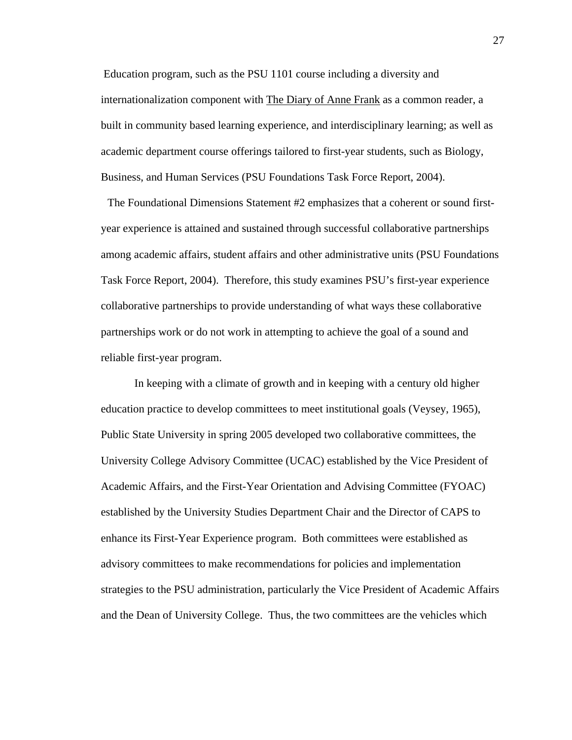Education program, such as the PSU 1101 course including a diversity and internationalization component with The Diary of Anne Frank as a common reader, a built in community based learning experience, and interdisciplinary learning; as well as academic department course offerings tailored to first-year students, such as Biology, Business, and Human Services (PSU Foundations Task Force Report, 2004).

 The Foundational Dimensions Statement #2 emphasizes that a coherent or sound firstyear experience is attained and sustained through successful collaborative partnerships among academic affairs, student affairs and other administrative units (PSU Foundations Task Force Report, 2004). Therefore, this study examines PSU's first-year experience collaborative partnerships to provide understanding of what ways these collaborative partnerships work or do not work in attempting to achieve the goal of a sound and reliable first-year program.

In keeping with a climate of growth and in keeping with a century old higher education practice to develop committees to meet institutional goals (Veysey, 1965), Public State University in spring 2005 developed two collaborative committees, the University College Advisory Committee (UCAC) established by the Vice President of Academic Affairs, and the First-Year Orientation and Advising Committee (FYOAC) established by the University Studies Department Chair and the Director of CAPS to enhance its First-Year Experience program. Both committees were established as advisory committees to make recommendations for policies and implementation strategies to the PSU administration, particularly the Vice President of Academic Affairs and the Dean of University College. Thus, the two committees are the vehicles which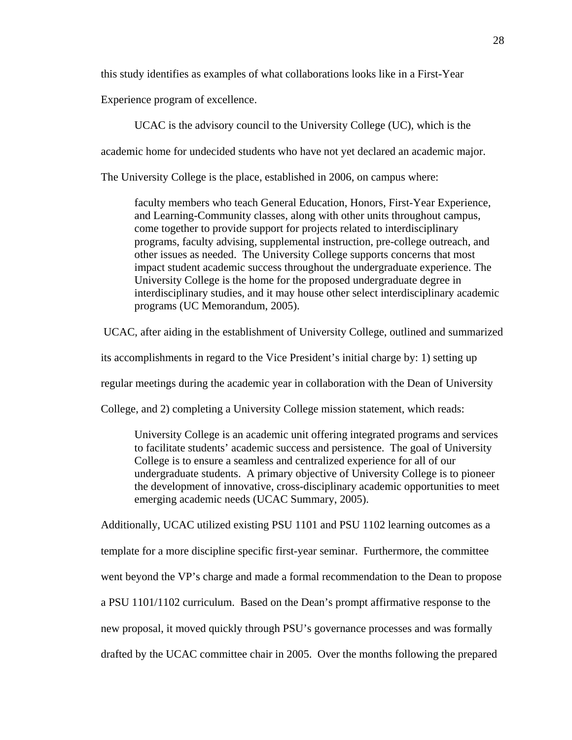this study identifies as examples of what collaborations looks like in a First-Year

Experience program of excellence.

UCAC is the advisory council to the University College (UC), which is the

academic home for undecided students who have not yet declared an academic major.

The University College is the place, established in 2006, on campus where:

faculty members who teach General Education, Honors, First-Year Experience, and Learning-Community classes, along with other units throughout campus, come together to provide support for projects related to interdisciplinary programs, faculty advising, supplemental instruction, pre-college outreach, and other issues as needed. The University College supports concerns that most impact student academic success throughout the undergraduate experience. The University College is the home for the proposed undergraduate degree in interdisciplinary studies, and it may house other select interdisciplinary academic programs (UC Memorandum, 2005).

UCAC, after aiding in the establishment of University College, outlined and summarized

its accomplishments in regard to the Vice President's initial charge by: 1) setting up

regular meetings during the academic year in collaboration with the Dean of University

College, and 2) completing a University College mission statement, which reads:

University College is an academic unit offering integrated programs and services to facilitate students' academic success and persistence. The goal of University College is to ensure a seamless and centralized experience for all of our undergraduate students. A primary objective of University College is to pioneer the development of innovative, cross-disciplinary academic opportunities to meet emerging academic needs (UCAC Summary, 2005).

Additionally, UCAC utilized existing PSU 1101 and PSU 1102 learning outcomes as a template for a more discipline specific first-year seminar. Furthermore, the committee went beyond the VP's charge and made a formal recommendation to the Dean to propose a PSU 1101/1102 curriculum. Based on the Dean's prompt affirmative response to the new proposal, it moved quickly through PSU's governance processes and was formally drafted by the UCAC committee chair in 2005. Over the months following the prepared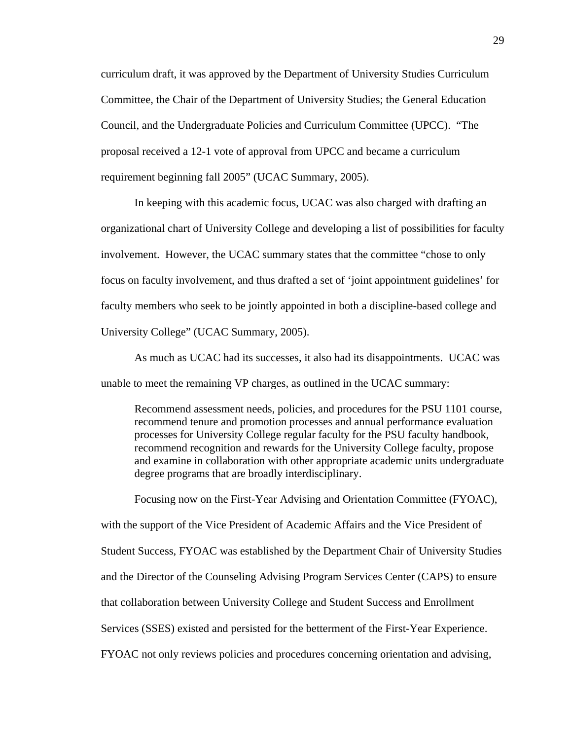curriculum draft, it was approved by the Department of University Studies Curriculum Committee, the Chair of the Department of University Studies; the General Education Council, and the Undergraduate Policies and Curriculum Committee (UPCC). "The proposal received a 12-1 vote of approval from UPCC and became a curriculum requirement beginning fall 2005" (UCAC Summary, 2005).

In keeping with this academic focus, UCAC was also charged with drafting an organizational chart of University College and developing a list of possibilities for faculty involvement. However, the UCAC summary states that the committee "chose to only focus on faculty involvement, and thus drafted a set of 'joint appointment guidelines' for faculty members who seek to be jointly appointed in both a discipline-based college and University College" (UCAC Summary, 2005).

As much as UCAC had its successes, it also had its disappointments. UCAC was unable to meet the remaining VP charges, as outlined in the UCAC summary:

Recommend assessment needs, policies, and procedures for the PSU 1101 course, recommend tenure and promotion processes and annual performance evaluation processes for University College regular faculty for the PSU faculty handbook, recommend recognition and rewards for the University College faculty, propose and examine in collaboration with other appropriate academic units undergraduate degree programs that are broadly interdisciplinary.

Focusing now on the First-Year Advising and Orientation Committee (FYOAC), with the support of the Vice President of Academic Affairs and the Vice President of Student Success, FYOAC was established by the Department Chair of University Studies and the Director of the Counseling Advising Program Services Center (CAPS) to ensure that collaboration between University College and Student Success and Enrollment Services (SSES) existed and persisted for the betterment of the First-Year Experience. FYOAC not only reviews policies and procedures concerning orientation and advising,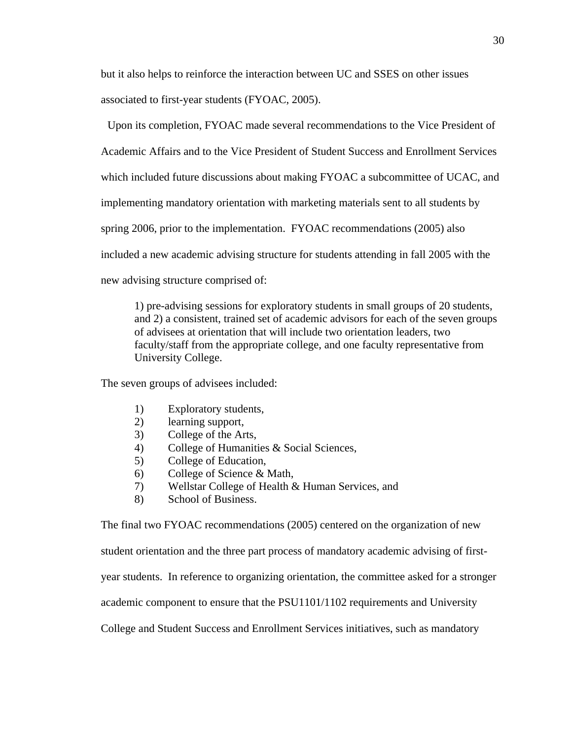but it also helps to reinforce the interaction between UC and SSES on other issues associated to first-year students (FYOAC, 2005).

 Upon its completion, FYOAC made several recommendations to the Vice President of Academic Affairs and to the Vice President of Student Success and Enrollment Services which included future discussions about making FYOAC a subcommittee of UCAC, and implementing mandatory orientation with marketing materials sent to all students by spring 2006, prior to the implementation. FYOAC recommendations (2005) also included a new academic advising structure for students attending in fall 2005 with the new advising structure comprised of:

1) pre-advising sessions for exploratory students in small groups of 20 students, and 2) a consistent, trained set of academic advisors for each of the seven groups of advisees at orientation that will include two orientation leaders, two faculty/staff from the appropriate college, and one faculty representative from University College.

The seven groups of advisees included:

- 1) Exploratory students,
- 2) learning support,
- 3) College of the Arts,
- 4) College of Humanities & Social Sciences,
- 5) College of Education,
- 6) College of Science & Math,
- 7) Wellstar College of Health & Human Services, and
- 8) School of Business.

The final two FYOAC recommendations (2005) centered on the organization of new

student orientation and the three part process of mandatory academic advising of first-

year students. In reference to organizing orientation, the committee asked for a stronger

academic component to ensure that the PSU1101/1102 requirements and University

College and Student Success and Enrollment Services initiatives, such as mandatory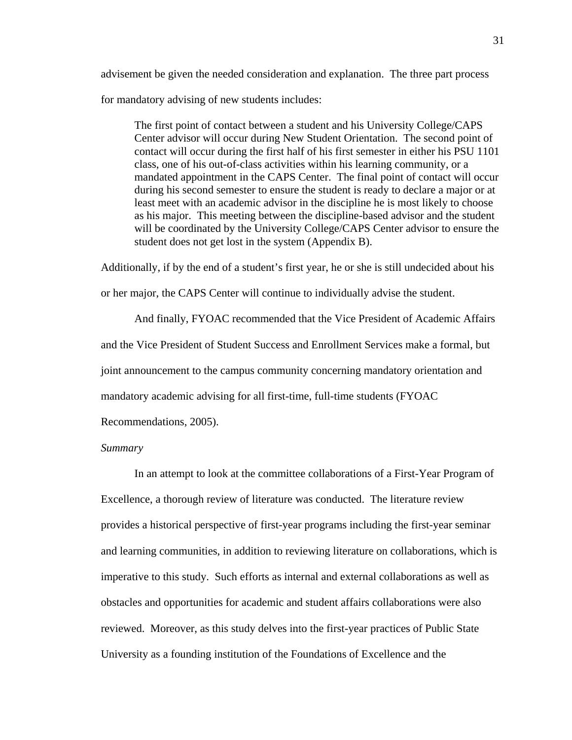advisement be given the needed consideration and explanation. The three part process for mandatory advising of new students includes:

The first point of contact between a student and his University College/CAPS Center advisor will occur during New Student Orientation. The second point of contact will occur during the first half of his first semester in either his PSU 1101 class, one of his out-of-class activities within his learning community, or a mandated appointment in the CAPS Center. The final point of contact will occur during his second semester to ensure the student is ready to declare a major or at least meet with an academic advisor in the discipline he is most likely to choose as his major. This meeting between the discipline-based advisor and the student will be coordinated by the University College/CAPS Center advisor to ensure the student does not get lost in the system (Appendix B).

Additionally, if by the end of a student's first year, he or she is still undecided about his

or her major, the CAPS Center will continue to individually advise the student.

And finally, FYOAC recommended that the Vice President of Academic Affairs and the Vice President of Student Success and Enrollment Services make a formal, but joint announcement to the campus community concerning mandatory orientation and mandatory academic advising for all first-time, full-time students (FYOAC

Recommendations, 2005).

# *Summary*

In an attempt to look at the committee collaborations of a First-Year Program of Excellence, a thorough review of literature was conducted. The literature review provides a historical perspective of first-year programs including the first-year seminar and learning communities, in addition to reviewing literature on collaborations, which is imperative to this study. Such efforts as internal and external collaborations as well as obstacles and opportunities for academic and student affairs collaborations were also reviewed. Moreover, as this study delves into the first-year practices of Public State University as a founding institution of the Foundations of Excellence and the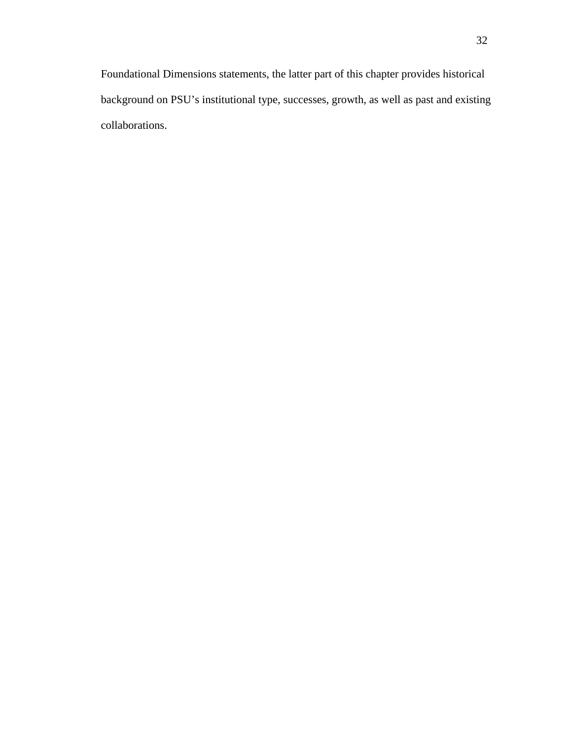Foundational Dimensions statements, the latter part of this chapter provides historical background on PSU's institutional type, successes, growth, as well as past and existing collaborations.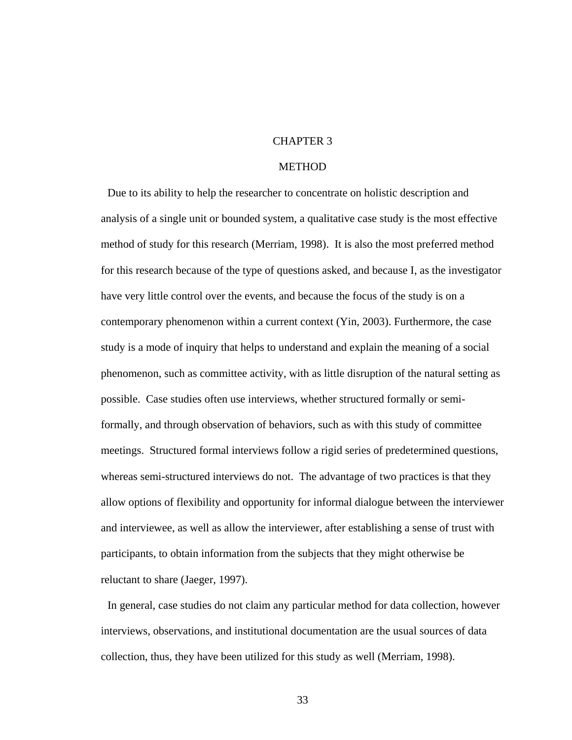# CHAPTER 3

### **METHOD**

 Due to its ability to help the researcher to concentrate on holistic description and analysis of a single unit or bounded system, a qualitative case study is the most effective method of study for this research (Merriam, 1998). It is also the most preferred method for this research because of the type of questions asked, and because I, as the investigator have very little control over the events, and because the focus of the study is on a contemporary phenomenon within a current context (Yin, 2003). Furthermore, the case study is a mode of inquiry that helps to understand and explain the meaning of a social phenomenon, such as committee activity, with as little disruption of the natural setting as possible. Case studies often use interviews, whether structured formally or semiformally, and through observation of behaviors, such as with this study of committee meetings. Structured formal interviews follow a rigid series of predetermined questions, whereas semi-structured interviews do not. The advantage of two practices is that they allow options of flexibility and opportunity for informal dialogue between the interviewer and interviewee, as well as allow the interviewer, after establishing a sense of trust with participants, to obtain information from the subjects that they might otherwise be reluctant to share (Jaeger, 1997).

 In general, case studies do not claim any particular method for data collection, however interviews, observations, and institutional documentation are the usual sources of data collection, thus, they have been utilized for this study as well (Merriam, 1998).

33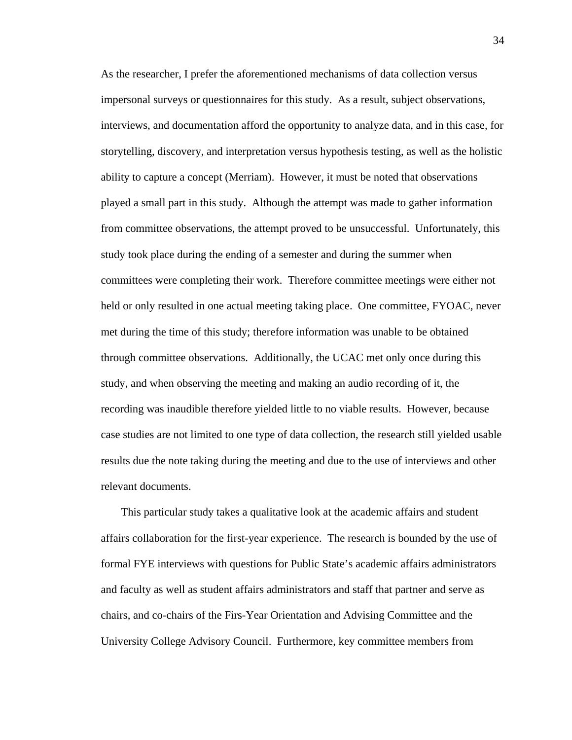As the researcher, I prefer the aforementioned mechanisms of data collection versus impersonal surveys or questionnaires for this study. As a result, subject observations, interviews, and documentation afford the opportunity to analyze data, and in this case, for storytelling, discovery, and interpretation versus hypothesis testing, as well as the holistic ability to capture a concept (Merriam). However, it must be noted that observations played a small part in this study. Although the attempt was made to gather information from committee observations, the attempt proved to be unsuccessful. Unfortunately, this study took place during the ending of a semester and during the summer when committees were completing their work. Therefore committee meetings were either not held or only resulted in one actual meeting taking place. One committee, FYOAC, never met during the time of this study; therefore information was unable to be obtained through committee observations. Additionally, the UCAC met only once during this study, and when observing the meeting and making an audio recording of it, the recording was inaudible therefore yielded little to no viable results. However, because case studies are not limited to one type of data collection, the research still yielded usable results due the note taking during the meeting and due to the use of interviews and other relevant documents.

 This particular study takes a qualitative look at the academic affairs and student affairs collaboration for the first-year experience. The research is bounded by the use of formal FYE interviews with questions for Public State's academic affairs administrators and faculty as well as student affairs administrators and staff that partner and serve as chairs, and co-chairs of the Firs-Year Orientation and Advising Committee and the University College Advisory Council. Furthermore, key committee members from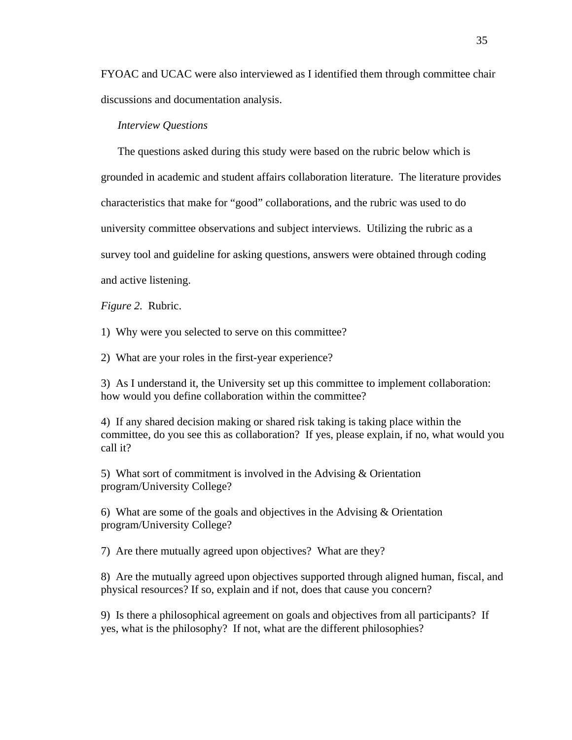FYOAC and UCAC were also interviewed as I identified them through committee chair discussions and documentation analysis.

#### *Interview Questions*

The questions asked during this study were based on the rubric below which is grounded in academic and student affairs collaboration literature. The literature provides characteristics that make for "good" collaborations, and the rubric was used to do university committee observations and subject interviews. Utilizing the rubric as a survey tool and guideline for asking questions, answers were obtained through coding and active listening.

*Figure 2.* Rubric.

1) Why were you selected to serve on this committee?

2) What are your roles in the first-year experience?

3) As I understand it, the University set up this committee to implement collaboration: how would you define collaboration within the committee?

4) If any shared decision making or shared risk taking is taking place within the committee, do you see this as collaboration? If yes, please explain, if no, what would you call it?

5) What sort of commitment is involved in the Advising & Orientation program/University College?

6) What are some of the goals and objectives in the Advising & Orientation program/University College?

7) Are there mutually agreed upon objectives? What are they?

8) Are the mutually agreed upon objectives supported through aligned human, fiscal, and physical resources? If so, explain and if not, does that cause you concern?

9) Is there a philosophical agreement on goals and objectives from all participants? If yes, what is the philosophy? If not, what are the different philosophies?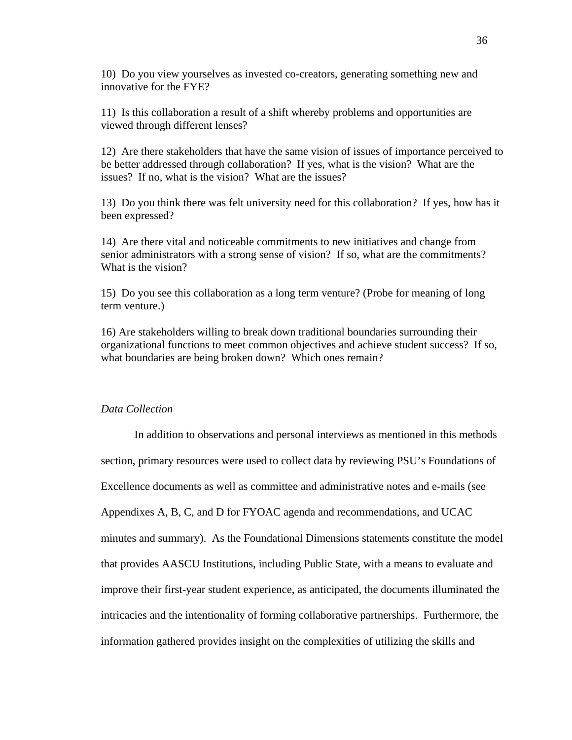10) Do you view yourselves as invested co-creators, generating something new and innovative for the FYE?

11) Is this collaboration a result of a shift whereby problems and opportunities are viewed through different lenses?

12) Are there stakeholders that have the same vision of issues of importance perceived to be better addressed through collaboration? If yes, what is the vision? What are the issues? If no, what is the vision? What are the issues?

13) Do you think there was felt university need for this collaboration? If yes, how has it been expressed?

14) Are there vital and noticeable commitments to new initiatives and change from senior administrators with a strong sense of vision? If so, what are the commitments? What is the vision?

15) Do you see this collaboration as a long term venture? (Probe for meaning of long term venture.)

16) Are stakeholders willing to break down traditional boundaries surrounding their organizational functions to meet common objectives and achieve student success? If so, what boundaries are being broken down? Which ones remain?

# *Data Collection*

In addition to observations and personal interviews as mentioned in this methods section, primary resources were used to collect data by reviewing PSU's Foundations of Excellence documents as well as committee and administrative notes and e-mails (see Appendixes A, B, C, and D for FYOAC agenda and recommendations, and UCAC minutes and summary). As the Foundational Dimensions statements constitute the model that provides AASCU Institutions, including Public State, with a means to evaluate and improve their first-year student experience, as anticipated, the documents illuminated the intricacies and the intentionality of forming collaborative partnerships. Furthermore, the information gathered provides insight on the complexities of utilizing the skills and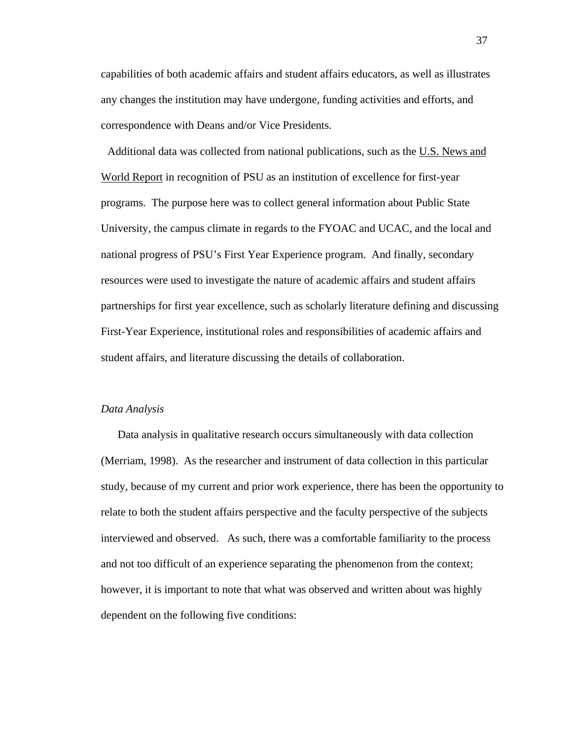capabilities of both academic affairs and student affairs educators, as well as illustrates any changes the institution may have undergone, funding activities and efforts, and correspondence with Deans and/or Vice Presidents.

 Additional data was collected from national publications, such as the U.S. News and World Report in recognition of PSU as an institution of excellence for first-year programs. The purpose here was to collect general information about Public State University, the campus climate in regards to the FYOAC and UCAC, and the local and national progress of PSU's First Year Experience program. And finally, secondary resources were used to investigate the nature of academic affairs and student affairs partnerships for first year excellence, such as scholarly literature defining and discussing First-Year Experience, institutional roles and responsibilities of academic affairs and student affairs, and literature discussing the details of collaboration.

#### *Data Analysis*

Data analysis in qualitative research occurs simultaneously with data collection (Merriam, 1998). As the researcher and instrument of data collection in this particular study, because of my current and prior work experience, there has been the opportunity to relate to both the student affairs perspective and the faculty perspective of the subjects interviewed and observed. As such, there was a comfortable familiarity to the process and not too difficult of an experience separating the phenomenon from the context; however, it is important to note that what was observed and written about was highly dependent on the following five conditions: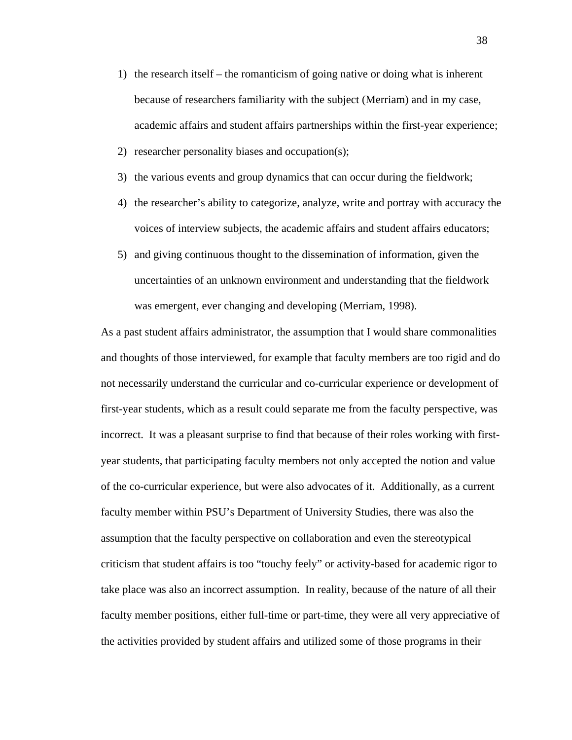- 1) the research itself the romanticism of going native or doing what is inherent because of researchers familiarity with the subject (Merriam) and in my case, academic affairs and student affairs partnerships within the first-year experience;
- 2) researcher personality biases and occupation(s);
- 3) the various events and group dynamics that can occur during the fieldwork;
- 4) the researcher's ability to categorize, analyze, write and portray with accuracy the voices of interview subjects, the academic affairs and student affairs educators;
- 5) and giving continuous thought to the dissemination of information, given the uncertainties of an unknown environment and understanding that the fieldwork was emergent, ever changing and developing (Merriam, 1998).

As a past student affairs administrator, the assumption that I would share commonalities and thoughts of those interviewed, for example that faculty members are too rigid and do not necessarily understand the curricular and co-curricular experience or development of first-year students, which as a result could separate me from the faculty perspective, was incorrect. It was a pleasant surprise to find that because of their roles working with firstyear students, that participating faculty members not only accepted the notion and value of the co-curricular experience, but were also advocates of it. Additionally, as a current faculty member within PSU's Department of University Studies, there was also the assumption that the faculty perspective on collaboration and even the stereotypical criticism that student affairs is too "touchy feely" or activity-based for academic rigor to take place was also an incorrect assumption. In reality, because of the nature of all their faculty member positions, either full-time or part-time, they were all very appreciative of the activities provided by student affairs and utilized some of those programs in their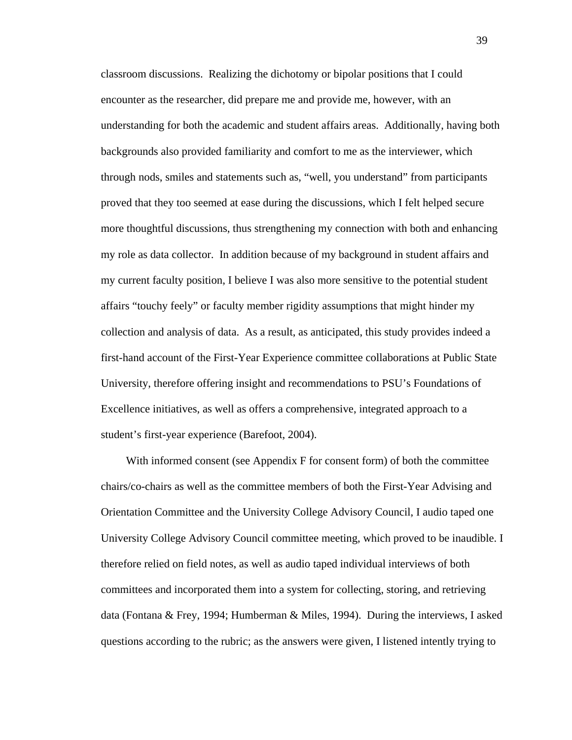classroom discussions. Realizing the dichotomy or bipolar positions that I could encounter as the researcher, did prepare me and provide me, however, with an understanding for both the academic and student affairs areas. Additionally, having both backgrounds also provided familiarity and comfort to me as the interviewer, which through nods, smiles and statements such as, "well, you understand" from participants proved that they too seemed at ease during the discussions, which I felt helped secure more thoughtful discussions, thus strengthening my connection with both and enhancing my role as data collector. In addition because of my background in student affairs and my current faculty position, I believe I was also more sensitive to the potential student affairs "touchy feely" or faculty member rigidity assumptions that might hinder my collection and analysis of data. As a result, as anticipated, this study provides indeed a first-hand account of the First-Year Experience committee collaborations at Public State University, therefore offering insight and recommendations to PSU's Foundations of Excellence initiatives, as well as offers a comprehensive, integrated approach to a student's first-year experience (Barefoot, 2004).

With informed consent (see Appendix F for consent form) of both the committee chairs/co-chairs as well as the committee members of both the First-Year Advising and Orientation Committee and the University College Advisory Council, I audio taped one University College Advisory Council committee meeting, which proved to be inaudible. I therefore relied on field notes, as well as audio taped individual interviews of both committees and incorporated them into a system for collecting, storing, and retrieving data (Fontana & Frey, 1994; Humberman & Miles, 1994). During the interviews, I asked questions according to the rubric; as the answers were given, I listened intently trying to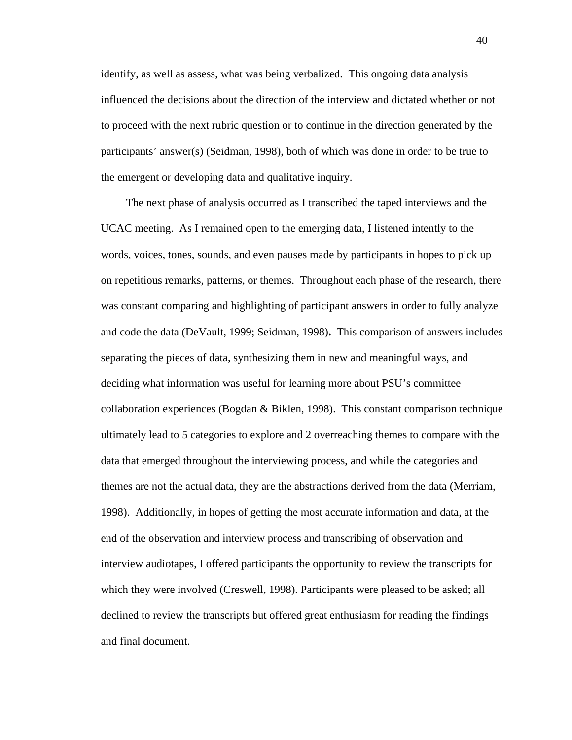identify, as well as assess, what was being verbalized. This ongoing data analysis influenced the decisions about the direction of the interview and dictated whether or not to proceed with the next rubric question or to continue in the direction generated by the participants' answer(s) (Seidman, 1998), both of which was done in order to be true to the emergent or developing data and qualitative inquiry.

The next phase of analysis occurred as I transcribed the taped interviews and the UCAC meeting. As I remained open to the emerging data, I listened intently to the words, voices, tones, sounds, and even pauses made by participants in hopes to pick up on repetitious remarks, patterns, or themes. Throughout each phase of the research, there was constant comparing and highlighting of participant answers in order to fully analyze and code the data (DeVault, 1999; Seidman, 1998)**.** This comparison of answers includes separating the pieces of data, synthesizing them in new and meaningful ways, and deciding what information was useful for learning more about PSU's committee collaboration experiences (Bogdan & Biklen, 1998). This constant comparison technique ultimately lead to 5 categories to explore and 2 overreaching themes to compare with the data that emerged throughout the interviewing process, and while the categories and themes are not the actual data, they are the abstractions derived from the data (Merriam, 1998). Additionally, in hopes of getting the most accurate information and data, at the end of the observation and interview process and transcribing of observation and interview audiotapes, I offered participants the opportunity to review the transcripts for which they were involved (Creswell, 1998). Participants were pleased to be asked; all declined to review the transcripts but offered great enthusiasm for reading the findings and final document.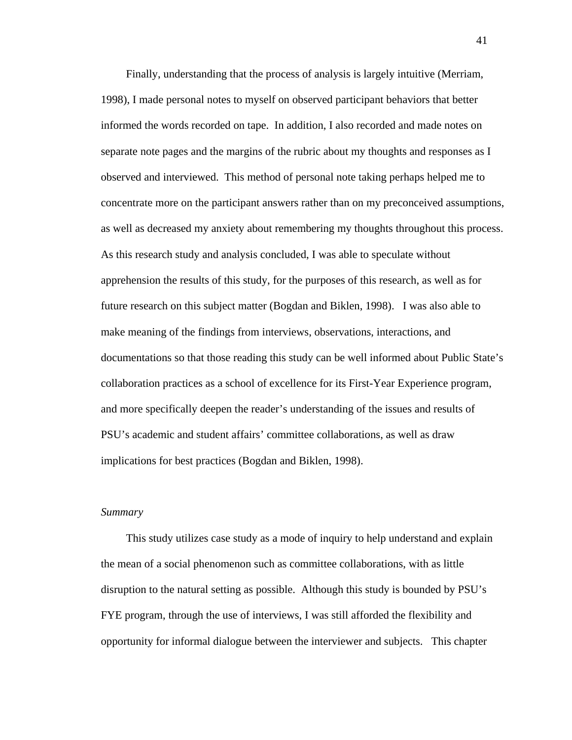Finally, understanding that the process of analysis is largely intuitive (Merriam, 1998), I made personal notes to myself on observed participant behaviors that better informed the words recorded on tape. In addition, I also recorded and made notes on separate note pages and the margins of the rubric about my thoughts and responses as I observed and interviewed. This method of personal note taking perhaps helped me to concentrate more on the participant answers rather than on my preconceived assumptions, as well as decreased my anxiety about remembering my thoughts throughout this process. As this research study and analysis concluded, I was able to speculate without apprehension the results of this study, for the purposes of this research, as well as for future research on this subject matter (Bogdan and Biklen, 1998). I was also able to make meaning of the findings from interviews, observations, interactions, and documentations so that those reading this study can be well informed about Public State's collaboration practices as a school of excellence for its First-Year Experience program, and more specifically deepen the reader's understanding of the issues and results of PSU's academic and student affairs' committee collaborations, as well as draw implications for best practices (Bogdan and Biklen, 1998).

#### *Summary*

 This study utilizes case study as a mode of inquiry to help understand and explain the mean of a social phenomenon such as committee collaborations, with as little disruption to the natural setting as possible. Although this study is bounded by PSU's FYE program, through the use of interviews, I was still afforded the flexibility and opportunity for informal dialogue between the interviewer and subjects. This chapter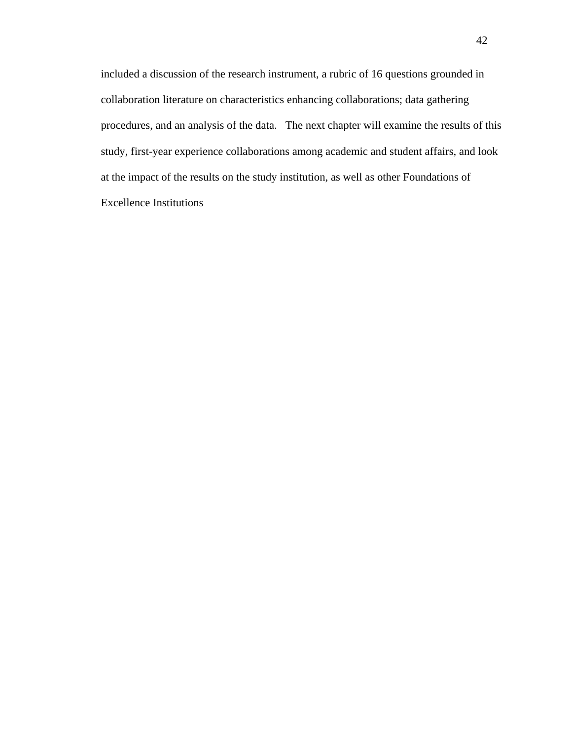included a discussion of the research instrument, a rubric of 16 questions grounded in collaboration literature on characteristics enhancing collaborations; data gathering procedures, and an analysis of the data. The next chapter will examine the results of this study, first-year experience collaborations among academic and student affairs, and look at the impact of the results on the study institution, as well as other Foundations of Excellence Institutions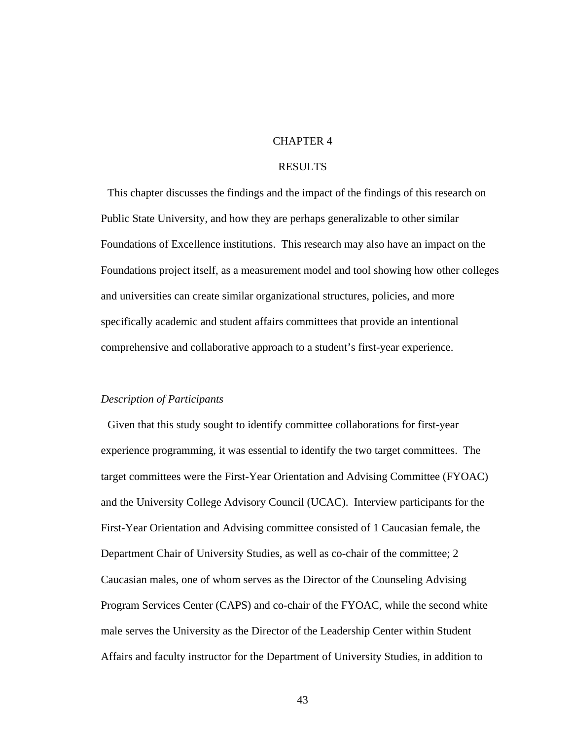# CHAPTER 4

# RESULTS

 This chapter discusses the findings and the impact of the findings of this research on Public State University, and how they are perhaps generalizable to other similar Foundations of Excellence institutions. This research may also have an impact on the Foundations project itself, as a measurement model and tool showing how other colleges and universities can create similar organizational structures, policies, and more specifically academic and student affairs committees that provide an intentional comprehensive and collaborative approach to a student's first-year experience.

#### *Description of Participants*

 Given that this study sought to identify committee collaborations for first-year experience programming, it was essential to identify the two target committees. The target committees were the First-Year Orientation and Advising Committee (FYOAC) and the University College Advisory Council (UCAC). Interview participants for the First-Year Orientation and Advising committee consisted of 1 Caucasian female, the Department Chair of University Studies, as well as co-chair of the committee; 2 Caucasian males, one of whom serves as the Director of the Counseling Advising Program Services Center (CAPS) and co-chair of the FYOAC, while the second white male serves the University as the Director of the Leadership Center within Student Affairs and faculty instructor for the Department of University Studies, in addition to

43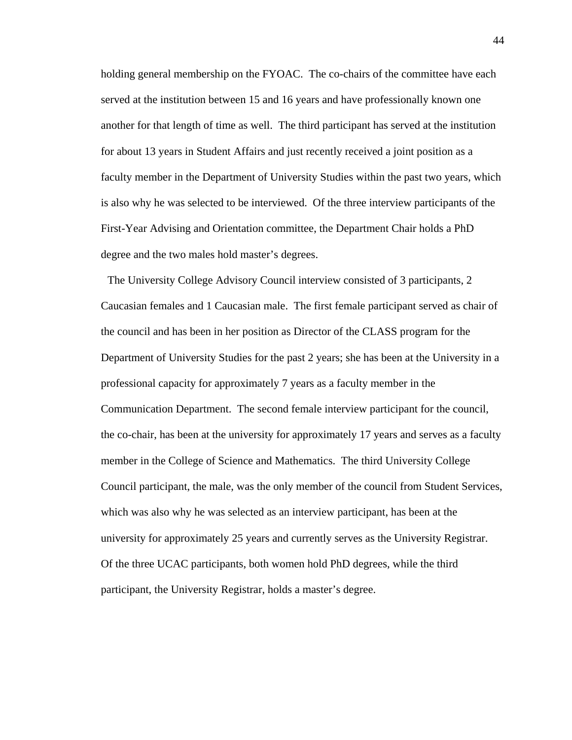holding general membership on the FYOAC. The co-chairs of the committee have each served at the institution between 15 and 16 years and have professionally known one another for that length of time as well. The third participant has served at the institution for about 13 years in Student Affairs and just recently received a joint position as a faculty member in the Department of University Studies within the past two years, which is also why he was selected to be interviewed. Of the three interview participants of the First-Year Advising and Orientation committee, the Department Chair holds a PhD degree and the two males hold master's degrees.

 The University College Advisory Council interview consisted of 3 participants, 2 Caucasian females and 1 Caucasian male. The first female participant served as chair of the council and has been in her position as Director of the CLASS program for the Department of University Studies for the past 2 years; she has been at the University in a professional capacity for approximately 7 years as a faculty member in the Communication Department. The second female interview participant for the council, the co-chair, has been at the university for approximately 17 years and serves as a faculty member in the College of Science and Mathematics. The third University College Council participant, the male, was the only member of the council from Student Services, which was also why he was selected as an interview participant, has been at the university for approximately 25 years and currently serves as the University Registrar. Of the three UCAC participants, both women hold PhD degrees, while the third participant, the University Registrar, holds a master's degree.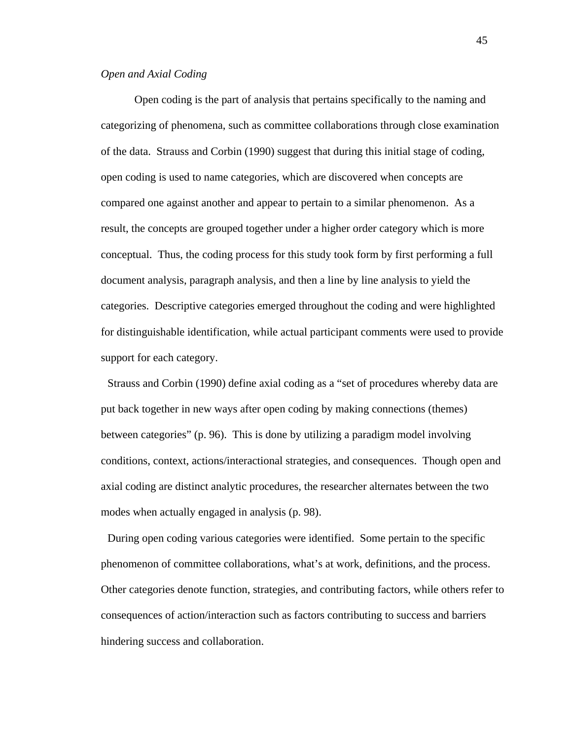### *Open and Axial Coding*

Open coding is the part of analysis that pertains specifically to the naming and categorizing of phenomena, such as committee collaborations through close examination of the data. Strauss and Corbin (1990) suggest that during this initial stage of coding, open coding is used to name categories, which are discovered when concepts are compared one against another and appear to pertain to a similar phenomenon. As a result, the concepts are grouped together under a higher order category which is more conceptual. Thus, the coding process for this study took form by first performing a full document analysis, paragraph analysis, and then a line by line analysis to yield the categories. Descriptive categories emerged throughout the coding and were highlighted for distinguishable identification, while actual participant comments were used to provide support for each category.

 Strauss and Corbin (1990) define axial coding as a "set of procedures whereby data are put back together in new ways after open coding by making connections (themes) between categories" (p. 96). This is done by utilizing a paradigm model involving conditions, context, actions/interactional strategies, and consequences. Though open and axial coding are distinct analytic procedures, the researcher alternates between the two modes when actually engaged in analysis (p. 98).

 During open coding various categories were identified. Some pertain to the specific phenomenon of committee collaborations, what's at work, definitions, and the process. Other categories denote function, strategies, and contributing factors, while others refer to consequences of action/interaction such as factors contributing to success and barriers hindering success and collaboration.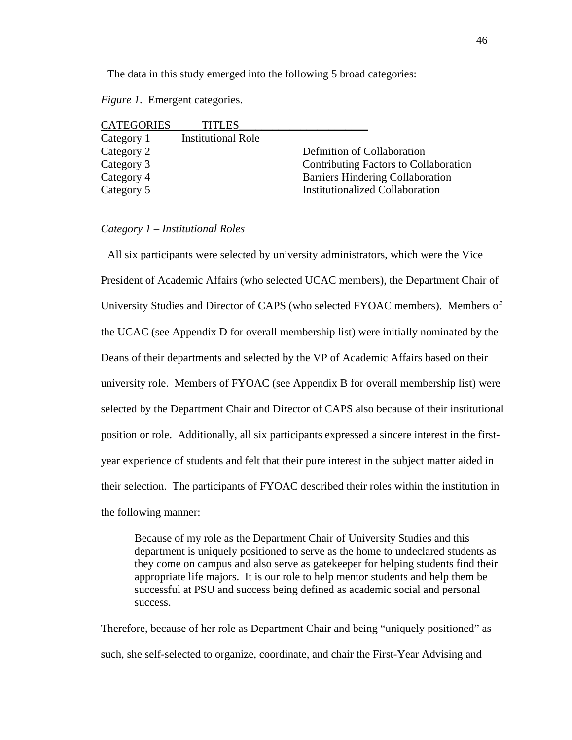The data in this study emerged into the following 5 broad categories:

*Figure 1.* Emergent categories.

| <b>CATEGORIES</b> | <b>TITLES</b>             |                                         |
|-------------------|---------------------------|-----------------------------------------|
| Category 1        | <b>Institutional Role</b> |                                         |
| Category 2        |                           | Definition of Collaboration             |
| Category 3        |                           | Contributing Factors to Collaboration   |
| Category 4        |                           | <b>Barriers Hindering Collaboration</b> |
| Category 5        |                           | <b>Institutionalized Collaboration</b>  |

### *Category 1 – Institutional Roles*

 All six participants were selected by university administrators, which were the Vice President of Academic Affairs (who selected UCAC members), the Department Chair of University Studies and Director of CAPS (who selected FYOAC members). Members of the UCAC (see Appendix D for overall membership list) were initially nominated by the Deans of their departments and selected by the VP of Academic Affairs based on their university role. Members of FYOAC (see Appendix B for overall membership list) were selected by the Department Chair and Director of CAPS also because of their institutional position or role. Additionally, all six participants expressed a sincere interest in the firstyear experience of students and felt that their pure interest in the subject matter aided in their selection. The participants of FYOAC described their roles within the institution in the following manner:

Because of my role as the Department Chair of University Studies and this department is uniquely positioned to serve as the home to undeclared students as they come on campus and also serve as gatekeeper for helping students find their appropriate life majors. It is our role to help mentor students and help them be successful at PSU and success being defined as academic social and personal success.

Therefore, because of her role as Department Chair and being "uniquely positioned" as such, she self-selected to organize, coordinate, and chair the First-Year Advising and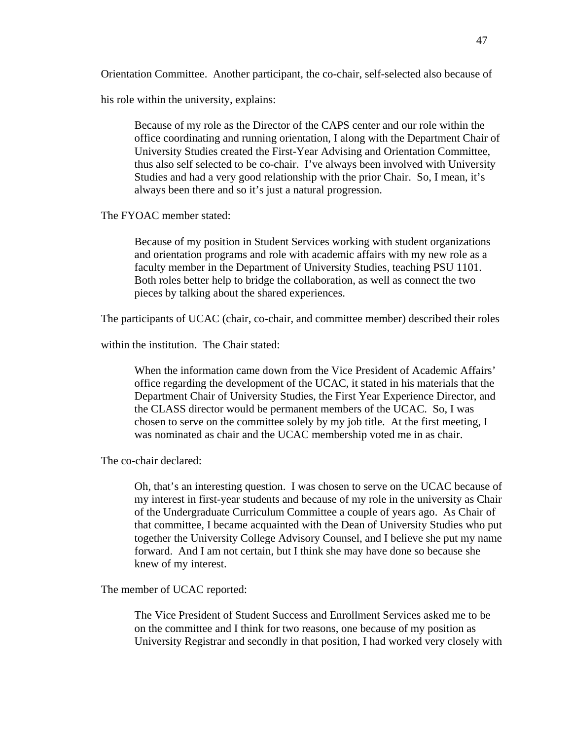Orientation Committee. Another participant, the co-chair, self-selected also because of

his role within the university, explains:

Because of my role as the Director of the CAPS center and our role within the office coordinating and running orientation, I along with the Department Chair of University Studies created the First-Year Advising and Orientation Committee, thus also self selected to be co-chair. I've always been involved with University Studies and had a very good relationship with the prior Chair. So, I mean, it's always been there and so it's just a natural progression.

The FYOAC member stated:

Because of my position in Student Services working with student organizations and orientation programs and role with academic affairs with my new role as a faculty member in the Department of University Studies, teaching PSU 1101. Both roles better help to bridge the collaboration, as well as connect the two pieces by talking about the shared experiences.

The participants of UCAC (chair, co-chair, and committee member) described their roles

within the institution. The Chair stated:

When the information came down from the Vice President of Academic Affairs' office regarding the development of the UCAC, it stated in his materials that the Department Chair of University Studies, the First Year Experience Director, and the CLASS director would be permanent members of the UCAC. So, I was chosen to serve on the committee solely by my job title. At the first meeting, I was nominated as chair and the UCAC membership voted me in as chair.

The co-chair declared:

Oh, that's an interesting question. I was chosen to serve on the UCAC because of my interest in first-year students and because of my role in the university as Chair of the Undergraduate Curriculum Committee a couple of years ago. As Chair of that committee, I became acquainted with the Dean of University Studies who put together the University College Advisory Counsel, and I believe she put my name forward. And I am not certain, but I think she may have done so because she knew of my interest.

The member of UCAC reported:

The Vice President of Student Success and Enrollment Services asked me to be on the committee and I think for two reasons, one because of my position as University Registrar and secondly in that position, I had worked very closely with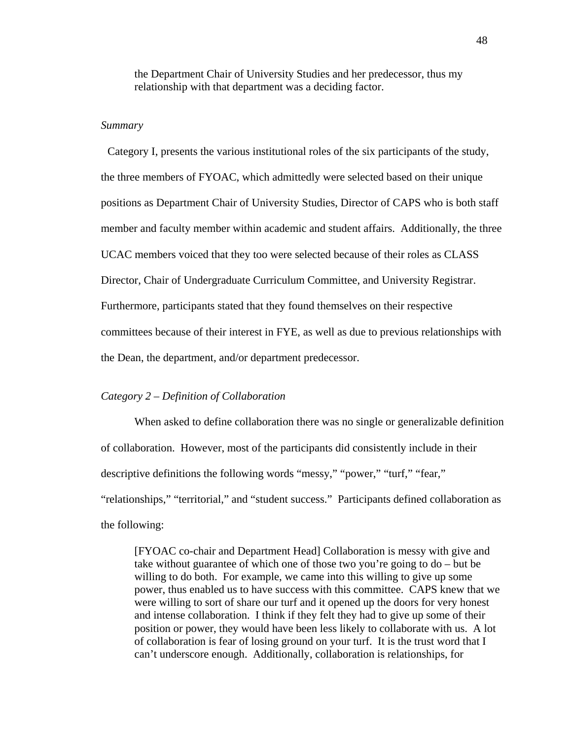the Department Chair of University Studies and her predecessor, thus my relationship with that department was a deciding factor.

### *Summary*

 Category I, presents the various institutional roles of the six participants of the study, the three members of FYOAC, which admittedly were selected based on their unique positions as Department Chair of University Studies, Director of CAPS who is both staff member and faculty member within academic and student affairs. Additionally, the three UCAC members voiced that they too were selected because of their roles as CLASS Director, Chair of Undergraduate Curriculum Committee, and University Registrar. Furthermore, participants stated that they found themselves on their respective committees because of their interest in FYE, as well as due to previous relationships with the Dean, the department, and/or department predecessor.

### *Category 2 – Definition of Collaboration*

When asked to define collaboration there was no single or generalizable definition of collaboration. However, most of the participants did consistently include in their descriptive definitions the following words "messy," "power," "turf," "fear," "relationships," "territorial," and "student success." Participants defined collaboration as the following:

[FYOAC co-chair and Department Head] Collaboration is messy with give and take without guarantee of which one of those two you're going to do – but be willing to do both. For example, we came into this willing to give up some power, thus enabled us to have success with this committee. CAPS knew that we were willing to sort of share our turf and it opened up the doors for very honest and intense collaboration. I think if they felt they had to give up some of their position or power, they would have been less likely to collaborate with us. A lot of collaboration is fear of losing ground on your turf. It is the trust word that I can't underscore enough. Additionally, collaboration is relationships, for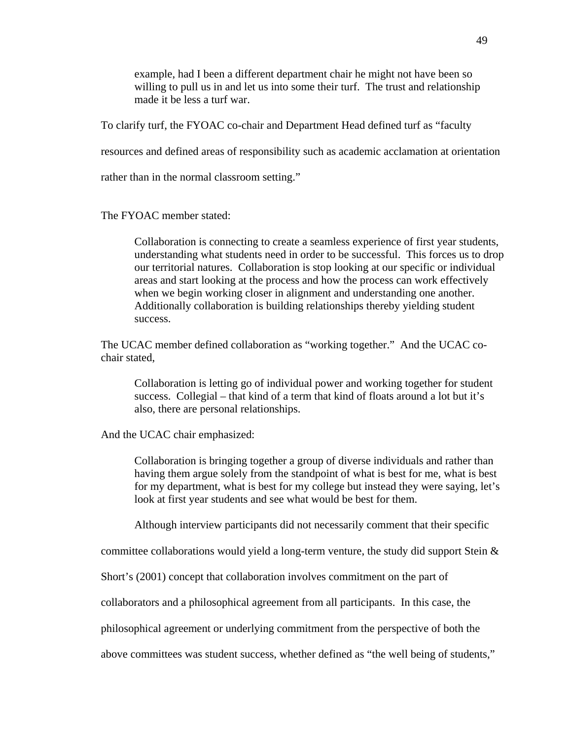example, had I been a different department chair he might not have been so willing to pull us in and let us into some their turf. The trust and relationship made it be less a turf war.

To clarify turf, the FYOAC co-chair and Department Head defined turf as "faculty

resources and defined areas of responsibility such as academic acclamation at orientation

rather than in the normal classroom setting."

The FYOAC member stated:

Collaboration is connecting to create a seamless experience of first year students, understanding what students need in order to be successful. This forces us to drop our territorial natures. Collaboration is stop looking at our specific or individual areas and start looking at the process and how the process can work effectively when we begin working closer in alignment and understanding one another. Additionally collaboration is building relationships thereby yielding student success.

The UCAC member defined collaboration as "working together." And the UCAC cochair stated,

Collaboration is letting go of individual power and working together for student success. Collegial – that kind of a term that kind of floats around a lot but it's also, there are personal relationships.

And the UCAC chair emphasized:

Collaboration is bringing together a group of diverse individuals and rather than having them argue solely from the standpoint of what is best for me, what is best for my department, what is best for my college but instead they were saying, let's look at first year students and see what would be best for them.

Although interview participants did not necessarily comment that their specific

committee collaborations would yield a long-term venture, the study did support Stein  $\&$ 

Short's (2001) concept that collaboration involves commitment on the part of

collaborators and a philosophical agreement from all participants. In this case, the

philosophical agreement or underlying commitment from the perspective of both the

above committees was student success, whether defined as "the well being of students,"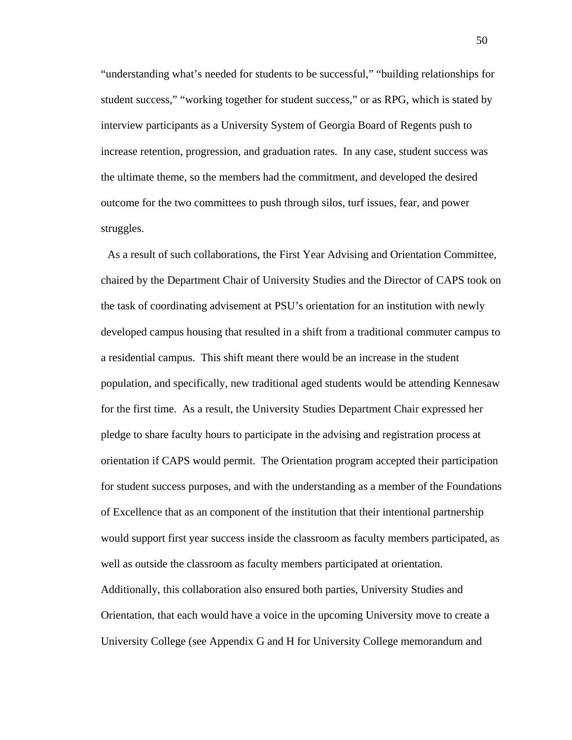"understanding what's needed for students to be successful," "building relationships for student success," "working together for student success," or as RPG, which is stated by interview participants as a University System of Georgia Board of Regents push to increase retention, progression, and graduation rates. In any case, student success was the ultimate theme, so the members had the commitment, and developed the desired outcome for the two committees to push through silos, turf issues, fear, and power struggles.

 As a result of such collaborations, the First Year Advising and Orientation Committee, chaired by the Department Chair of University Studies and the Director of CAPS took on the task of coordinating advisement at PSU's orientation for an institution with newly developed campus housing that resulted in a shift from a traditional commuter campus to a residential campus. This shift meant there would be an increase in the student population, and specifically, new traditional aged students would be attending Kennesaw for the first time. As a result, the University Studies Department Chair expressed her pledge to share faculty hours to participate in the advising and registration process at orientation if CAPS would permit. The Orientation program accepted their participation for student success purposes, and with the understanding as a member of the Foundations of Excellence that as an component of the institution that their intentional partnership would support first year success inside the classroom as faculty members participated, as well as outside the classroom as faculty members participated at orientation. Additionally, this collaboration also ensured both parties, University Studies and Orientation, that each would have a voice in the upcoming University move to create a University College (see Appendix G and H for University College memorandum and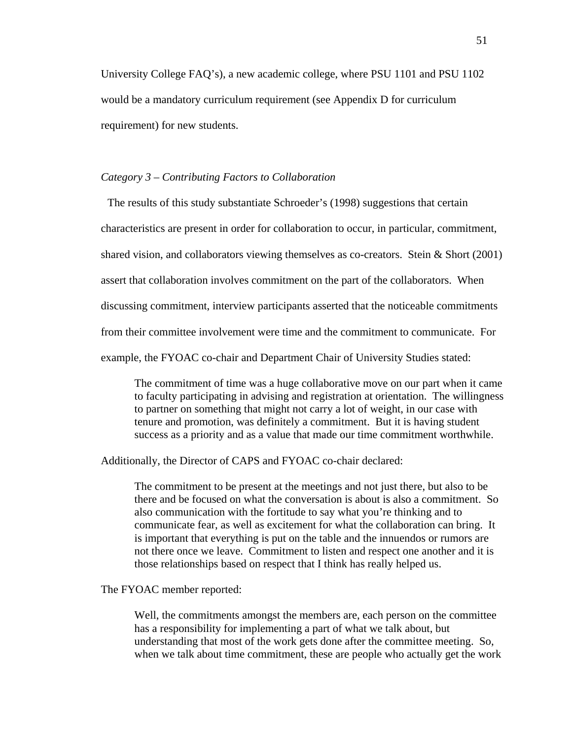University College FAQ's), a new academic college, where PSU 1101 and PSU 1102 would be a mandatory curriculum requirement (see Appendix D for curriculum requirement) for new students.

#### *Category 3 – Contributing Factors to Collaboration*

 The results of this study substantiate Schroeder's (1998) suggestions that certain characteristics are present in order for collaboration to occur, in particular, commitment, shared vision, and collaborators viewing themselves as co-creators. Stein & Short (2001) assert that collaboration involves commitment on the part of the collaborators. When discussing commitment, interview participants asserted that the noticeable commitments from their committee involvement were time and the commitment to communicate. For example, the FYOAC co-chair and Department Chair of University Studies stated:

The commitment of time was a huge collaborative move on our part when it came to faculty participating in advising and registration at orientation. The willingness to partner on something that might not carry a lot of weight, in our case with tenure and promotion, was definitely a commitment. But it is having student success as a priority and as a value that made our time commitment worthwhile.

Additionally, the Director of CAPS and FYOAC co-chair declared:

The commitment to be present at the meetings and not just there, but also to be there and be focused on what the conversation is about is also a commitment. So also communication with the fortitude to say what you're thinking and to communicate fear, as well as excitement for what the collaboration can bring. It is important that everything is put on the table and the innuendos or rumors are not there once we leave. Commitment to listen and respect one another and it is those relationships based on respect that I think has really helped us.

### The FYOAC member reported:

Well, the commitments amongst the members are, each person on the committee has a responsibility for implementing a part of what we talk about, but understanding that most of the work gets done after the committee meeting. So, when we talk about time commitment, these are people who actually get the work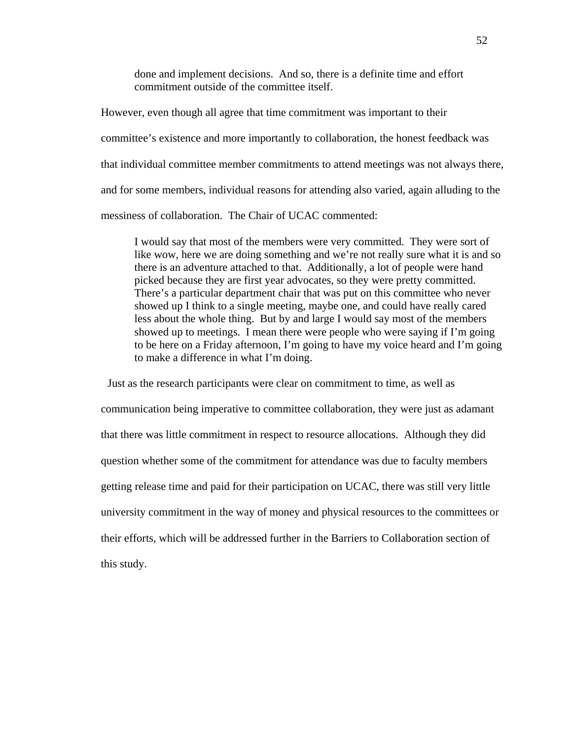done and implement decisions. And so, there is a definite time and effort commitment outside of the committee itself.

However, even though all agree that time commitment was important to their committee's existence and more importantly to collaboration, the honest feedback was that individual committee member commitments to attend meetings was not always there, and for some members, individual reasons for attending also varied, again alluding to the messiness of collaboration. The Chair of UCAC commented:

I would say that most of the members were very committed. They were sort of like wow, here we are doing something and we're not really sure what it is and so there is an adventure attached to that. Additionally, a lot of people were hand picked because they are first year advocates, so they were pretty committed. There's a particular department chair that was put on this committee who never showed up I think to a single meeting, maybe one, and could have really cared less about the whole thing. But by and large I would say most of the members showed up to meetings. I mean there were people who were saying if I'm going to be here on a Friday afternoon, I'm going to have my voice heard and I'm going to make a difference in what I'm doing.

 Just as the research participants were clear on commitment to time, as well as communication being imperative to committee collaboration, they were just as adamant that there was little commitment in respect to resource allocations. Although they did question whether some of the commitment for attendance was due to faculty members getting release time and paid for their participation on UCAC, there was still very little university commitment in the way of money and physical resources to the committees or their efforts, which will be addressed further in the Barriers to Collaboration section of this study.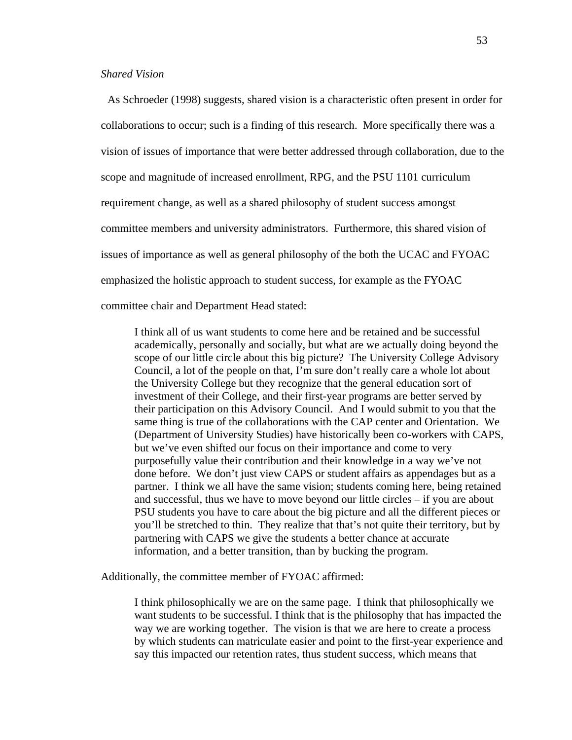# *Shared Vision*

 As Schroeder (1998) suggests, shared vision is a characteristic often present in order for collaborations to occur; such is a finding of this research. More specifically there was a vision of issues of importance that were better addressed through collaboration, due to the scope and magnitude of increased enrollment, RPG, and the PSU 1101 curriculum requirement change, as well as a shared philosophy of student success amongst committee members and university administrators. Furthermore, this shared vision of issues of importance as well as general philosophy of the both the UCAC and FYOAC emphasized the holistic approach to student success, for example as the FYOAC committee chair and Department Head stated:

I think all of us want students to come here and be retained and be successful academically, personally and socially, but what are we actually doing beyond the scope of our little circle about this big picture? The University College Advisory Council, a lot of the people on that, I'm sure don't really care a whole lot about the University College but they recognize that the general education sort of investment of their College, and their first-year programs are better served by their participation on this Advisory Council. And I would submit to you that the same thing is true of the collaborations with the CAP center and Orientation. We (Department of University Studies) have historically been co-workers with CAPS, but we've even shifted our focus on their importance and come to very purposefully value their contribution and their knowledge in a way we've not done before. We don't just view CAPS or student affairs as appendages but as a partner. I think we all have the same vision; students coming here, being retained and successful, thus we have to move beyond our little circles – if you are about PSU students you have to care about the big picture and all the different pieces or you'll be stretched to thin. They realize that that's not quite their territory, but by partnering with CAPS we give the students a better chance at accurate information, and a better transition, than by bucking the program.

Additionally, the committee member of FYOAC affirmed:

I think philosophically we are on the same page. I think that philosophically we want students to be successful. I think that is the philosophy that has impacted the way we are working together. The vision is that we are here to create a process by which students can matriculate easier and point to the first-year experience and say this impacted our retention rates, thus student success, which means that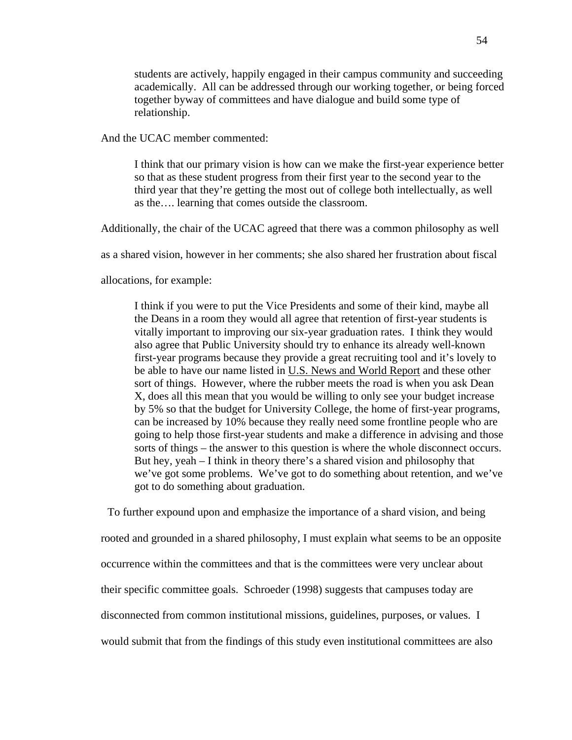students are actively, happily engaged in their campus community and succeeding academically. All can be addressed through our working together, or being forced together byway of committees and have dialogue and build some type of relationship.

And the UCAC member commented:

I think that our primary vision is how can we make the first-year experience better so that as these student progress from their first year to the second year to the third year that they're getting the most out of college both intellectually, as well as the…. learning that comes outside the classroom.

Additionally, the chair of the UCAC agreed that there was a common philosophy as well

as a shared vision, however in her comments; she also shared her frustration about fiscal

allocations, for example:

I think if you were to put the Vice Presidents and some of their kind, maybe all the Deans in a room they would all agree that retention of first-year students is vitally important to improving our six-year graduation rates. I think they would also agree that Public University should try to enhance its already well-known first-year programs because they provide a great recruiting tool and it's lovely to be able to have our name listed in U.S. News and World Report and these other sort of things. However, where the rubber meets the road is when you ask Dean X, does all this mean that you would be willing to only see your budget increase by 5% so that the budget for University College, the home of first-year programs, can be increased by 10% because they really need some frontline people who are going to help those first-year students and make a difference in advising and those sorts of things – the answer to this question is where the whole disconnect occurs. But hey, yeah – I think in theory there's a shared vision and philosophy that we've got some problems. We've got to do something about retention, and we've got to do something about graduation.

 To further expound upon and emphasize the importance of a shard vision, and being rooted and grounded in a shared philosophy, I must explain what seems to be an opposite occurrence within the committees and that is the committees were very unclear about their specific committee goals. Schroeder (1998) suggests that campuses today are disconnected from common institutional missions, guidelines, purposes, or values. I would submit that from the findings of this study even institutional committees are also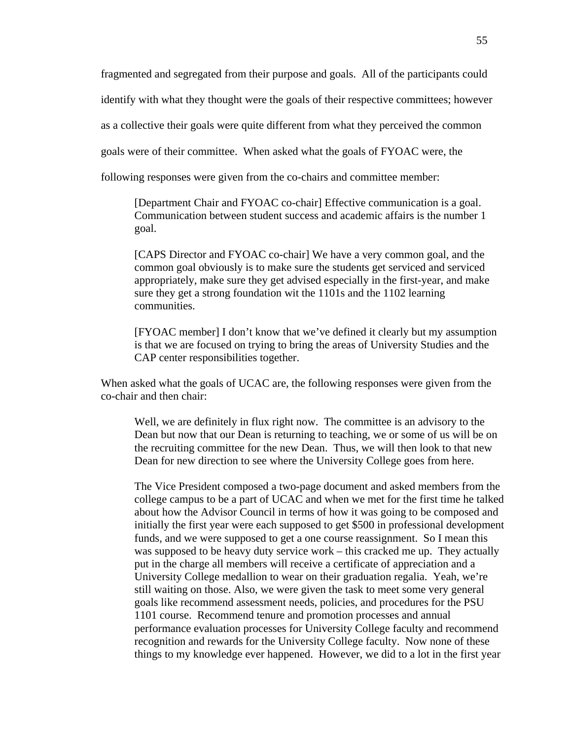fragmented and segregated from their purpose and goals. All of the participants could

identify with what they thought were the goals of their respective committees; however

as a collective their goals were quite different from what they perceived the common

goals were of their committee. When asked what the goals of FYOAC were, the

following responses were given from the co-chairs and committee member:

[Department Chair and FYOAC co-chair] Effective communication is a goal. Communication between student success and academic affairs is the number 1 goal.

[CAPS Director and FYOAC co-chair] We have a very common goal, and the common goal obviously is to make sure the students get serviced and serviced appropriately, make sure they get advised especially in the first-year, and make sure they get a strong foundation wit the 1101s and the 1102 learning communities.

[FYOAC member] I don't know that we've defined it clearly but my assumption is that we are focused on trying to bring the areas of University Studies and the CAP center responsibilities together.

When asked what the goals of UCAC are, the following responses were given from the co-chair and then chair:

Well, we are definitely in flux right now. The committee is an advisory to the Dean but now that our Dean is returning to teaching, we or some of us will be on the recruiting committee for the new Dean. Thus, we will then look to that new Dean for new direction to see where the University College goes from here.

The Vice President composed a two-page document and asked members from the college campus to be a part of UCAC and when we met for the first time he talked about how the Advisor Council in terms of how it was going to be composed and initially the first year were each supposed to get \$500 in professional development funds, and we were supposed to get a one course reassignment. So I mean this was supposed to be heavy duty service work – this cracked me up. They actually put in the charge all members will receive a certificate of appreciation and a University College medallion to wear on their graduation regalia. Yeah, we're still waiting on those. Also, we were given the task to meet some very general goals like recommend assessment needs, policies, and procedures for the PSU 1101 course. Recommend tenure and promotion processes and annual performance evaluation processes for University College faculty and recommend recognition and rewards for the University College faculty. Now none of these things to my knowledge ever happened. However, we did to a lot in the first year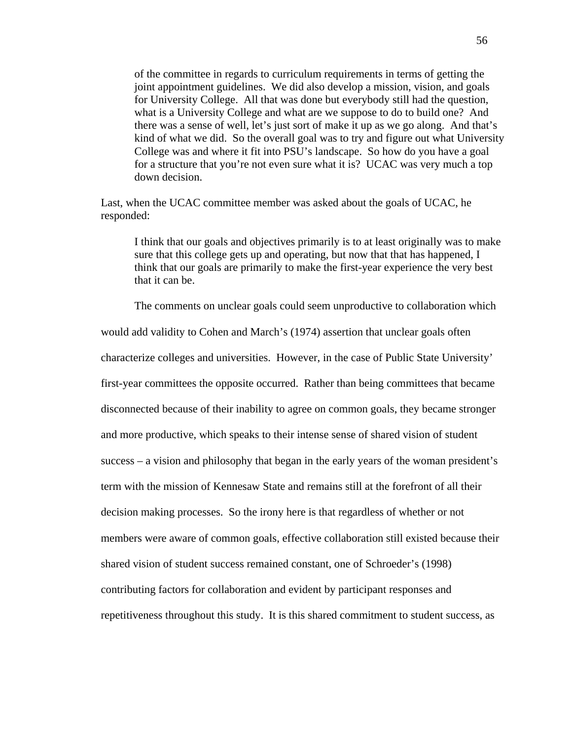of the committee in regards to curriculum requirements in terms of getting the joint appointment guidelines. We did also develop a mission, vision, and goals for University College. All that was done but everybody still had the question, what is a University College and what are we suppose to do to build one? And there was a sense of well, let's just sort of make it up as we go along. And that's kind of what we did. So the overall goal was to try and figure out what University College was and where it fit into PSU's landscape. So how do you have a goal for a structure that you're not even sure what it is? UCAC was very much a top down decision.

Last, when the UCAC committee member was asked about the goals of UCAC, he responded:

I think that our goals and objectives primarily is to at least originally was to make sure that this college gets up and operating, but now that that has happened, I think that our goals are primarily to make the first-year experience the very best that it can be.

The comments on unclear goals could seem unproductive to collaboration which

would add validity to Cohen and March's (1974) assertion that unclear goals often characterize colleges and universities. However, in the case of Public State University' first-year committees the opposite occurred. Rather than being committees that became disconnected because of their inability to agree on common goals, they became stronger and more productive, which speaks to their intense sense of shared vision of student success – a vision and philosophy that began in the early years of the woman president's term with the mission of Kennesaw State and remains still at the forefront of all their decision making processes. So the irony here is that regardless of whether or not members were aware of common goals, effective collaboration still existed because their shared vision of student success remained constant, one of Schroeder's (1998) contributing factors for collaboration and evident by participant responses and repetitiveness throughout this study. It is this shared commitment to student success, as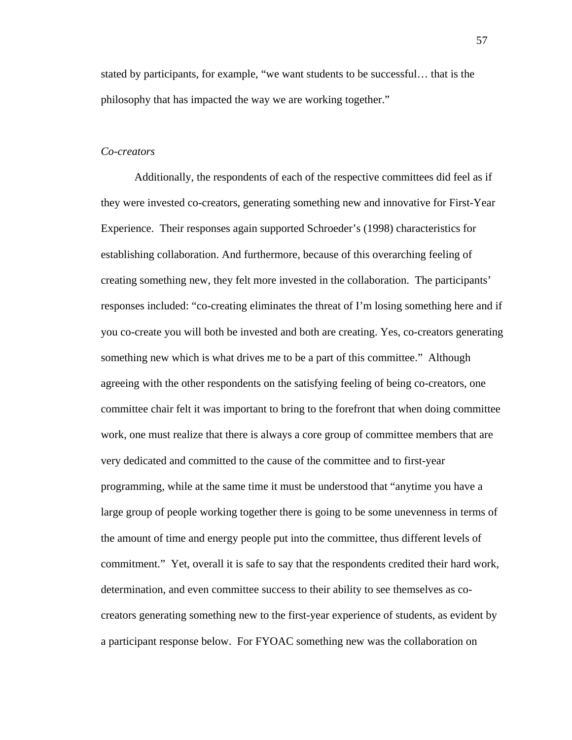stated by participants, for example, "we want students to be successful… that is the philosophy that has impacted the way we are working together."

# *Co-creators*

Additionally, the respondents of each of the respective committees did feel as if they were invested co-creators, generating something new and innovative for First-Year Experience. Their responses again supported Schroeder's (1998) characteristics for establishing collaboration. And furthermore, because of this overarching feeling of creating something new, they felt more invested in the collaboration. The participants' responses included: "co-creating eliminates the threat of I'm losing something here and if you co-create you will both be invested and both are creating. Yes, co-creators generating something new which is what drives me to be a part of this committee." Although agreeing with the other respondents on the satisfying feeling of being co-creators, one committee chair felt it was important to bring to the forefront that when doing committee work, one must realize that there is always a core group of committee members that are very dedicated and committed to the cause of the committee and to first-year programming, while at the same time it must be understood that "anytime you have a large group of people working together there is going to be some unevenness in terms of the amount of time and energy people put into the committee, thus different levels of commitment." Yet, overall it is safe to say that the respondents credited their hard work, determination, and even committee success to their ability to see themselves as cocreators generating something new to the first-year experience of students, as evident by a participant response below. For FYOAC something new was the collaboration on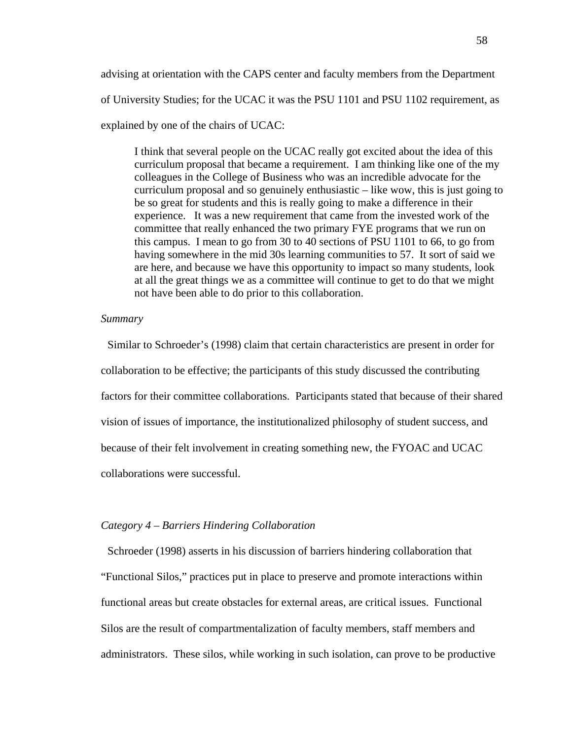advising at orientation with the CAPS center and faculty members from the Department of University Studies; for the UCAC it was the PSU 1101 and PSU 1102 requirement, as explained by one of the chairs of UCAC:

I think that several people on the UCAC really got excited about the idea of this curriculum proposal that became a requirement. I am thinking like one of the my colleagues in the College of Business who was an incredible advocate for the curriculum proposal and so genuinely enthusiastic – like wow, this is just going to be so great for students and this is really going to make a difference in their experience. It was a new requirement that came from the invested work of the committee that really enhanced the two primary FYE programs that we run on this campus. I mean to go from 30 to 40 sections of PSU 1101 to 66, to go from having somewhere in the mid 30s learning communities to 57. It sort of said we are here, and because we have this opportunity to impact so many students, look at all the great things we as a committee will continue to get to do that we might not have been able to do prior to this collaboration.

# *Summary*

 Similar to Schroeder's (1998) claim that certain characteristics are present in order for collaboration to be effective; the participants of this study discussed the contributing factors for their committee collaborations. Participants stated that because of their shared vision of issues of importance, the institutionalized philosophy of student success, and because of their felt involvement in creating something new, the FYOAC and UCAC collaborations were successful.

### *Category 4 – Barriers Hindering Collaboration*

 Schroeder (1998) asserts in his discussion of barriers hindering collaboration that "Functional Silos," practices put in place to preserve and promote interactions within functional areas but create obstacles for external areas, are critical issues. Functional Silos are the result of compartmentalization of faculty members, staff members and administrators. These silos, while working in such isolation, can prove to be productive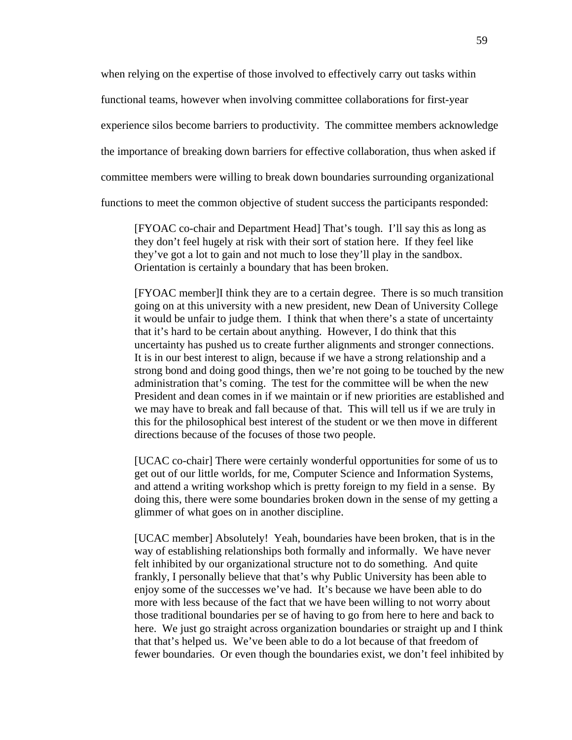when relying on the expertise of those involved to effectively carry out tasks within

functional teams, however when involving committee collaborations for first-year

experience silos become barriers to productivity. The committee members acknowledge

the importance of breaking down barriers for effective collaboration, thus when asked if

committee members were willing to break down boundaries surrounding organizational

functions to meet the common objective of student success the participants responded:

[FYOAC co-chair and Department Head] That's tough. I'll say this as long as they don't feel hugely at risk with their sort of station here. If they feel like they've got a lot to gain and not much to lose they'll play in the sandbox. Orientation is certainly a boundary that has been broken.

[FYOAC member]I think they are to a certain degree. There is so much transition going on at this university with a new president, new Dean of University College it would be unfair to judge them. I think that when there's a state of uncertainty that it's hard to be certain about anything. However, I do think that this uncertainty has pushed us to create further alignments and stronger connections. It is in our best interest to align, because if we have a strong relationship and a strong bond and doing good things, then we're not going to be touched by the new administration that's coming. The test for the committee will be when the new President and dean comes in if we maintain or if new priorities are established and we may have to break and fall because of that. This will tell us if we are truly in this for the philosophical best interest of the student or we then move in different directions because of the focuses of those two people.

[UCAC co-chair] There were certainly wonderful opportunities for some of us to get out of our little worlds, for me, Computer Science and Information Systems, and attend a writing workshop which is pretty foreign to my field in a sense. By doing this, there were some boundaries broken down in the sense of my getting a glimmer of what goes on in another discipline.

[UCAC member] Absolutely! Yeah, boundaries have been broken, that is in the way of establishing relationships both formally and informally. We have never felt inhibited by our organizational structure not to do something. And quite frankly, I personally believe that that's why Public University has been able to enjoy some of the successes we've had. It's because we have been able to do more with less because of the fact that we have been willing to not worry about those traditional boundaries per se of having to go from here to here and back to here. We just go straight across organization boundaries or straight up and I think that that's helped us. We've been able to do a lot because of that freedom of fewer boundaries. Or even though the boundaries exist, we don't feel inhibited by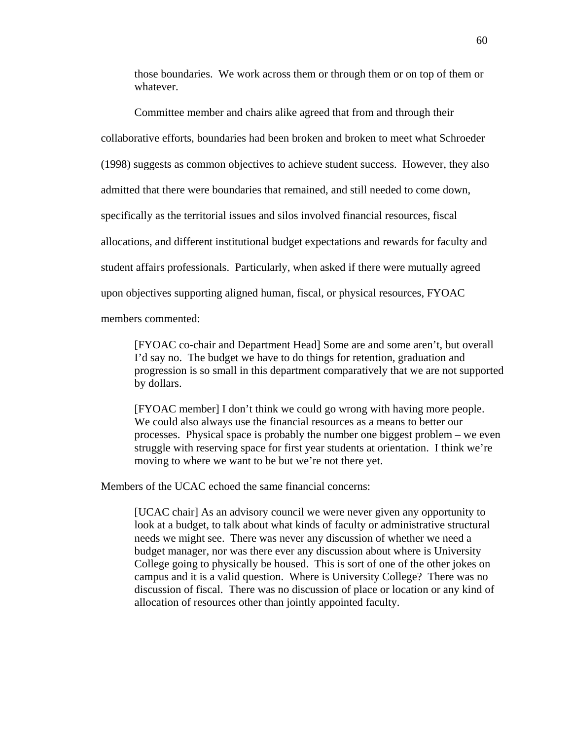those boundaries. We work across them or through them or on top of them or whatever.

Committee member and chairs alike agreed that from and through their collaborative efforts, boundaries had been broken and broken to meet what Schroeder (1998) suggests as common objectives to achieve student success. However, they also admitted that there were boundaries that remained, and still needed to come down, specifically as the territorial issues and silos involved financial resources, fiscal allocations, and different institutional budget expectations and rewards for faculty and student affairs professionals. Particularly, when asked if there were mutually agreed upon objectives supporting aligned human, fiscal, or physical resources, FYOAC members commented:

[FYOAC co-chair and Department Head] Some are and some aren't, but overall I'd say no. The budget we have to do things for retention, graduation and progression is so small in this department comparatively that we are not supported by dollars.

[FYOAC member] I don't think we could go wrong with having more people. We could also always use the financial resources as a means to better our processes. Physical space is probably the number one biggest problem – we even struggle with reserving space for first year students at orientation. I think we're moving to where we want to be but we're not there yet.

Members of the UCAC echoed the same financial concerns:

[UCAC chair] As an advisory council we were never given any opportunity to look at a budget, to talk about what kinds of faculty or administrative structural needs we might see. There was never any discussion of whether we need a budget manager, nor was there ever any discussion about where is University College going to physically be housed. This is sort of one of the other jokes on campus and it is a valid question. Where is University College? There was no discussion of fiscal. There was no discussion of place or location or any kind of allocation of resources other than jointly appointed faculty.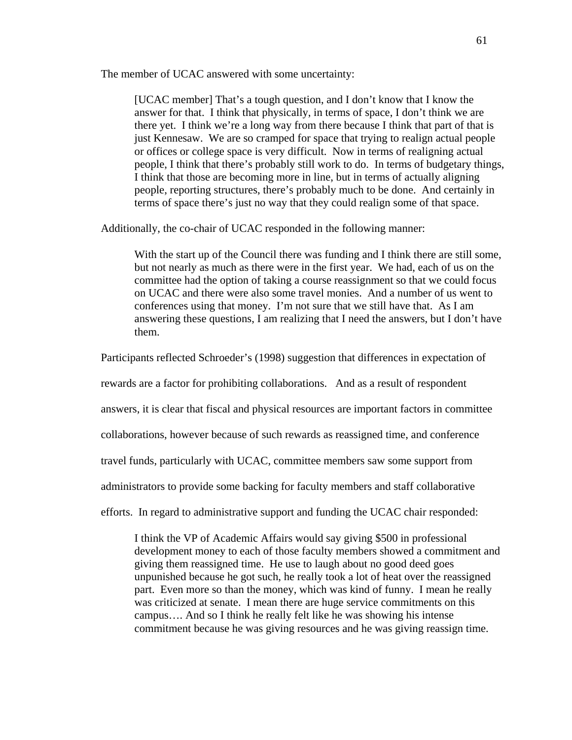The member of UCAC answered with some uncertainty:

[UCAC member] That's a tough question, and I don't know that I know the answer for that. I think that physically, in terms of space, I don't think we are there yet. I think we're a long way from there because I think that part of that is just Kennesaw. We are so cramped for space that trying to realign actual people or offices or college space is very difficult. Now in terms of realigning actual people, I think that there's probably still work to do. In terms of budgetary things, I think that those are becoming more in line, but in terms of actually aligning people, reporting structures, there's probably much to be done. And certainly in terms of space there's just no way that they could realign some of that space.

Additionally, the co-chair of UCAC responded in the following manner:

With the start up of the Council there was funding and I think there are still some, but not nearly as much as there were in the first year. We had, each of us on the committee had the option of taking a course reassignment so that we could focus on UCAC and there were also some travel monies. And a number of us went to conferences using that money. I'm not sure that we still have that. As I am answering these questions, I am realizing that I need the answers, but I don't have them.

Participants reflected Schroeder's (1998) suggestion that differences in expectation of

rewards are a factor for prohibiting collaborations. And as a result of respondent

answers, it is clear that fiscal and physical resources are important factors in committee

collaborations, however because of such rewards as reassigned time, and conference

travel funds, particularly with UCAC, committee members saw some support from

administrators to provide some backing for faculty members and staff collaborative

efforts. In regard to administrative support and funding the UCAC chair responded:

I think the VP of Academic Affairs would say giving \$500 in professional development money to each of those faculty members showed a commitment and giving them reassigned time. He use to laugh about no good deed goes unpunished because he got such, he really took a lot of heat over the reassigned part. Even more so than the money, which was kind of funny. I mean he really was criticized at senate. I mean there are huge service commitments on this campus…. And so I think he really felt like he was showing his intense commitment because he was giving resources and he was giving reassign time.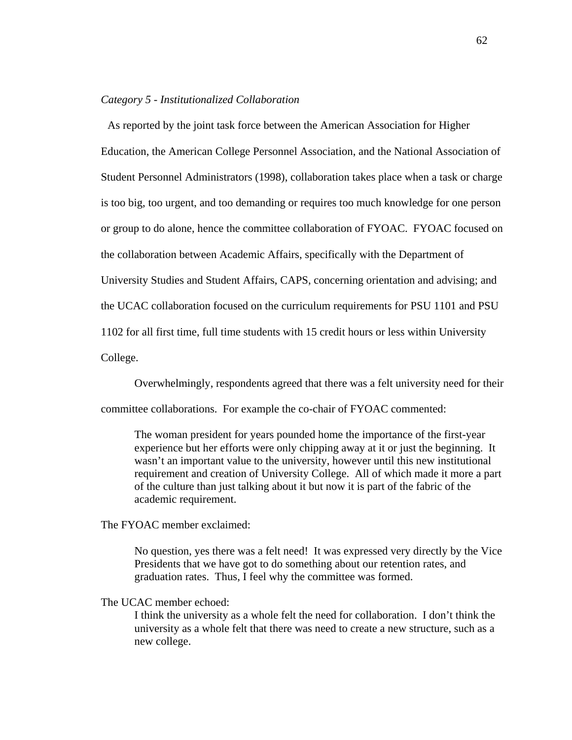## *Category 5 - Institutionalized Collaboration*

 As reported by the joint task force between the American Association for Higher Education, the American College Personnel Association, and the National Association of Student Personnel Administrators (1998), collaboration takes place when a task or charge is too big, too urgent, and too demanding or requires too much knowledge for one person or group to do alone, hence the committee collaboration of FYOAC. FYOAC focused on the collaboration between Academic Affairs, specifically with the Department of University Studies and Student Affairs, CAPS, concerning orientation and advising; and the UCAC collaboration focused on the curriculum requirements for PSU 1101 and PSU 1102 for all first time, full time students with 15 credit hours or less within University College.

Overwhelmingly, respondents agreed that there was a felt university need for their

committee collaborations. For example the co-chair of FYOAC commented:

The woman president for years pounded home the importance of the first-year experience but her efforts were only chipping away at it or just the beginning. It wasn't an important value to the university, however until this new institutional requirement and creation of University College. All of which made it more a part of the culture than just talking about it but now it is part of the fabric of the academic requirement.

The FYOAC member exclaimed:

No question, yes there was a felt need! It was expressed very directly by the Vice Presidents that we have got to do something about our retention rates, and graduation rates. Thus, I feel why the committee was formed.

## The UCAC member echoed:

I think the university as a whole felt the need for collaboration. I don't think the university as a whole felt that there was need to create a new structure, such as a new college.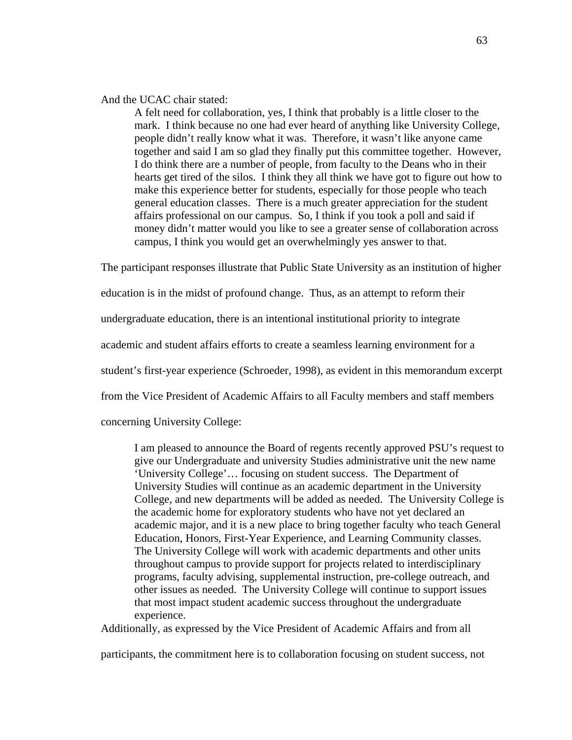## And the UCAC chair stated:

A felt need for collaboration, yes, I think that probably is a little closer to the mark. I think because no one had ever heard of anything like University College, people didn't really know what it was. Therefore, it wasn't like anyone came together and said I am so glad they finally put this committee together. However, I do think there are a number of people, from faculty to the Deans who in their hearts get tired of the silos. I think they all think we have got to figure out how to make this experience better for students, especially for those people who teach general education classes. There is a much greater appreciation for the student affairs professional on our campus. So, I think if you took a poll and said if money didn't matter would you like to see a greater sense of collaboration across campus, I think you would get an overwhelmingly yes answer to that.

The participant responses illustrate that Public State University as an institution of higher

education is in the midst of profound change. Thus, as an attempt to reform their

undergraduate education, there is an intentional institutional priority to integrate

academic and student affairs efforts to create a seamless learning environment for a

student's first-year experience (Schroeder, 1998), as evident in this memorandum excerpt

from the Vice President of Academic Affairs to all Faculty members and staff members

concerning University College:

I am pleased to announce the Board of regents recently approved PSU's request to give our Undergraduate and university Studies administrative unit the new name 'University College'… focusing on student success. The Department of University Studies will continue as an academic department in the University College, and new departments will be added as needed. The University College is the academic home for exploratory students who have not yet declared an academic major, and it is a new place to bring together faculty who teach General Education, Honors, First-Year Experience, and Learning Community classes. The University College will work with academic departments and other units throughout campus to provide support for projects related to interdisciplinary programs, faculty advising, supplemental instruction, pre-college outreach, and other issues as needed. The University College will continue to support issues that most impact student academic success throughout the undergraduate experience.

Additionally, as expressed by the Vice President of Academic Affairs and from all

participants, the commitment here is to collaboration focusing on student success, not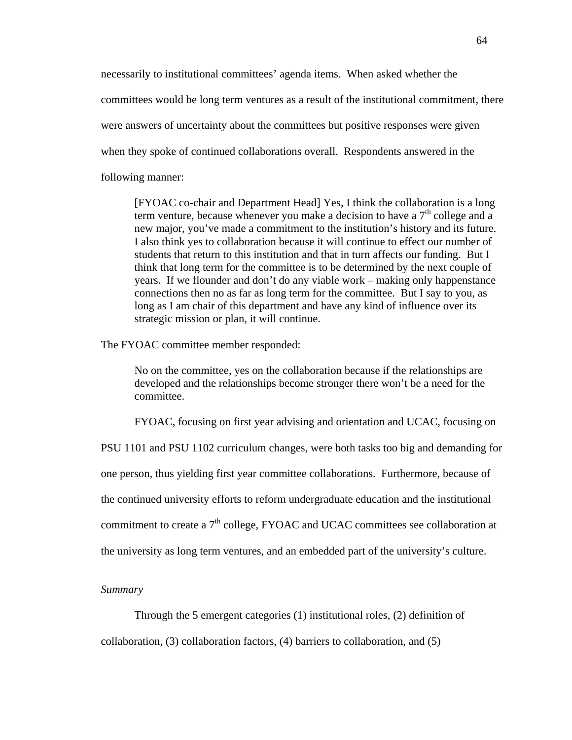necessarily to institutional committees' agenda items. When asked whether the committees would be long term ventures as a result of the institutional commitment, there were answers of uncertainty about the committees but positive responses were given when they spoke of continued collaborations overall. Respondents answered in the following manner:

[FYOAC co-chair and Department Head] Yes, I think the collaboration is a long term venture, because whenever you make a decision to have a  $7<sup>th</sup>$  college and a new major, you've made a commitment to the institution's history and its future. I also think yes to collaboration because it will continue to effect our number of students that return to this institution and that in turn affects our funding. But I think that long term for the committee is to be determined by the next couple of years. If we flounder and don't do any viable work – making only happenstance connections then no as far as long term for the committee. But I say to you, as long as I am chair of this department and have any kind of influence over its strategic mission or plan, it will continue.

The FYOAC committee member responded:

No on the committee, yes on the collaboration because if the relationships are developed and the relationships become stronger there won't be a need for the committee.

FYOAC, focusing on first year advising and orientation and UCAC, focusing on

PSU 1101 and PSU 1102 curriculum changes, were both tasks too big and demanding for

one person, thus yielding first year committee collaborations. Furthermore, because of

the continued university efforts to reform undergraduate education and the institutional

commitment to create a  $7<sup>th</sup>$  college, FYOAC and UCAC committees see collaboration at

the university as long term ventures, and an embedded part of the university's culture.

#### *Summary*

Through the 5 emergent categories (1) institutional roles, (2) definition of

collaboration, (3) collaboration factors, (4) barriers to collaboration, and (5)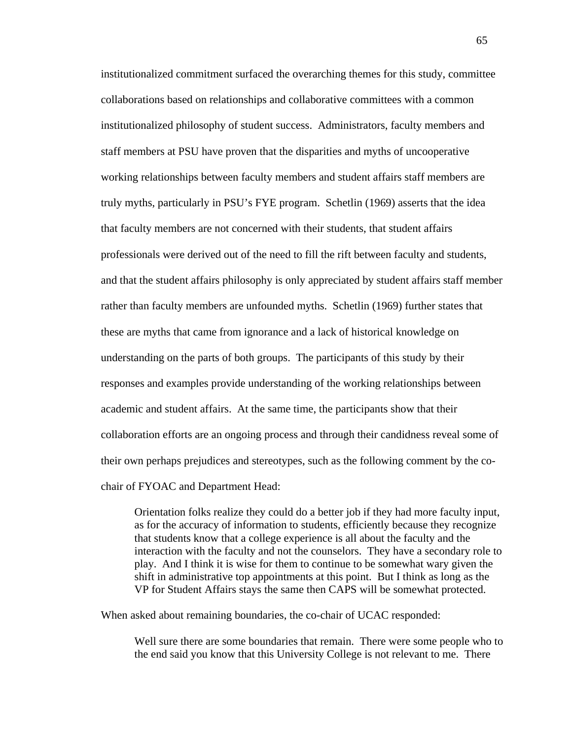institutionalized commitment surfaced the overarching themes for this study, committee collaborations based on relationships and collaborative committees with a common institutionalized philosophy of student success. Administrators, faculty members and staff members at PSU have proven that the disparities and myths of uncooperative working relationships between faculty members and student affairs staff members are truly myths, particularly in PSU's FYE program. Schetlin (1969) asserts that the idea that faculty members are not concerned with their students, that student affairs professionals were derived out of the need to fill the rift between faculty and students, and that the student affairs philosophy is only appreciated by student affairs staff member rather than faculty members are unfounded myths. Schetlin (1969) further states that these are myths that came from ignorance and a lack of historical knowledge on understanding on the parts of both groups. The participants of this study by their responses and examples provide understanding of the working relationships between academic and student affairs. At the same time, the participants show that their collaboration efforts are an ongoing process and through their candidness reveal some of their own perhaps prejudices and stereotypes, such as the following comment by the cochair of FYOAC and Department Head:

Orientation folks realize they could do a better job if they had more faculty input, as for the accuracy of information to students, efficiently because they recognize that students know that a college experience is all about the faculty and the interaction with the faculty and not the counselors. They have a secondary role to play. And I think it is wise for them to continue to be somewhat wary given the shift in administrative top appointments at this point. But I think as long as the VP for Student Affairs stays the same then CAPS will be somewhat protected.

When asked about remaining boundaries, the co-chair of UCAC responded:

Well sure there are some boundaries that remain. There were some people who to the end said you know that this University College is not relevant to me. There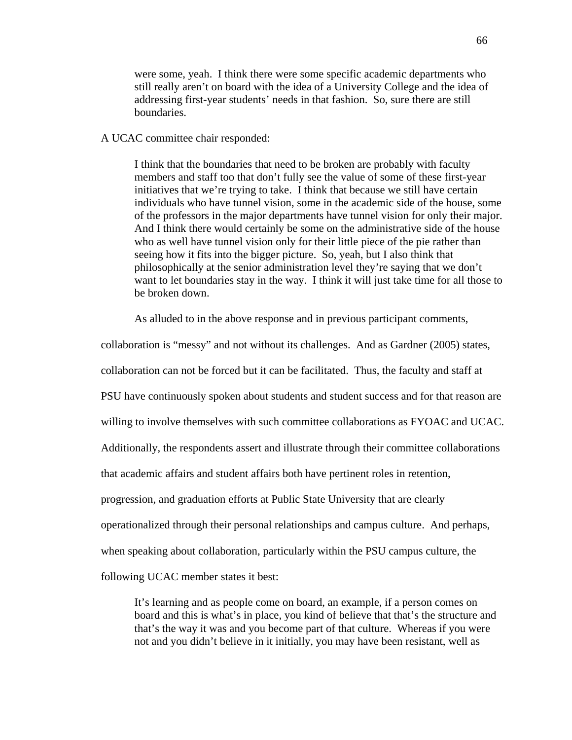were some, yeah. I think there were some specific academic departments who still really aren't on board with the idea of a University College and the idea of addressing first-year students' needs in that fashion. So, sure there are still boundaries.

## A UCAC committee chair responded:

I think that the boundaries that need to be broken are probably with faculty members and staff too that don't fully see the value of some of these first-year initiatives that we're trying to take. I think that because we still have certain individuals who have tunnel vision, some in the academic side of the house, some of the professors in the major departments have tunnel vision for only their major. And I think there would certainly be some on the administrative side of the house who as well have tunnel vision only for their little piece of the pie rather than seeing how it fits into the bigger picture. So, yeah, but I also think that philosophically at the senior administration level they're saying that we don't want to let boundaries stay in the way. I think it will just take time for all those to be broken down.

As alluded to in the above response and in previous participant comments,

collaboration is "messy" and not without its challenges. And as Gardner (2005) states,

collaboration can not be forced but it can be facilitated. Thus, the faculty and staff at

PSU have continuously spoken about students and student success and for that reason are

willing to involve themselves with such committee collaborations as FYOAC and UCAC.

Additionally, the respondents assert and illustrate through their committee collaborations

that academic affairs and student affairs both have pertinent roles in retention,

progression, and graduation efforts at Public State University that are clearly

operationalized through their personal relationships and campus culture. And perhaps,

when speaking about collaboration, particularly within the PSU campus culture, the

following UCAC member states it best:

It's learning and as people come on board, an example, if a person comes on board and this is what's in place, you kind of believe that that's the structure and that's the way it was and you become part of that culture. Whereas if you were not and you didn't believe in it initially, you may have been resistant, well as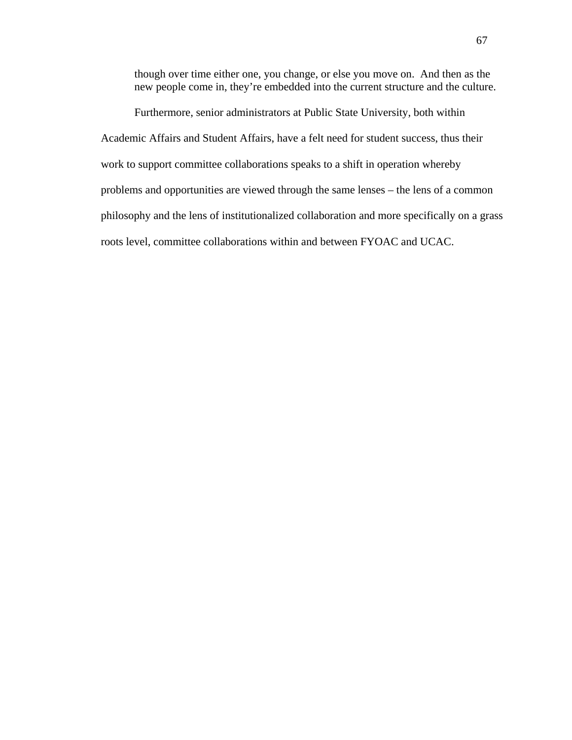though over time either one, you change, or else you move on. And then as the new people come in, they're embedded into the current structure and the culture.

Furthermore, senior administrators at Public State University, both within Academic Affairs and Student Affairs, have a felt need for student success, thus their work to support committee collaborations speaks to a shift in operation whereby problems and opportunities are viewed through the same lenses – the lens of a common philosophy and the lens of institutionalized collaboration and more specifically on a grass roots level, committee collaborations within and between FYOAC and UCAC.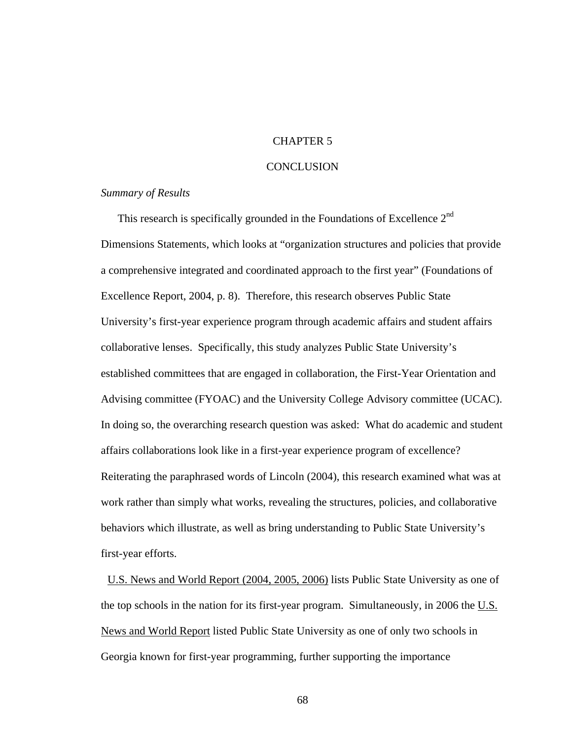## CHAPTER 5

## **CONCLUSION**

## *Summary of Results*

This research is specifically grounded in the Foundations of Excellence 2<sup>nd</sup> Dimensions Statements, which looks at "organization structures and policies that provide a comprehensive integrated and coordinated approach to the first year" (Foundations of Excellence Report, 2004, p. 8). Therefore, this research observes Public State University's first-year experience program through academic affairs and student affairs collaborative lenses. Specifically, this study analyzes Public State University's established committees that are engaged in collaboration, the First-Year Orientation and Advising committee (FYOAC) and the University College Advisory committee (UCAC). In doing so, the overarching research question was asked: What do academic and student affairs collaborations look like in a first-year experience program of excellence? Reiterating the paraphrased words of Lincoln (2004), this research examined what was at work rather than simply what works, revealing the structures, policies, and collaborative behaviors which illustrate, as well as bring understanding to Public State University's first-year efforts.

U.S. News and World Report (2004, 2005, 2006) lists Public State University as one of the top schools in the nation for its first-year program. Simultaneously, in 2006 the  $U.S.$ </u> News and World Report listed Public State University as one of only two schools in Georgia known for first-year programming, further supporting the importance

68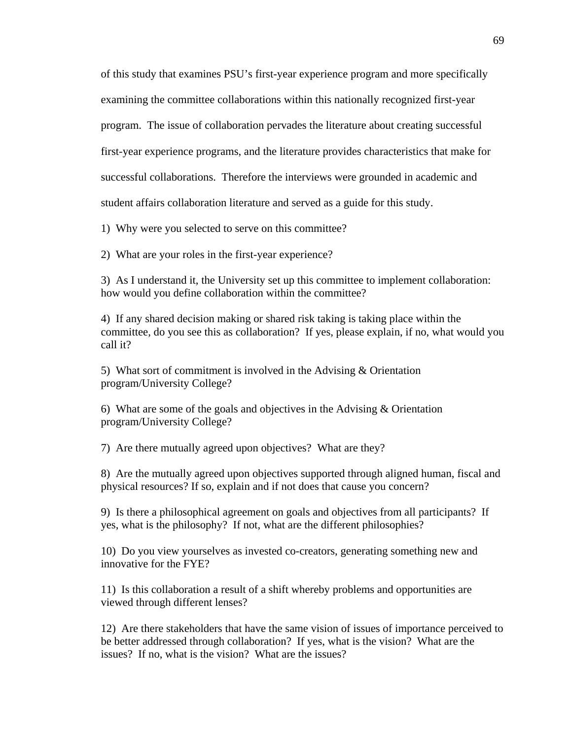of this study that examines PSU's first-year experience program and more specifically examining the committee collaborations within this nationally recognized first-year program. The issue of collaboration pervades the literature about creating successful first-year experience programs, and the literature provides characteristics that make for successful collaborations. Therefore the interviews were grounded in academic and student affairs collaboration literature and served as a guide for this study.

1) Why were you selected to serve on this committee?

2) What are your roles in the first-year experience?

3) As I understand it, the University set up this committee to implement collaboration: how would you define collaboration within the committee?

4) If any shared decision making or shared risk taking is taking place within the committee, do you see this as collaboration? If yes, please explain, if no, what would you call it?

5) What sort of commitment is involved in the Advising & Orientation program/University College?

6) What are some of the goals and objectives in the Advising  $\&$  Orientation program/University College?

7) Are there mutually agreed upon objectives? What are they?

8) Are the mutually agreed upon objectives supported through aligned human, fiscal and physical resources? If so, explain and if not does that cause you concern?

9) Is there a philosophical agreement on goals and objectives from all participants? If yes, what is the philosophy? If not, what are the different philosophies?

10) Do you view yourselves as invested co-creators, generating something new and innovative for the FYE?

11) Is this collaboration a result of a shift whereby problems and opportunities are viewed through different lenses?

12) Are there stakeholders that have the same vision of issues of importance perceived to be better addressed through collaboration? If yes, what is the vision? What are the issues? If no, what is the vision? What are the issues?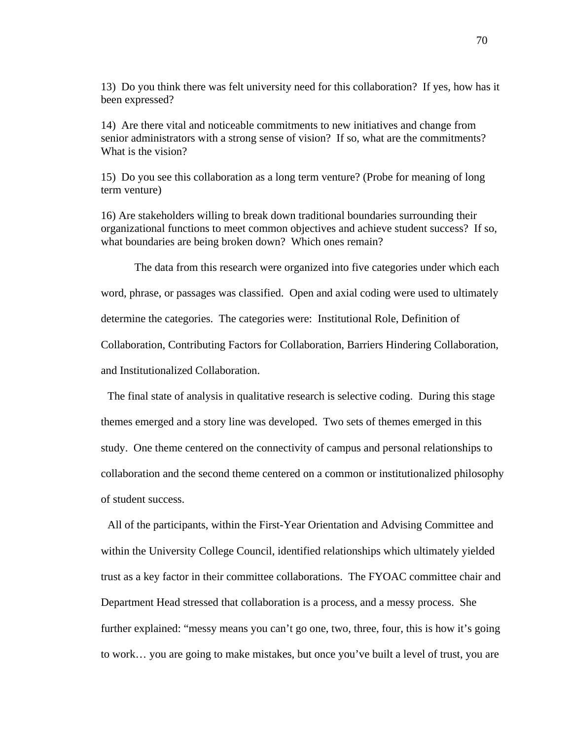13) Do you think there was felt university need for this collaboration? If yes, how has it been expressed?

14) Are there vital and noticeable commitments to new initiatives and change from senior administrators with a strong sense of vision? If so, what are the commitments? What is the vision?

15) Do you see this collaboration as a long term venture? (Probe for meaning of long term venture)

16) Are stakeholders willing to break down traditional boundaries surrounding their organizational functions to meet common objectives and achieve student success? If so, what boundaries are being broken down? Which ones remain?

The data from this research were organized into five categories under which each word, phrase, or passages was classified. Open and axial coding were used to ultimately determine the categories. The categories were: Institutional Role, Definition of Collaboration, Contributing Factors for Collaboration, Barriers Hindering Collaboration, and Institutionalized Collaboration.

 The final state of analysis in qualitative research is selective coding. During this stage themes emerged and a story line was developed. Two sets of themes emerged in this study. One theme centered on the connectivity of campus and personal relationships to collaboration and the second theme centered on a common or institutionalized philosophy of student success.

 All of the participants, within the First-Year Orientation and Advising Committee and within the University College Council, identified relationships which ultimately yielded trust as a key factor in their committee collaborations. The FYOAC committee chair and Department Head stressed that collaboration is a process, and a messy process. She further explained: "messy means you can't go one, two, three, four, this is how it's going to work… you are going to make mistakes, but once you've built a level of trust, you are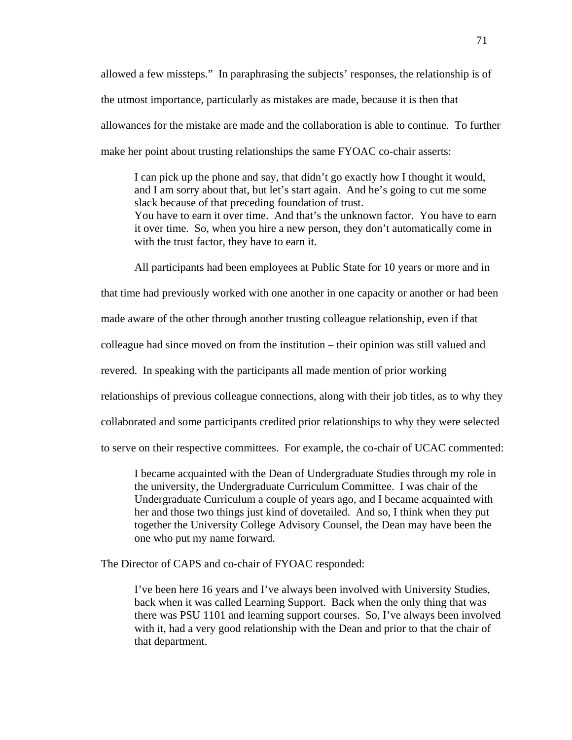allowed a few missteps." In paraphrasing the subjects' responses, the relationship is of the utmost importance, particularly as mistakes are made, because it is then that allowances for the mistake are made and the collaboration is able to continue. To further make her point about trusting relationships the same FYOAC co-chair asserts:

I can pick up the phone and say, that didn't go exactly how I thought it would, and I am sorry about that, but let's start again. And he's going to cut me some slack because of that preceding foundation of trust. You have to earn it over time. And that's the unknown factor. You have to earn it over time. So, when you hire a new person, they don't automatically come in with the trust factor, they have to earn it.

All participants had been employees at Public State for 10 years or more and in

that time had previously worked with one another in one capacity or another or had been

made aware of the other through another trusting colleague relationship, even if that

colleague had since moved on from the institution – their opinion was still valued and

revered. In speaking with the participants all made mention of prior working

relationships of previous colleague connections, along with their job titles, as to why they

collaborated and some participants credited prior relationships to why they were selected

to serve on their respective committees. For example, the co-chair of UCAC commented:

I became acquainted with the Dean of Undergraduate Studies through my role in the university, the Undergraduate Curriculum Committee. I was chair of the Undergraduate Curriculum a couple of years ago, and I became acquainted with her and those two things just kind of dovetailed. And so, I think when they put together the University College Advisory Counsel, the Dean may have been the one who put my name forward.

The Director of CAPS and co-chair of FYOAC responded:

I've been here 16 years and I've always been involved with University Studies, back when it was called Learning Support. Back when the only thing that was there was PSU 1101 and learning support courses. So, I've always been involved with it, had a very good relationship with the Dean and prior to that the chair of that department.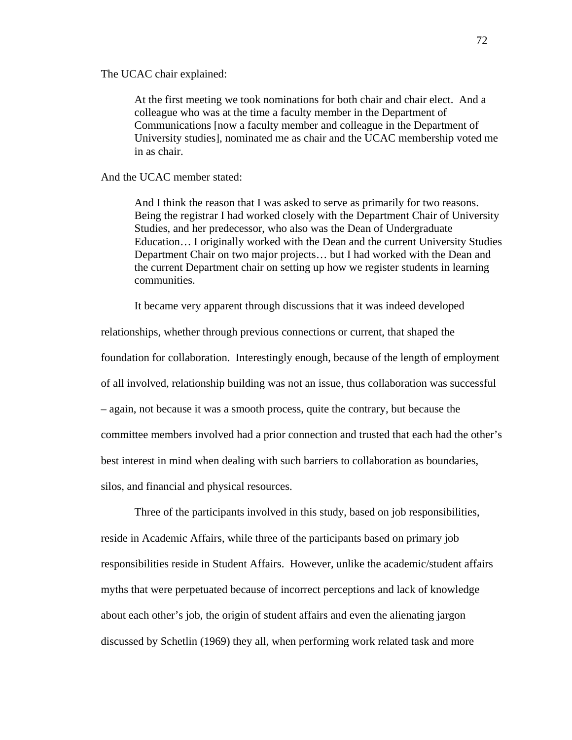The UCAC chair explained:

At the first meeting we took nominations for both chair and chair elect. And a colleague who was at the time a faculty member in the Department of Communications [now a faculty member and colleague in the Department of University studies], nominated me as chair and the UCAC membership voted me in as chair.

And the UCAC member stated:

And I think the reason that I was asked to serve as primarily for two reasons. Being the registrar I had worked closely with the Department Chair of University Studies, and her predecessor, who also was the Dean of Undergraduate Education… I originally worked with the Dean and the current University Studies Department Chair on two major projects… but I had worked with the Dean and the current Department chair on setting up how we register students in learning communities.

It became very apparent through discussions that it was indeed developed

relationships, whether through previous connections or current, that shaped the foundation for collaboration. Interestingly enough, because of the length of employment of all involved, relationship building was not an issue, thus collaboration was successful – again, not because it was a smooth process, quite the contrary, but because the committee members involved had a prior connection and trusted that each had the other's best interest in mind when dealing with such barriers to collaboration as boundaries, silos, and financial and physical resources.

Three of the participants involved in this study, based on job responsibilities, reside in Academic Affairs, while three of the participants based on primary job responsibilities reside in Student Affairs. However, unlike the academic/student affairs myths that were perpetuated because of incorrect perceptions and lack of knowledge about each other's job, the origin of student affairs and even the alienating jargon discussed by Schetlin (1969) they all, when performing work related task and more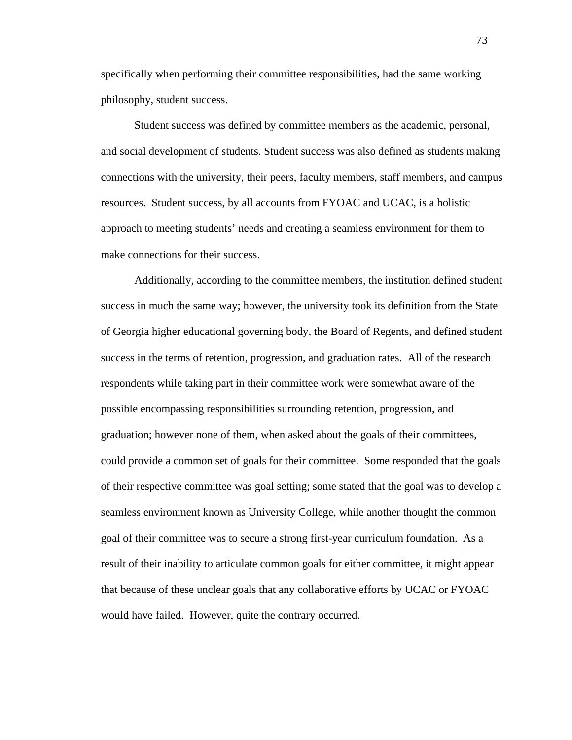specifically when performing their committee responsibilities, had the same working philosophy, student success.

Student success was defined by committee members as the academic, personal, and social development of students. Student success was also defined as students making connections with the university, their peers, faculty members, staff members, and campus resources. Student success, by all accounts from FYOAC and UCAC, is a holistic approach to meeting students' needs and creating a seamless environment for them to make connections for their success.

Additionally, according to the committee members, the institution defined student success in much the same way; however, the university took its definition from the State of Georgia higher educational governing body, the Board of Regents, and defined student success in the terms of retention, progression, and graduation rates. All of the research respondents while taking part in their committee work were somewhat aware of the possible encompassing responsibilities surrounding retention, progression, and graduation; however none of them, when asked about the goals of their committees, could provide a common set of goals for their committee. Some responded that the goals of their respective committee was goal setting; some stated that the goal was to develop a seamless environment known as University College, while another thought the common goal of their committee was to secure a strong first-year curriculum foundation. As a result of their inability to articulate common goals for either committee, it might appear that because of these unclear goals that any collaborative efforts by UCAC or FYOAC would have failed. However, quite the contrary occurred.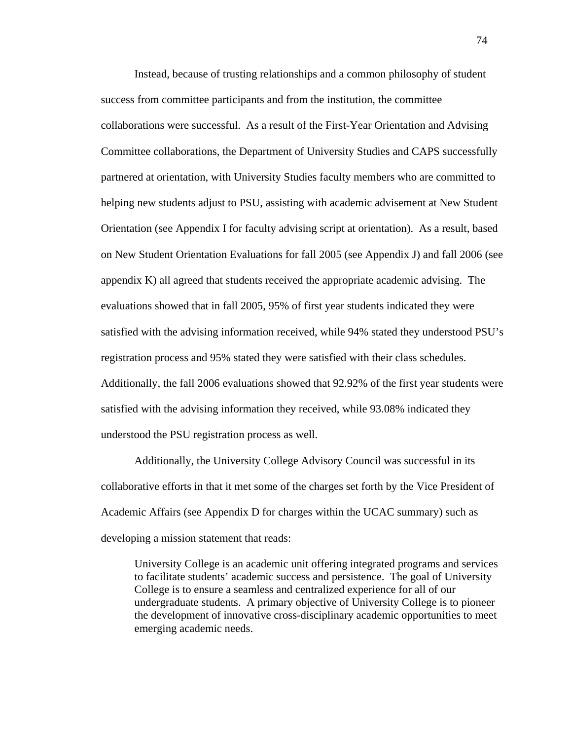Instead, because of trusting relationships and a common philosophy of student success from committee participants and from the institution, the committee collaborations were successful. As a result of the First-Year Orientation and Advising Committee collaborations, the Department of University Studies and CAPS successfully partnered at orientation, with University Studies faculty members who are committed to helping new students adjust to PSU, assisting with academic advisement at New Student Orientation (see Appendix I for faculty advising script at orientation). As a result, based on New Student Orientation Evaluations for fall 2005 (see Appendix J) and fall 2006 (see appendix K) all agreed that students received the appropriate academic advising. The evaluations showed that in fall 2005, 95% of first year students indicated they were satisfied with the advising information received, while 94% stated they understood PSU's registration process and 95% stated they were satisfied with their class schedules. Additionally, the fall 2006 evaluations showed that 92.92% of the first year students were satisfied with the advising information they received, while 93.08% indicated they understood the PSU registration process as well.

Additionally, the University College Advisory Council was successful in its collaborative efforts in that it met some of the charges set forth by the Vice President of Academic Affairs (see Appendix D for charges within the UCAC summary) such as developing a mission statement that reads:

University College is an academic unit offering integrated programs and services to facilitate students' academic success and persistence. The goal of University College is to ensure a seamless and centralized experience for all of our undergraduate students. A primary objective of University College is to pioneer the development of innovative cross-disciplinary academic opportunities to meet emerging academic needs.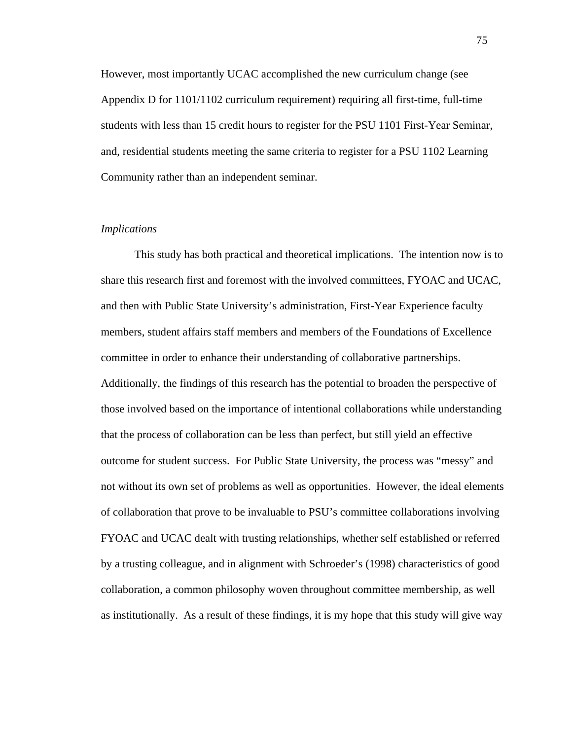However, most importantly UCAC accomplished the new curriculum change (see Appendix D for 1101/1102 curriculum requirement) requiring all first-time, full-time students with less than 15 credit hours to register for the PSU 1101 First-Year Seminar, and, residential students meeting the same criteria to register for a PSU 1102 Learning Community rather than an independent seminar.

#### *Implications*

This study has both practical and theoretical implications. The intention now is to share this research first and foremost with the involved committees, FYOAC and UCAC, and then with Public State University's administration, First-Year Experience faculty members, student affairs staff members and members of the Foundations of Excellence committee in order to enhance their understanding of collaborative partnerships. Additionally, the findings of this research has the potential to broaden the perspective of those involved based on the importance of intentional collaborations while understanding that the process of collaboration can be less than perfect, but still yield an effective outcome for student success. For Public State University, the process was "messy" and not without its own set of problems as well as opportunities. However, the ideal elements of collaboration that prove to be invaluable to PSU's committee collaborations involving FYOAC and UCAC dealt with trusting relationships, whether self established or referred by a trusting colleague, and in alignment with Schroeder's (1998) characteristics of good collaboration, a common philosophy woven throughout committee membership, as well as institutionally. As a result of these findings, it is my hope that this study will give way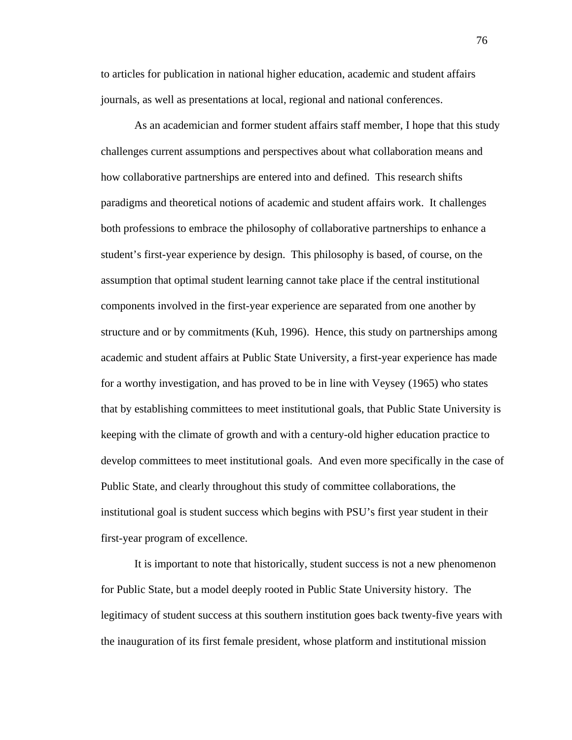to articles for publication in national higher education, academic and student affairs journals, as well as presentations at local, regional and national conferences.

As an academician and former student affairs staff member, I hope that this study challenges current assumptions and perspectives about what collaboration means and how collaborative partnerships are entered into and defined. This research shifts paradigms and theoretical notions of academic and student affairs work. It challenges both professions to embrace the philosophy of collaborative partnerships to enhance a student's first-year experience by design. This philosophy is based, of course, on the assumption that optimal student learning cannot take place if the central institutional components involved in the first-year experience are separated from one another by structure and or by commitments (Kuh, 1996). Hence, this study on partnerships among academic and student affairs at Public State University, a first-year experience has made for a worthy investigation, and has proved to be in line with Veysey (1965) who states that by establishing committees to meet institutional goals, that Public State University is keeping with the climate of growth and with a century-old higher education practice to develop committees to meet institutional goals. And even more specifically in the case of Public State, and clearly throughout this study of committee collaborations, the institutional goal is student success which begins with PSU's first year student in their first-year program of excellence.

It is important to note that historically, student success is not a new phenomenon for Public State, but a model deeply rooted in Public State University history. The legitimacy of student success at this southern institution goes back twenty-five years with the inauguration of its first female president, whose platform and institutional mission

76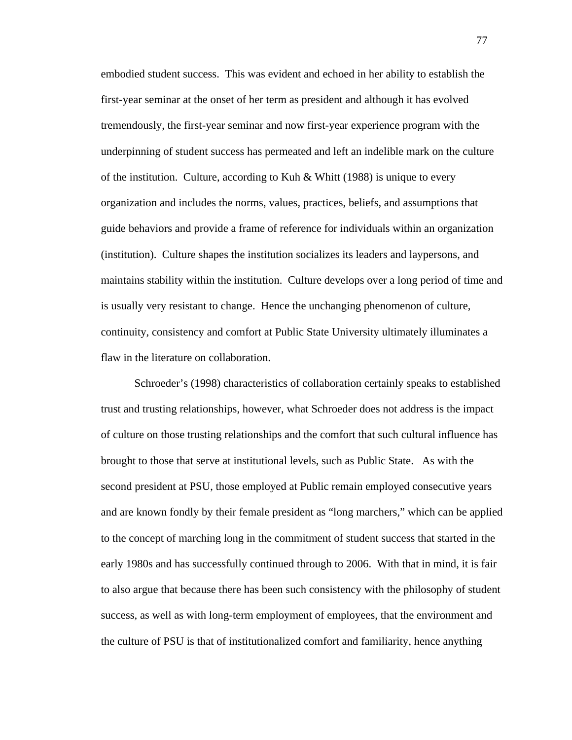embodied student success. This was evident and echoed in her ability to establish the first-year seminar at the onset of her term as president and although it has evolved tremendously, the first-year seminar and now first-year experience program with the underpinning of student success has permeated and left an indelible mark on the culture of the institution. Culture, according to Kuh & Whitt (1988) is unique to every organization and includes the norms, values, practices, beliefs, and assumptions that guide behaviors and provide a frame of reference for individuals within an organization (institution). Culture shapes the institution socializes its leaders and laypersons, and maintains stability within the institution. Culture develops over a long period of time and is usually very resistant to change. Hence the unchanging phenomenon of culture, continuity, consistency and comfort at Public State University ultimately illuminates a flaw in the literature on collaboration.

Schroeder's (1998) characteristics of collaboration certainly speaks to established trust and trusting relationships, however, what Schroeder does not address is the impact of culture on those trusting relationships and the comfort that such cultural influence has brought to those that serve at institutional levels, such as Public State. As with the second president at PSU, those employed at Public remain employed consecutive years and are known fondly by their female president as "long marchers," which can be applied to the concept of marching long in the commitment of student success that started in the early 1980s and has successfully continued through to 2006. With that in mind, it is fair to also argue that because there has been such consistency with the philosophy of student success, as well as with long-term employment of employees, that the environment and the culture of PSU is that of institutionalized comfort and familiarity, hence anything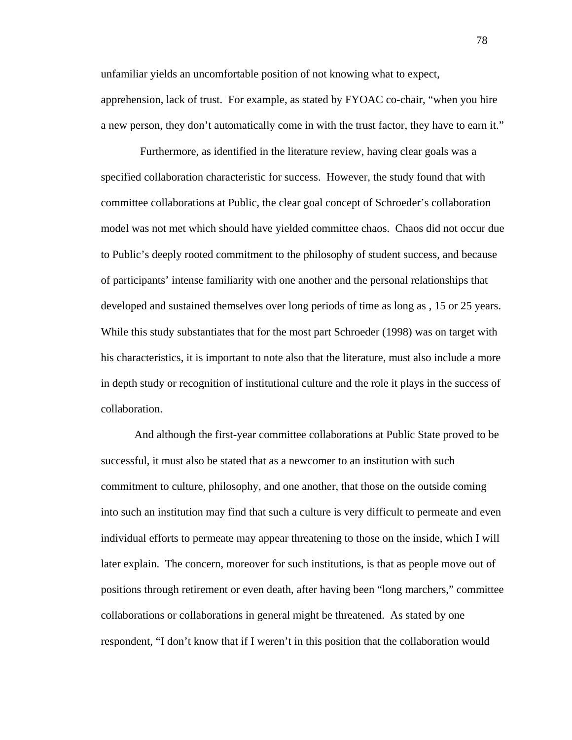unfamiliar yields an uncomfortable position of not knowing what to expect, apprehension, lack of trust. For example, as stated by FYOAC co-chair, "when you hire a new person, they don't automatically come in with the trust factor, they have to earn it."

 Furthermore, as identified in the literature review, having clear goals was a specified collaboration characteristic for success. However, the study found that with committee collaborations at Public, the clear goal concept of Schroeder's collaboration model was not met which should have yielded committee chaos. Chaos did not occur due to Public's deeply rooted commitment to the philosophy of student success, and because of participants' intense familiarity with one another and the personal relationships that developed and sustained themselves over long periods of time as long as , 15 or 25 years. While this study substantiates that for the most part Schroeder (1998) was on target with his characteristics, it is important to note also that the literature, must also include a more in depth study or recognition of institutional culture and the role it plays in the success of collaboration.

And although the first-year committee collaborations at Public State proved to be successful, it must also be stated that as a newcomer to an institution with such commitment to culture, philosophy, and one another, that those on the outside coming into such an institution may find that such a culture is very difficult to permeate and even individual efforts to permeate may appear threatening to those on the inside, which I will later explain. The concern, moreover for such institutions, is that as people move out of positions through retirement or even death, after having been "long marchers," committee collaborations or collaborations in general might be threatened. As stated by one respondent, "I don't know that if I weren't in this position that the collaboration would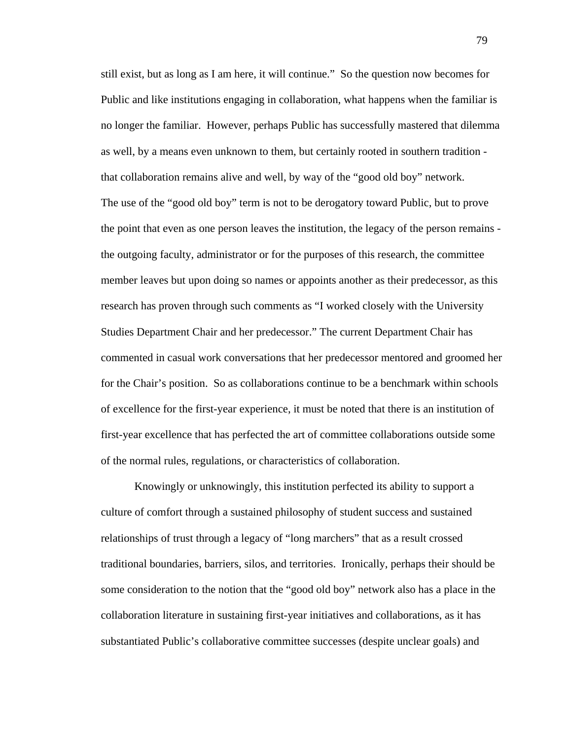still exist, but as long as I am here, it will continue." So the question now becomes for Public and like institutions engaging in collaboration, what happens when the familiar is no longer the familiar. However, perhaps Public has successfully mastered that dilemma as well, by a means even unknown to them, but certainly rooted in southern tradition that collaboration remains alive and well, by way of the "good old boy" network. The use of the "good old boy" term is not to be derogatory toward Public, but to prove the point that even as one person leaves the institution, the legacy of the person remains the outgoing faculty, administrator or for the purposes of this research, the committee member leaves but upon doing so names or appoints another as their predecessor, as this research has proven through such comments as "I worked closely with the University Studies Department Chair and her predecessor." The current Department Chair has commented in casual work conversations that her predecessor mentored and groomed her for the Chair's position. So as collaborations continue to be a benchmark within schools of excellence for the first-year experience, it must be noted that there is an institution of first-year excellence that has perfected the art of committee collaborations outside some of the normal rules, regulations, or characteristics of collaboration.

Knowingly or unknowingly, this institution perfected its ability to support a culture of comfort through a sustained philosophy of student success and sustained relationships of trust through a legacy of "long marchers" that as a result crossed traditional boundaries, barriers, silos, and territories. Ironically, perhaps their should be some consideration to the notion that the "good old boy" network also has a place in the collaboration literature in sustaining first-year initiatives and collaborations, as it has substantiated Public's collaborative committee successes (despite unclear goals) and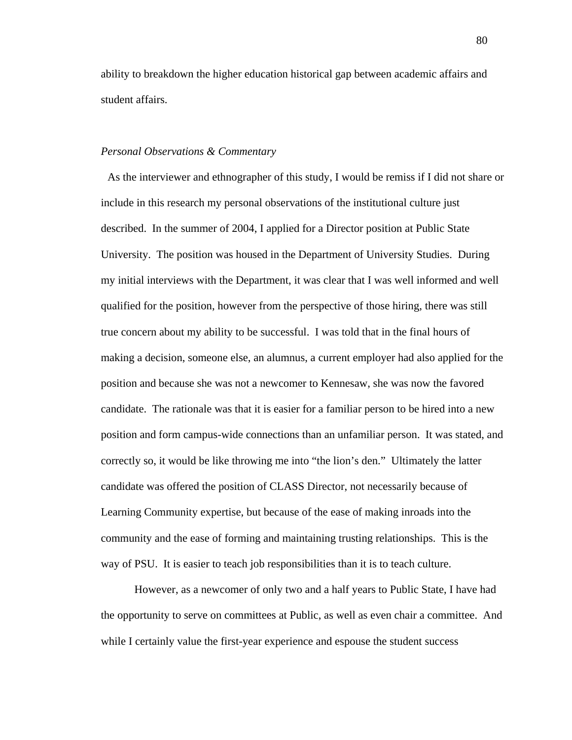ability to breakdown the higher education historical gap between academic affairs and student affairs.

#### *Personal Observations & Commentary*

 As the interviewer and ethnographer of this study, I would be remiss if I did not share or include in this research my personal observations of the institutional culture just described. In the summer of 2004, I applied for a Director position at Public State University. The position was housed in the Department of University Studies. During my initial interviews with the Department, it was clear that I was well informed and well qualified for the position, however from the perspective of those hiring, there was still true concern about my ability to be successful. I was told that in the final hours of making a decision, someone else, an alumnus, a current employer had also applied for the position and because she was not a newcomer to Kennesaw, she was now the favored candidate. The rationale was that it is easier for a familiar person to be hired into a new position and form campus-wide connections than an unfamiliar person. It was stated, and correctly so, it would be like throwing me into "the lion's den." Ultimately the latter candidate was offered the position of CLASS Director, not necessarily because of Learning Community expertise, but because of the ease of making inroads into the community and the ease of forming and maintaining trusting relationships. This is the way of PSU. It is easier to teach job responsibilities than it is to teach culture.

However, as a newcomer of only two and a half years to Public State, I have had the opportunity to serve on committees at Public, as well as even chair a committee. And while I certainly value the first-year experience and espouse the student success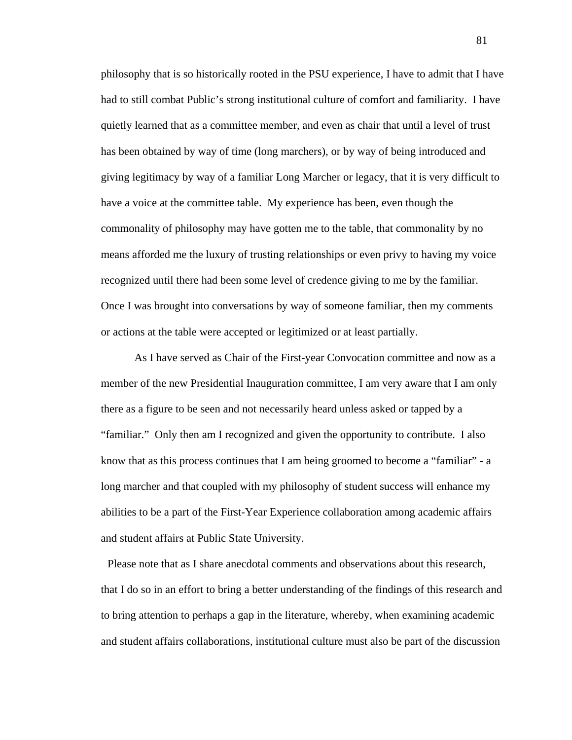philosophy that is so historically rooted in the PSU experience, I have to admit that I have had to still combat Public's strong institutional culture of comfort and familiarity. I have quietly learned that as a committee member, and even as chair that until a level of trust has been obtained by way of time (long marchers), or by way of being introduced and giving legitimacy by way of a familiar Long Marcher or legacy, that it is very difficult to have a voice at the committee table. My experience has been, even though the commonality of philosophy may have gotten me to the table, that commonality by no means afforded me the luxury of trusting relationships or even privy to having my voice recognized until there had been some level of credence giving to me by the familiar. Once I was brought into conversations by way of someone familiar, then my comments or actions at the table were accepted or legitimized or at least partially.

As I have served as Chair of the First-year Convocation committee and now as a member of the new Presidential Inauguration committee, I am very aware that I am only there as a figure to be seen and not necessarily heard unless asked or tapped by a "familiar." Only then am I recognized and given the opportunity to contribute. I also know that as this process continues that I am being groomed to become a "familiar" - a long marcher and that coupled with my philosophy of student success will enhance my abilities to be a part of the First-Year Experience collaboration among academic affairs and student affairs at Public State University.

 Please note that as I share anecdotal comments and observations about this research, that I do so in an effort to bring a better understanding of the findings of this research and to bring attention to perhaps a gap in the literature, whereby, when examining academic and student affairs collaborations, institutional culture must also be part of the discussion

81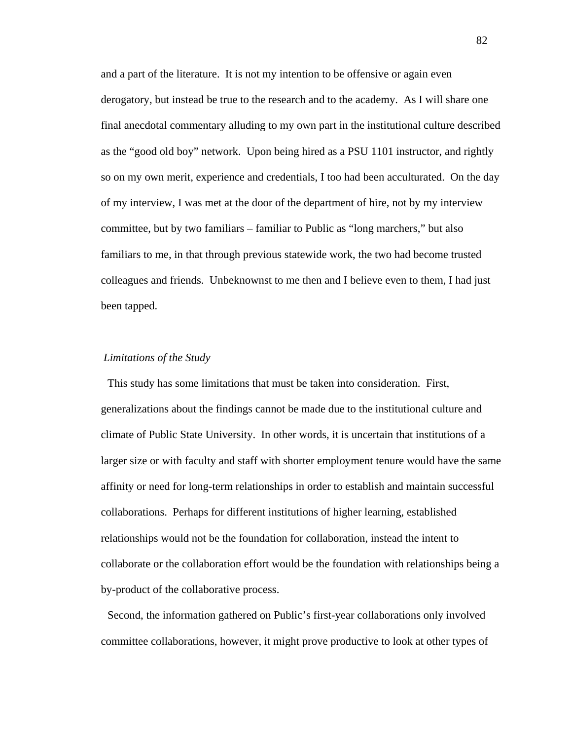and a part of the literature. It is not my intention to be offensive or again even derogatory, but instead be true to the research and to the academy. As I will share one final anecdotal commentary alluding to my own part in the institutional culture described as the "good old boy" network. Upon being hired as a PSU 1101 instructor, and rightly so on my own merit, experience and credentials, I too had been acculturated. On the day of my interview, I was met at the door of the department of hire, not by my interview committee, but by two familiars – familiar to Public as "long marchers," but also familiars to me, in that through previous statewide work, the two had become trusted colleagues and friends. Unbeknownst to me then and I believe even to them, I had just been tapped.

#### *Limitations of the Study*

 This study has some limitations that must be taken into consideration. First, generalizations about the findings cannot be made due to the institutional culture and climate of Public State University. In other words, it is uncertain that institutions of a larger size or with faculty and staff with shorter employment tenure would have the same affinity or need for long-term relationships in order to establish and maintain successful collaborations. Perhaps for different institutions of higher learning, established relationships would not be the foundation for collaboration, instead the intent to collaborate or the collaboration effort would be the foundation with relationships being a by-product of the collaborative process.

 Second, the information gathered on Public's first-year collaborations only involved committee collaborations, however, it might prove productive to look at other types of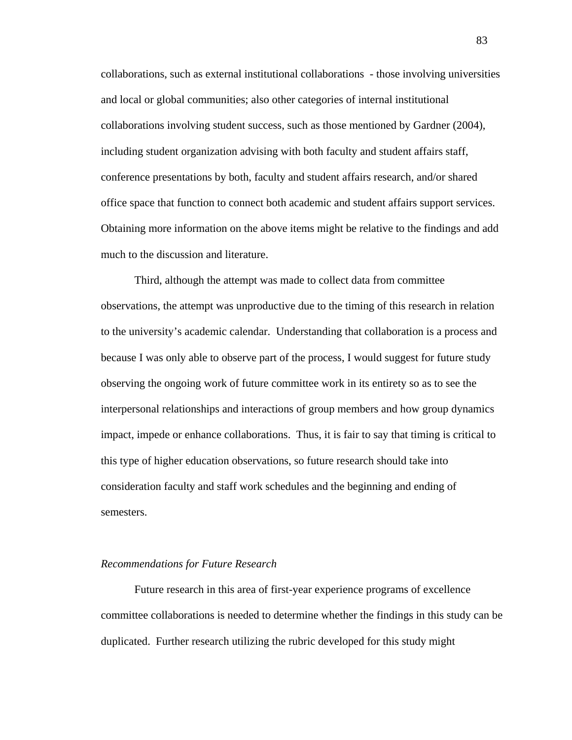collaborations, such as external institutional collaborations - those involving universities and local or global communities; also other categories of internal institutional collaborations involving student success, such as those mentioned by Gardner (2004), including student organization advising with both faculty and student affairs staff, conference presentations by both, faculty and student affairs research, and/or shared office space that function to connect both academic and student affairs support services. Obtaining more information on the above items might be relative to the findings and add much to the discussion and literature.

Third, although the attempt was made to collect data from committee observations, the attempt was unproductive due to the timing of this research in relation to the university's academic calendar. Understanding that collaboration is a process and because I was only able to observe part of the process, I would suggest for future study observing the ongoing work of future committee work in its entirety so as to see the interpersonal relationships and interactions of group members and how group dynamics impact, impede or enhance collaborations. Thus, it is fair to say that timing is critical to this type of higher education observations, so future research should take into consideration faculty and staff work schedules and the beginning and ending of semesters.

#### *Recommendations for Future Research*

Future research in this area of first-year experience programs of excellence committee collaborations is needed to determine whether the findings in this study can be duplicated. Further research utilizing the rubric developed for this study might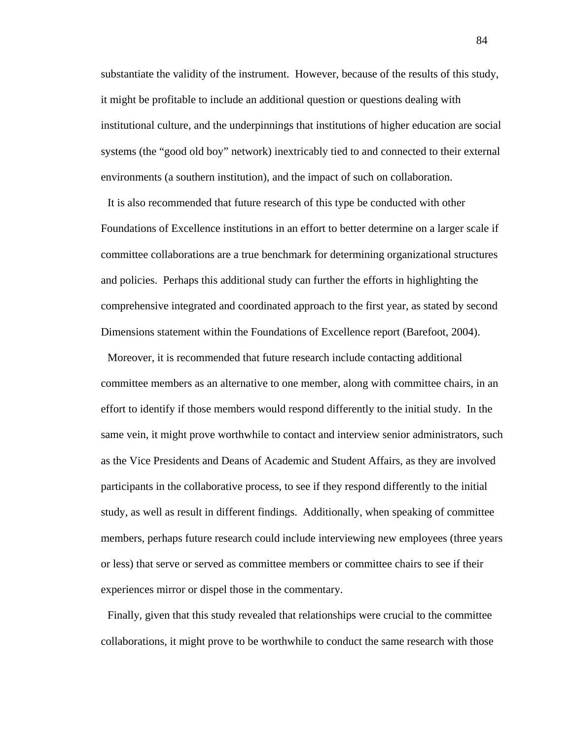substantiate the validity of the instrument. However, because of the results of this study, it might be profitable to include an additional question or questions dealing with institutional culture, and the underpinnings that institutions of higher education are social systems (the "good old boy" network) inextricably tied to and connected to their external environments (a southern institution), and the impact of such on collaboration.

 It is also recommended that future research of this type be conducted with other Foundations of Excellence institutions in an effort to better determine on a larger scale if committee collaborations are a true benchmark for determining organizational structures and policies. Perhaps this additional study can further the efforts in highlighting the comprehensive integrated and coordinated approach to the first year, as stated by second Dimensions statement within the Foundations of Excellence report (Barefoot, 2004).

 Moreover, it is recommended that future research include contacting additional committee members as an alternative to one member, along with committee chairs, in an effort to identify if those members would respond differently to the initial study. In the same vein, it might prove worthwhile to contact and interview senior administrators, such as the Vice Presidents and Deans of Academic and Student Affairs, as they are involved participants in the collaborative process, to see if they respond differently to the initial study, as well as result in different findings. Additionally, when speaking of committee members, perhaps future research could include interviewing new employees (three years or less) that serve or served as committee members or committee chairs to see if their experiences mirror or dispel those in the commentary.

 Finally, given that this study revealed that relationships were crucial to the committee collaborations, it might prove to be worthwhile to conduct the same research with those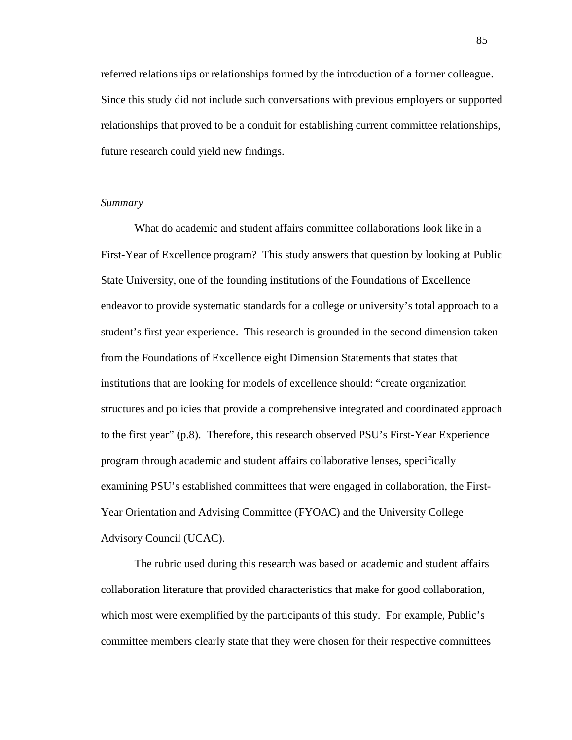referred relationships or relationships formed by the introduction of a former colleague. Since this study did not include such conversations with previous employers or supported relationships that proved to be a conduit for establishing current committee relationships, future research could yield new findings.

## *Summary*

What do academic and student affairs committee collaborations look like in a First-Year of Excellence program? This study answers that question by looking at Public State University, one of the founding institutions of the Foundations of Excellence endeavor to provide systematic standards for a college or university's total approach to a student's first year experience. This research is grounded in the second dimension taken from the Foundations of Excellence eight Dimension Statements that states that institutions that are looking for models of excellence should: "create organization structures and policies that provide a comprehensive integrated and coordinated approach to the first year" (p.8). Therefore, this research observed PSU's First-Year Experience program through academic and student affairs collaborative lenses, specifically examining PSU's established committees that were engaged in collaboration, the First-Year Orientation and Advising Committee (FYOAC) and the University College Advisory Council (UCAC).

The rubric used during this research was based on academic and student affairs collaboration literature that provided characteristics that make for good collaboration, which most were exemplified by the participants of this study. For example, Public's committee members clearly state that they were chosen for their respective committees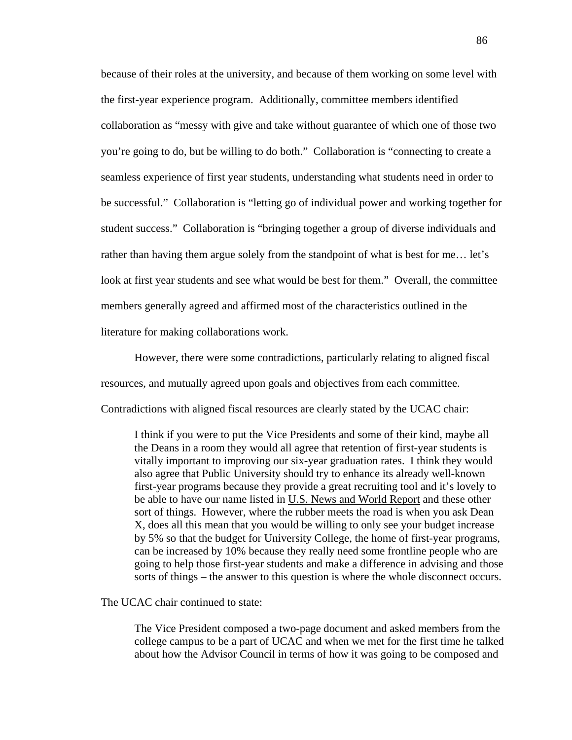because of their roles at the university, and because of them working on some level with the first-year experience program. Additionally, committee members identified collaboration as "messy with give and take without guarantee of which one of those two you're going to do, but be willing to do both." Collaboration is "connecting to create a seamless experience of first year students, understanding what students need in order to be successful." Collaboration is "letting go of individual power and working together for student success." Collaboration is "bringing together a group of diverse individuals and rather than having them argue solely from the standpoint of what is best for me… let's look at first year students and see what would be best for them." Overall, the committee members generally agreed and affirmed most of the characteristics outlined in the literature for making collaborations work.

However, there were some contradictions, particularly relating to aligned fiscal resources, and mutually agreed upon goals and objectives from each committee. Contradictions with aligned fiscal resources are clearly stated by the UCAC chair:

I think if you were to put the Vice Presidents and some of their kind, maybe all the Deans in a room they would all agree that retention of first-year students is vitally important to improving our six-year graduation rates. I think they would also agree that Public University should try to enhance its already well-known first-year programs because they provide a great recruiting tool and it's lovely to be able to have our name listed in U.S. News and World Report and these other sort of things. However, where the rubber meets the road is when you ask Dean X, does all this mean that you would be willing to only see your budget increase by 5% so that the budget for University College, the home of first-year programs, can be increased by 10% because they really need some frontline people who are going to help those first-year students and make a difference in advising and those sorts of things – the answer to this question is where the whole disconnect occurs.

The UCAC chair continued to state:

The Vice President composed a two-page document and asked members from the college campus to be a part of UCAC and when we met for the first time he talked about how the Advisor Council in terms of how it was going to be composed and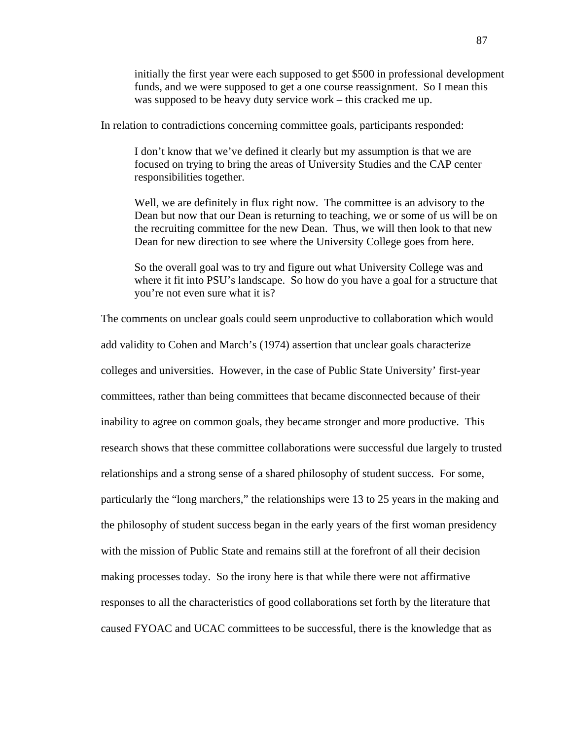initially the first year were each supposed to get \$500 in professional development funds, and we were supposed to get a one course reassignment. So I mean this was supposed to be heavy duty service work – this cracked me up.

In relation to contradictions concerning committee goals, participants responded:

I don't know that we've defined it clearly but my assumption is that we are focused on trying to bring the areas of University Studies and the CAP center responsibilities together.

Well, we are definitely in flux right now. The committee is an advisory to the Dean but now that our Dean is returning to teaching, we or some of us will be on the recruiting committee for the new Dean. Thus, we will then look to that new Dean for new direction to see where the University College goes from here.

So the overall goal was to try and figure out what University College was and where it fit into PSU's landscape. So how do you have a goal for a structure that you're not even sure what it is?

The comments on unclear goals could seem unproductive to collaboration which would add validity to Cohen and March's (1974) assertion that unclear goals characterize colleges and universities. However, in the case of Public State University' first-year committees, rather than being committees that became disconnected because of their inability to agree on common goals, they became stronger and more productive. This research shows that these committee collaborations were successful due largely to trusted relationships and a strong sense of a shared philosophy of student success. For some, particularly the "long marchers," the relationships were 13 to 25 years in the making and the philosophy of student success began in the early years of the first woman presidency with the mission of Public State and remains still at the forefront of all their decision making processes today. So the irony here is that while there were not affirmative responses to all the characteristics of good collaborations set forth by the literature that caused FYOAC and UCAC committees to be successful, there is the knowledge that as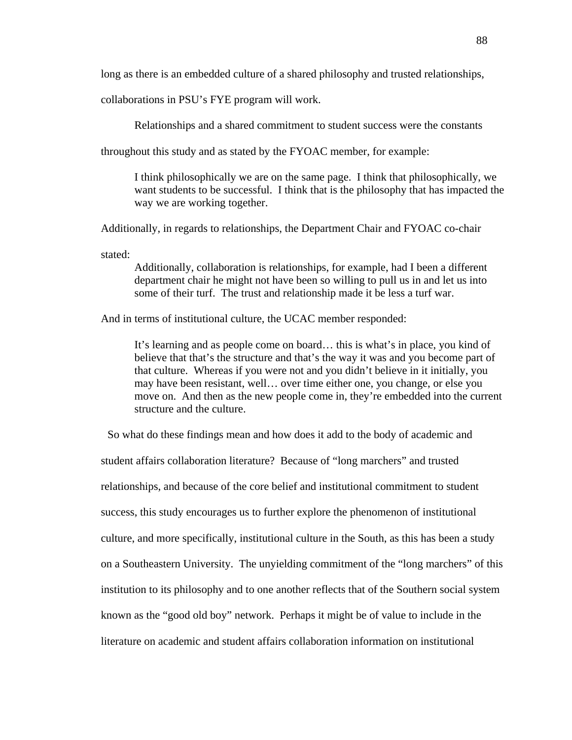long as there is an embedded culture of a shared philosophy and trusted relationships,

collaborations in PSU's FYE program will work.

Relationships and a shared commitment to student success were the constants

throughout this study and as stated by the FYOAC member, for example:

I think philosophically we are on the same page. I think that philosophically, we want students to be successful. I think that is the philosophy that has impacted the way we are working together.

Additionally, in regards to relationships, the Department Chair and FYOAC co-chair

stated:

Additionally, collaboration is relationships, for example, had I been a different department chair he might not have been so willing to pull us in and let us into some of their turf. The trust and relationship made it be less a turf war.

And in terms of institutional culture, the UCAC member responded:

It's learning and as people come on board… this is what's in place, you kind of believe that that's the structure and that's the way it was and you become part of that culture. Whereas if you were not and you didn't believe in it initially, you may have been resistant, well… over time either one, you change, or else you move on. And then as the new people come in, they're embedded into the current structure and the culture.

 So what do these findings mean and how does it add to the body of academic and student affairs collaboration literature? Because of "long marchers" and trusted relationships, and because of the core belief and institutional commitment to student success, this study encourages us to further explore the phenomenon of institutional culture, and more specifically, institutional culture in the South, as this has been a study on a Southeastern University. The unyielding commitment of the "long marchers" of this institution to its philosophy and to one another reflects that of the Southern social system known as the "good old boy" network. Perhaps it might be of value to include in the literature on academic and student affairs collaboration information on institutional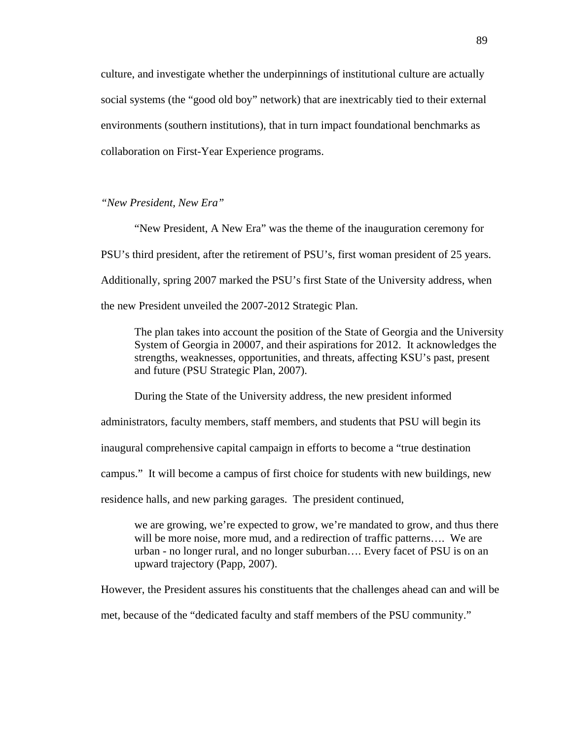culture, and investigate whether the underpinnings of institutional culture are actually social systems (the "good old boy" network) that are inextricably tied to their external environments (southern institutions), that in turn impact foundational benchmarks as collaboration on First-Year Experience programs.

*"New President, New Era"* 

"New President, A New Era" was the theme of the inauguration ceremony for PSU's third president, after the retirement of PSU's, first woman president of 25 years. Additionally, spring 2007 marked the PSU's first State of the University address, when the new President unveiled the 2007-2012 Strategic Plan.

The plan takes into account the position of the State of Georgia and the University System of Georgia in 20007, and their aspirations for 2012. It acknowledges the strengths, weaknesses, opportunities, and threats, affecting KSU's past, present and future (PSU Strategic Plan, 2007).

During the State of the University address, the new president informed administrators, faculty members, staff members, and students that PSU will begin its inaugural comprehensive capital campaign in efforts to become a "true destination campus." It will become a campus of first choice for students with new buildings, new residence halls, and new parking garages. The president continued,

we are growing, we're expected to grow, we're mandated to grow, and thus there will be more noise, more mud, and a redirection of traffic patterns.... We are urban - no longer rural, and no longer suburban…. Every facet of PSU is on an upward trajectory (Papp, 2007).

However, the President assures his constituents that the challenges ahead can and will be

met, because of the "dedicated faculty and staff members of the PSU community."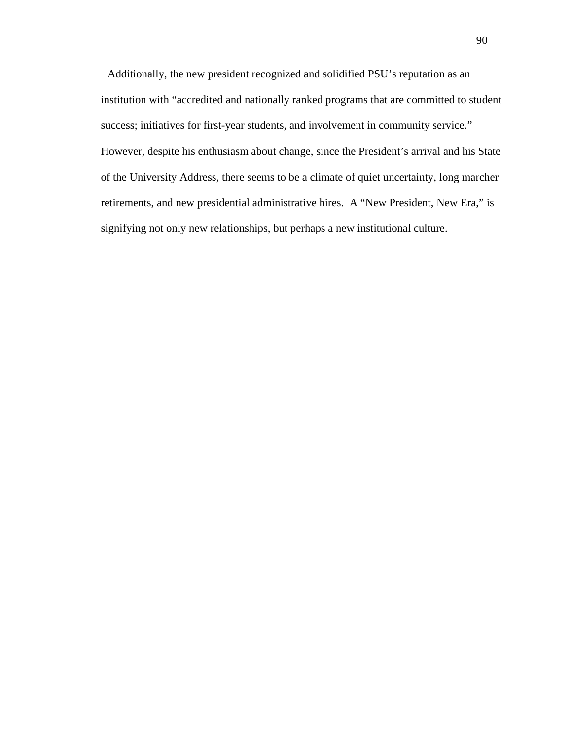Additionally, the new president recognized and solidified PSU's reputation as an institution with "accredited and nationally ranked programs that are committed to student success; initiatives for first-year students, and involvement in community service." However, despite his enthusiasm about change, since the President's arrival and his State of the University Address, there seems to be a climate of quiet uncertainty, long marcher retirements, and new presidential administrative hires. A "New President, New Era," is signifying not only new relationships, but perhaps a new institutional culture.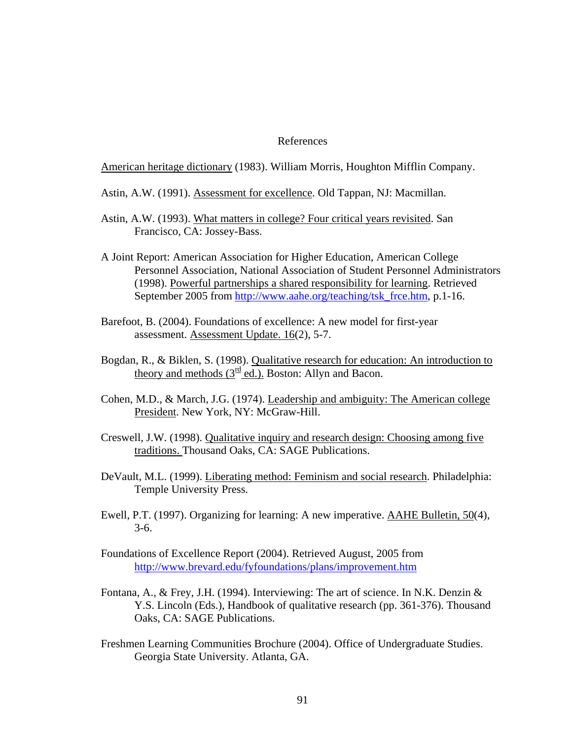## References

American heritage dictionary (1983). William Morris, Houghton Mifflin Company.

- Astin, A.W. (1991). Assessment for excellence. Old Tappan, NJ: Macmillan.
- Astin, A.W. (1993). What matters in college? Four critical years revisited. San Francisco, CA: Jossey-Bass.
- A Joint Report: American Association for Higher Education, American College Personnel Association, National Association of Student Personnel Administrators (1998). Powerful partnerships a shared responsibility for learning. Retrieved September 2005 from [http://www.aahe.org/teaching/tsk\\_frce.htm,](http://www.aahe.org/teaching/tsk_frce.htm) p.1-16.
- Barefoot, B. (2004). Foundations of excellence: A new model for first-year assessment. Assessment Update. 16(2), 5-7.
- Bogdan, R., & Biklen, S. (1998). Qualitative research for education: An introduction to theory and methods  $(3^{\frac{rd}{ed}}$ ed.). Boston: Allyn and Bacon.
- Cohen, M.D., & March, J.G. (1974). Leadership and ambiguity: The American college President. New York, NY: McGraw-Hill.
- Creswell, J.W. (1998). Qualitative inquiry and research design: Choosing among five traditions. Thousand Oaks, CA: SAGE Publications.
- DeVault, M.L. (1999). Liberating method: Feminism and social research. Philadelphia: Temple University Press.
- Ewell, P.T. (1997). Organizing for learning: A new imperative. AAHE Bulletin, 50(4), 3-6.
- Foundations of Excellence Report (2004). Retrieved August, 2005 from <http://www.brevard.edu/fyfoundations/plans/improvement.htm>
- Fontana, A., & Frey, J.H. (1994). Interviewing: The art of science. In N.K. Denzin  $\&$ Y.S. Lincoln (Eds.), Handbook of qualitative research (pp. 361-376). Thousand Oaks, CA: SAGE Publications.
- Freshmen Learning Communities Brochure (2004). Office of Undergraduate Studies. Georgia State University. Atlanta, GA.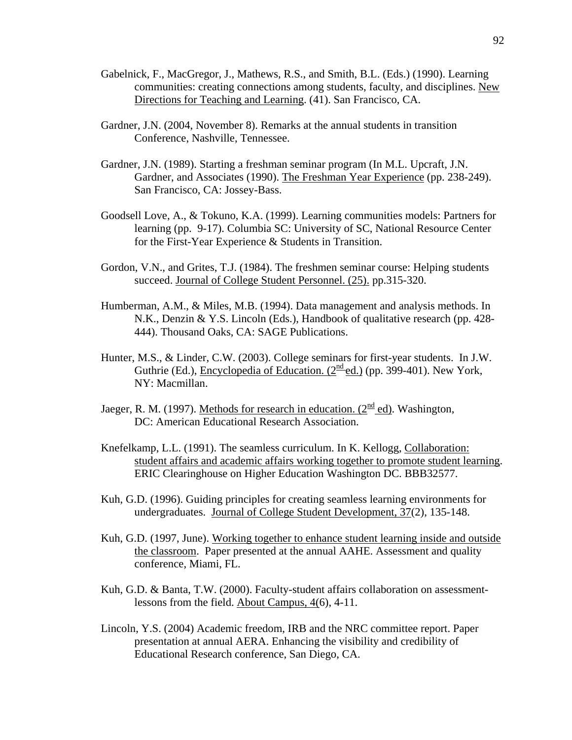- Gabelnick, F., MacGregor, J., Mathews, R.S., and Smith, B.L. (Eds.) (1990). Learning communities: creating connections among students, faculty, and disciplines. New Directions for Teaching and Learning. (41). San Francisco, CA.
- Gardner, J.N. (2004, November 8). Remarks at the annual students in transition Conference, Nashville, Tennessee.
- Gardner, J.N. (1989). Starting a freshman seminar program (In M.L. Upcraft, J.N. Gardner, and Associates (1990). The Freshman Year Experience (pp. 238-249). San Francisco, CA: Jossey-Bass.
- Goodsell Love, A., & Tokuno, K.A. (1999). Learning communities models: Partners for learning (pp. 9-17). Columbia SC: University of SC, National Resource Center for the First-Year Experience & Students in Transition.
- Gordon, V.N., and Grites, T.J. (1984). The freshmen seminar course: Helping students succeed. Journal of College Student Personnel. (25). pp.315-320.
- Humberman, A.M., & Miles, M.B. (1994). Data management and analysis methods. In N.K., Denzin & Y.S. Lincoln (Eds.), Handbook of qualitative research (pp. 428- 444). Thousand Oaks, CA: SAGE Publications.
- Hunter, M.S., & Linder, C.W. (2003). College seminars for first-year students. In J.W. Guthrie (Ed.), Encyclopedia of Education. (2<sup>nd</sup> ed.) (pp. 399-401). New York, NY: Macmillan.
- Jaeger, R. M. (1997). Methods for research in education. ( $2^{\text{nd}}$  ed). Washington, DC: American Educational Research Association.
- Knefelkamp, L.L. (1991). The seamless curriculum. In K. Kellogg, Collaboration: student affairs and academic affairs working together to promote student learning. ERIC Clearinghouse on Higher Education Washington DC. BBB32577.
- Kuh, G.D. (1996). Guiding principles for creating seamless learning environments for undergraduates. Journal of College Student Development, 37(2), 135-148.
- Kuh, G.D. (1997, June). Working together to enhance student learning inside and outside the classroom. Paper presented at the annual AAHE. Assessment and quality conference, Miami, FL.
- Kuh, G.D. & Banta, T.W. (2000). Faculty-student affairs collaboration on assessmentlessons from the field. About Campus, 4(6), 4-11.
- Lincoln, Y.S. (2004) Academic freedom, IRB and the NRC committee report. Paper presentation at annual AERA. Enhancing the visibility and credibility of Educational Research conference, San Diego, CA.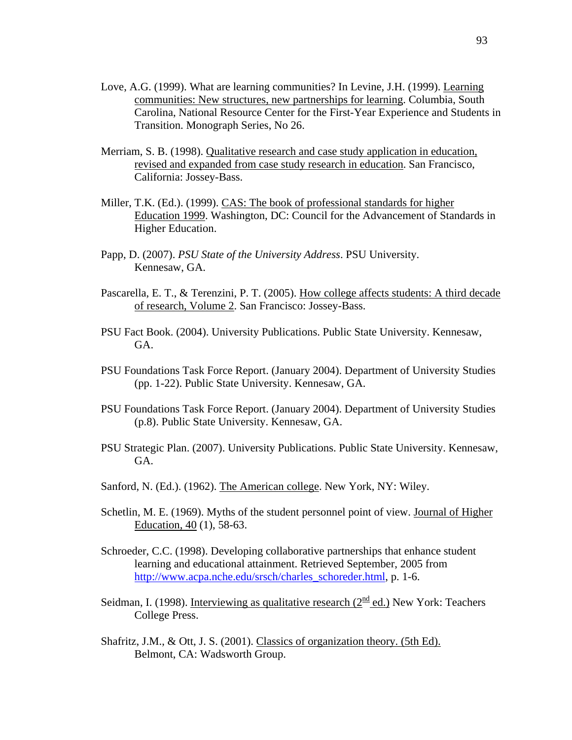- Love, A.G. (1999). What are learning communities? In Levine, J.H. (1999). Learning communities: New structures, new partnerships for learning. Columbia, South Carolina, National Resource Center for the First-Year Experience and Students in Transition. Monograph Series, No 26.
- Merriam, S. B. (1998). Qualitative research and case study application in education, revised and expanded from case study research in education. San Francisco, California: Jossey-Bass.
- Miller, T.K. (Ed.). (1999). CAS: The book of professional standards for higher Education 1999. Washington, DC: Council for the Advancement of Standards in Higher Education.
- Papp, D. (2007). *PSU State of the University Address*. PSU University. Kennesaw, GA.
- Pascarella, E. T., & Terenzini, P. T. (2005). How college affects students: A third decade of research, Volume 2. San Francisco: Jossey-Bass.
- PSU Fact Book. (2004). University Publications. Public State University. Kennesaw, GA.
- PSU Foundations Task Force Report. (January 2004). Department of University Studies (pp. 1-22). Public State University. Kennesaw, GA.
- PSU Foundations Task Force Report. (January 2004). Department of University Studies (p.8). Public State University. Kennesaw, GA.
- PSU Strategic Plan. (2007). University Publications. Public State University. Kennesaw, GA.
- Sanford, N. (Ed.). (1962). The American college. New York, NY: Wiley.
- Schetlin, M. E. (1969). Myths of the student personnel point of view. Journal of Higher Education, 40 (1), 58-63.
- Schroeder, C.C. (1998). Developing collaborative partnerships that enhance student learning and educational attainment. Retrieved September, 2005 from [http://www.acpa.nche.edu/srsch/charles\\_schoreder.html,](http://www.acpa.nche.edu/srsch/charles_schoreder.html) p. 1-6.
- Seidman, I. (1998). Interviewing as qualitative research ( $2<sup>nd</sup>$  ed.) New York: Teachers College Press.
- Shafritz, J.M., & Ott, J. S. (2001). Classics of organization theory. (5th Ed). Belmont, CA: Wadsworth Group.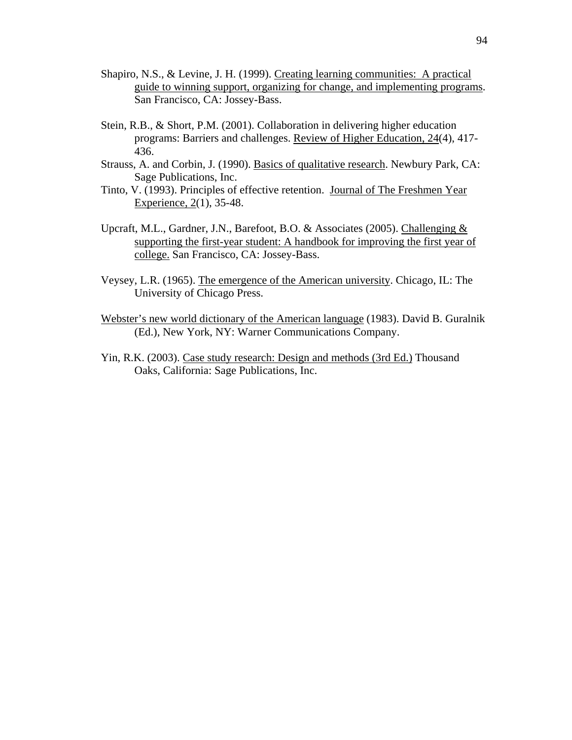- Shapiro, N.S., & Levine, J. H. (1999). Creating learning communities: A practical guide to winning support, organizing for change, and implementing programs. San Francisco, CA: Jossey-Bass.
- Stein, R.B., & Short, P.M. (2001). Collaboration in delivering higher education programs: Barriers and challenges. Review of Higher Education, 24(4), 417- 436.
- Strauss, A. and Corbin, J. (1990). Basics of qualitative research. Newbury Park, CA: Sage Publications, Inc.
- Tinto, V. (1993). Principles of effective retention. Journal of The Freshmen Year Experience, 2(1), 35-48.
- Upcraft, M.L., Gardner, J.N., Barefoot, B.O. & Associates (2005). Challenging & supporting the first-year student: A handbook for improving the first year of college. San Francisco, CA: Jossey-Bass.
- Veysey, L.R. (1965). The emergence of the American university. Chicago, IL: The University of Chicago Press.
- Webster's new world dictionary of the American language (1983). David B. Guralnik (Ed.), New York, NY: Warner Communications Company.
- Yin, R.K. (2003). Case study research: Design and methods (3rd Ed.) Thousand Oaks, California: Sage Publications, Inc.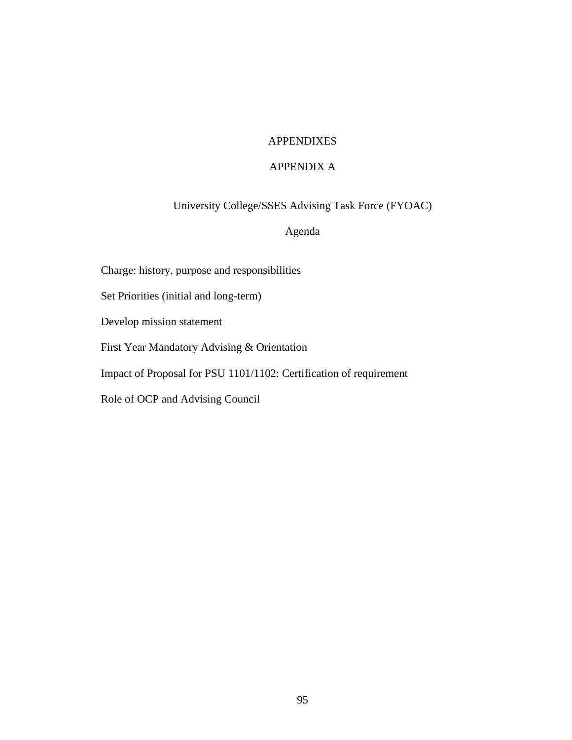# APPENDIXES

# APPENDIX A

University College/SSES Advising Task Force (FYOAC)

# Agenda

Charge: history, purpose and responsibilities

Set Priorities (initial and long-term)

Develop mission statement

First Year Mandatory Advising & Orientation

Impact of Proposal for PSU 1101/1102: Certification of requirement

Role of OCP and Advising Council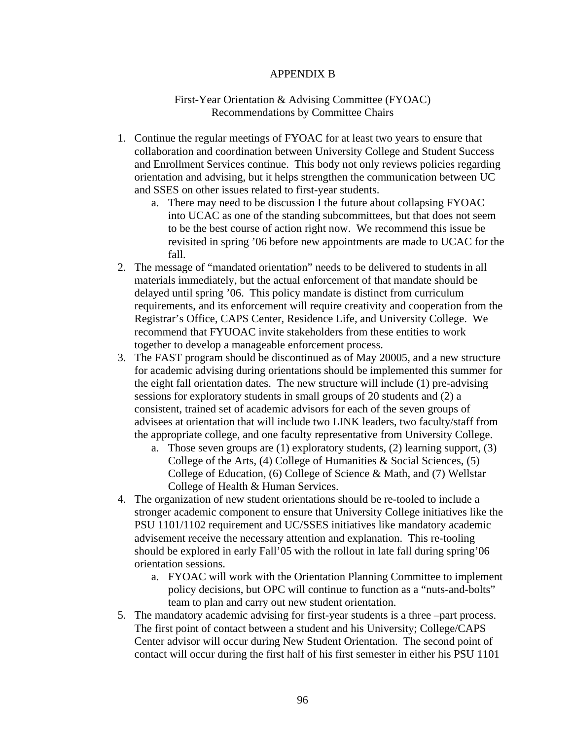#### APPENDIX B

#### First-Year Orientation & Advising Committee (FYOAC) Recommendations by Committee Chairs

- 1. Continue the regular meetings of FYOAC for at least two years to ensure that collaboration and coordination between University College and Student Success and Enrollment Services continue. This body not only reviews policies regarding orientation and advising, but it helps strengthen the communication between UC and SSES on other issues related to first-year students.
	- a. There may need to be discussion I the future about collapsing FYOAC into UCAC as one of the standing subcommittees, but that does not seem to be the best course of action right now. We recommend this issue be revisited in spring '06 before new appointments are made to UCAC for the fall.
- 2. The message of "mandated orientation" needs to be delivered to students in all materials immediately, but the actual enforcement of that mandate should be delayed until spring '06. This policy mandate is distinct from curriculum requirements, and its enforcement will require creativity and cooperation from the Registrar's Office, CAPS Center, Residence Life, and University College. We recommend that FYUOAC invite stakeholders from these entities to work together to develop a manageable enforcement process.
- 3. The FAST program should be discontinued as of May 20005, and a new structure for academic advising during orientations should be implemented this summer for the eight fall orientation dates. The new structure will include (1) pre-advising sessions for exploratory students in small groups of 20 students and (2) a consistent, trained set of academic advisors for each of the seven groups of advisees at orientation that will include two LINK leaders, two faculty/staff from the appropriate college, and one faculty representative from University College.
	- a. Those seven groups are (1) exploratory students, (2) learning support, (3) College of the Arts, (4) College of Humanities  $\&$  Social Sciences, (5) College of Education, (6) College of Science & Math, and (7) Wellstar College of Health & Human Services.
- 4. The organization of new student orientations should be re-tooled to include a stronger academic component to ensure that University College initiatives like the PSU 1101/1102 requirement and UC/SSES initiatives like mandatory academic advisement receive the necessary attention and explanation. This re-tooling should be explored in early Fall'05 with the rollout in late fall during spring'06 orientation sessions.
	- a. FYOAC will work with the Orientation Planning Committee to implement policy decisions, but OPC will continue to function as a "nuts-and-bolts" team to plan and carry out new student orientation.
- 5. The mandatory academic advising for first-year students is a three –part process. The first point of contact between a student and his University; College/CAPS Center advisor will occur during New Student Orientation. The second point of contact will occur during the first half of his first semester in either his PSU 1101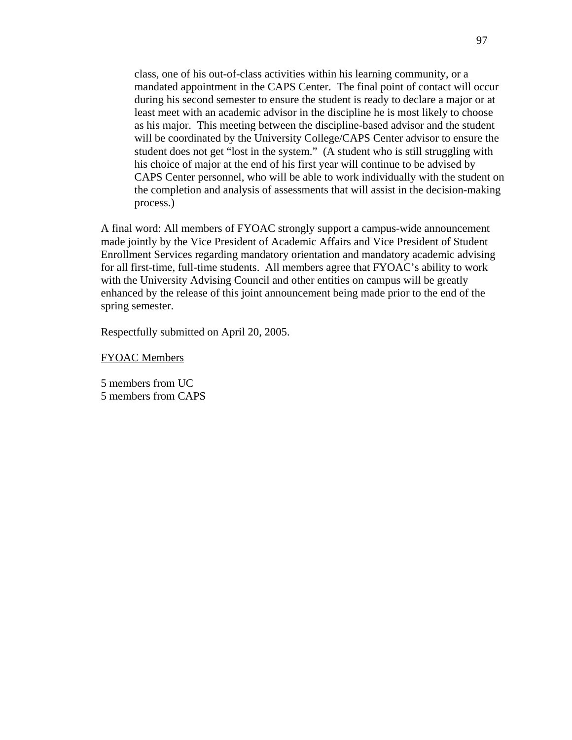class, one of his out-of-class activities within his learning community, or a mandated appointment in the CAPS Center. The final point of contact will occur during his second semester to ensure the student is ready to declare a major or at least meet with an academic advisor in the discipline he is most likely to choose as his major. This meeting between the discipline-based advisor and the student will be coordinated by the University College/CAPS Center advisor to ensure the student does not get "lost in the system." (A student who is still struggling with his choice of major at the end of his first year will continue to be advised by CAPS Center personnel, who will be able to work individually with the student on the completion and analysis of assessments that will assist in the decision-making process.)

A final word: All members of FYOAC strongly support a campus-wide announcement made jointly by the Vice President of Academic Affairs and Vice President of Student Enrollment Services regarding mandatory orientation and mandatory academic advising for all first-time, full-time students. All members agree that FYOAC's ability to work with the University Advising Council and other entities on campus will be greatly enhanced by the release of this joint announcement being made prior to the end of the spring semester.

Respectfully submitted on April 20, 2005.

FYOAC Members

5 members from UC 5 members from CAPS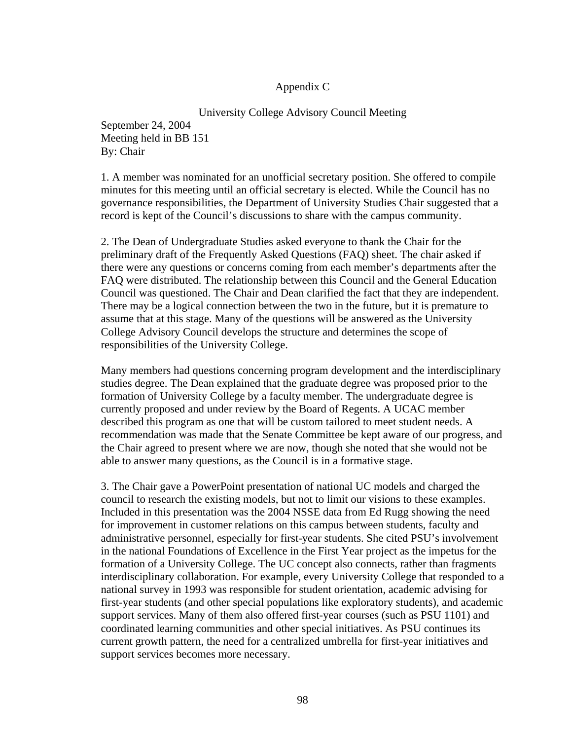## Appendix C

University College Advisory Council Meeting September 24, 2004 Meeting held in BB 151 By: Chair

1. A member was nominated for an unofficial secretary position. She offered to compile minutes for this meeting until an official secretary is elected. While the Council has no governance responsibilities, the Department of University Studies Chair suggested that a record is kept of the Council's discussions to share with the campus community.

2. The Dean of Undergraduate Studies asked everyone to thank the Chair for the preliminary draft of the Frequently Asked Questions (FAQ) sheet. The chair asked if there were any questions or concerns coming from each member's departments after the FAQ were distributed. The relationship between this Council and the General Education Council was questioned. The Chair and Dean clarified the fact that they are independent. There may be a logical connection between the two in the future, but it is premature to assume that at this stage. Many of the questions will be answered as the University College Advisory Council develops the structure and determines the scope of responsibilities of the University College.

Many members had questions concerning program development and the interdisciplinary studies degree. The Dean explained that the graduate degree was proposed prior to the formation of University College by a faculty member. The undergraduate degree is currently proposed and under review by the Board of Regents. A UCAC member described this program as one that will be custom tailored to meet student needs. A recommendation was made that the Senate Committee be kept aware of our progress, and the Chair agreed to present where we are now, though she noted that she would not be able to answer many questions, as the Council is in a formative stage.

3. The Chair gave a PowerPoint presentation of national UC models and charged the council to research the existing models, but not to limit our visions to these examples. Included in this presentation was the 2004 NSSE data from Ed Rugg showing the need for improvement in customer relations on this campus between students, faculty and administrative personnel, especially for first-year students. She cited PSU's involvement in the national Foundations of Excellence in the First Year project as the impetus for the formation of a University College. The UC concept also connects, rather than fragments interdisciplinary collaboration. For example, every University College that responded to a national survey in 1993 was responsible for student orientation, academic advising for first-year students (and other special populations like exploratory students), and academic support services. Many of them also offered first-year courses (such as PSU 1101) and coordinated learning communities and other special initiatives. As PSU continues its current growth pattern, the need for a centralized umbrella for first-year initiatives and support services becomes more necessary.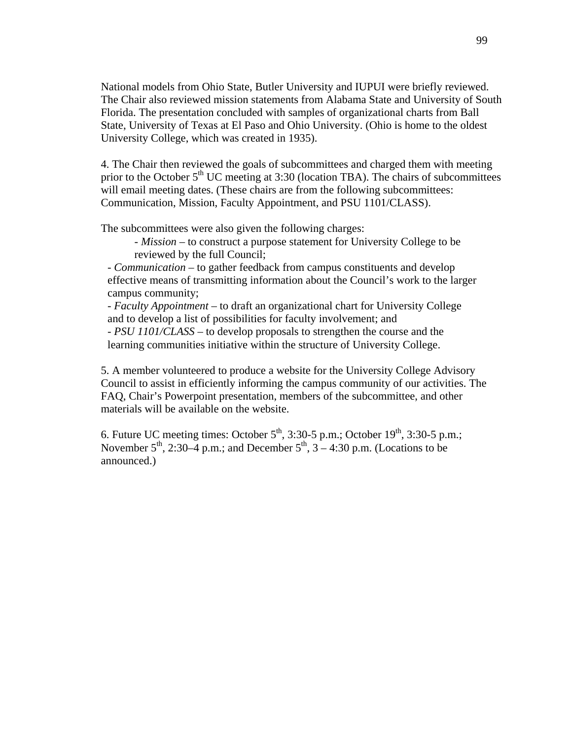National models from Ohio State, Butler University and IUPUI were briefly reviewed. The Chair also reviewed mission statements from Alabama State and University of South Florida. The presentation concluded with samples of organizational charts from Ball State, University of Texas at El Paso and Ohio University. (Ohio is home to the oldest University College, which was created in 1935).

4. The Chair then reviewed the goals of subcommittees and charged them with meeting prior to the October  $5<sup>th</sup>$  UC meeting at 3:30 (location TBA). The chairs of subcommittees will email meeting dates. (These chairs are from the following subcommittees: Communication, Mission, Faculty Appointment, and PSU 1101/CLASS).

The subcommittees were also given the following charges:

- *Mission* – to construct a purpose statement for University College to be reviewed by the full Council;

 - *Communication* – to gather feedback from campus constituents and develop effective means of transmitting information about the Council's work to the larger campus community;

 - *Faculty Appointment* – to draft an organizational chart for University College and to develop a list of possibilities for faculty involvement; and

 - *PSU 1101/CLASS* – to develop proposals to strengthen the course and the learning communities initiative within the structure of University College.

5. A member volunteered to produce a website for the University College Advisory Council to assist in efficiently informing the campus community of our activities. The FAQ, Chair's Powerpoint presentation, members of the subcommittee, and other materials will be available on the website.

6. Future UC meeting times: October  $5^{th}$ , 3:30-5 p.m.; October  $19^{th}$ , 3:30-5 p.m.; November  $5<sup>th</sup>$ , 2:30–4 p.m.; and December  $5<sup>th</sup>$ ,  $3-4:30$  p.m. (Locations to be announced.)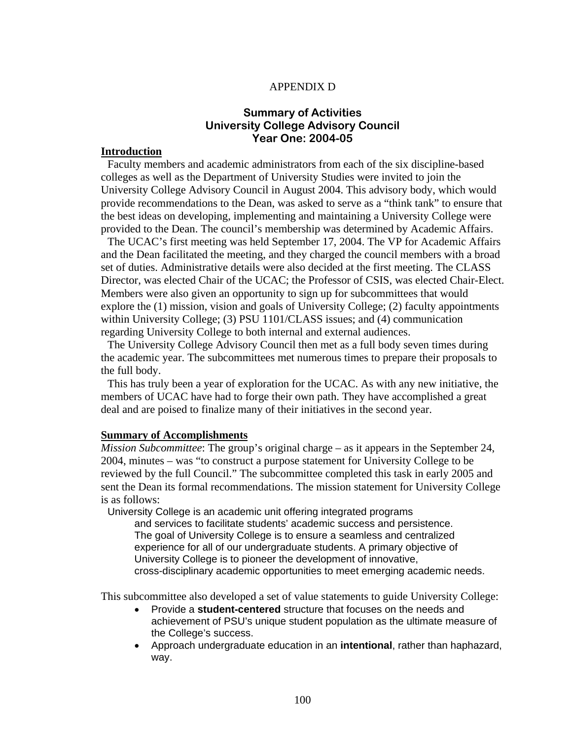#### APPENDIX D

# **Summary of Activities University College Advisory Council Year One: 2004-05**

#### **Introduction**

 Faculty members and academic administrators from each of the six discipline-based colleges as well as the Department of University Studies were invited to join the University College Advisory Council in August 2004. This advisory body, which would provide recommendations to the Dean, was asked to serve as a "think tank" to ensure that the best ideas on developing, implementing and maintaining a University College were provided to the Dean. The council's membership was determined by Academic Affairs.

 The UCAC's first meeting was held September 17, 2004. The VP for Academic Affairs and the Dean facilitated the meeting, and they charged the council members with a broad set of duties. Administrative details were also decided at the first meeting. The CLASS Director, was elected Chair of the UCAC; the Professor of CSIS, was elected Chair-Elect. Members were also given an opportunity to sign up for subcommittees that would explore the (1) mission, vision and goals of University College; (2) faculty appointments within University College; (3) PSU 1101/CLASS issues; and (4) communication regarding University College to both internal and external audiences.

 The University College Advisory Council then met as a full body seven times during the academic year. The subcommittees met numerous times to prepare their proposals to the full body.

 This has truly been a year of exploration for the UCAC. As with any new initiative, the members of UCAC have had to forge their own path. They have accomplished a great deal and are poised to finalize many of their initiatives in the second year.

#### **Summary of Accomplishments**

*Mission Subcommittee*: The group's original charge – as it appears in the September 24, 2004, minutes – was "to construct a purpose statement for University College to be reviewed by the full Council." The subcommittee completed this task in early 2005 and sent the Dean its formal recommendations. The mission statement for University College is as follows:

University College is an academic unit offering integrated programs

and services to facilitate students' academic success and persistence. The goal of University College is to ensure a seamless and centralized experience for all of our undergraduate students. A primary objective of University College is to pioneer the development of innovative, cross-disciplinary academic opportunities to meet emerging academic needs.

This subcommittee also developed a set of value statements to guide University College:

- Provide a **student-centered** structure that focuses on the needs and achievement of PSU's unique student population as the ultimate measure of the College's success.
- Approach undergraduate education in an **intentional**, rather than haphazard, way.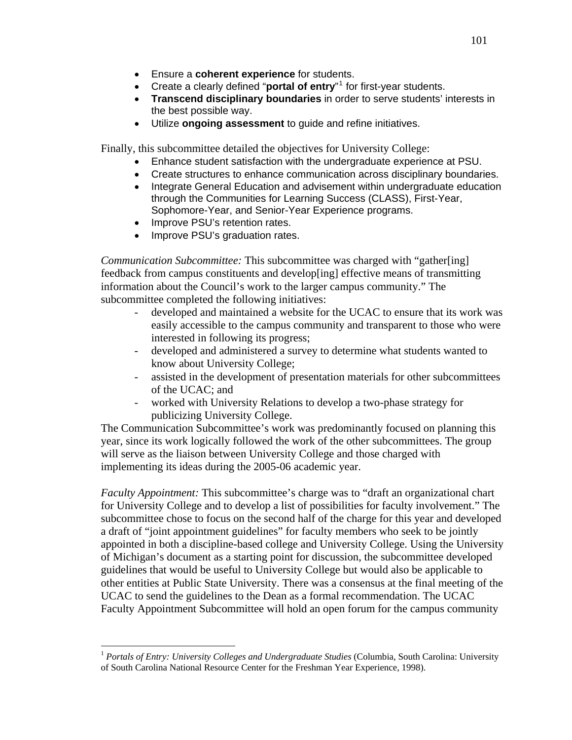- Ensure a **coherent experience** for students.
- Create a clearly defined "**portal of entry**"<sup>[1](#page-113-0)</sup> for first-year students.
- **Transcend disciplinary boundaries** in order to serve students' interests in the best possible way.
- Utilize **ongoing assessment** to guide and refine initiatives.

Finally, this subcommittee detailed the objectives for University College:

- Enhance student satisfaction with the undergraduate experience at PSU.
- Create structures to enhance communication across disciplinary boundaries.
- Integrate General Education and advisement within undergraduate education through the Communities for Learning Success (CLASS), First-Year, Sophomore-Year, and Senior-Year Experience programs.
- Improve PSU's retention rates.

 $\overline{a}$ 

Improve PSU's graduation rates.

*Communication Subcommittee:* This subcommittee was charged with "gather[ing] feedback from campus constituents and develop[ing] effective means of transmitting information about the Council's work to the larger campus community." The subcommittee completed the following initiatives:

- developed and maintained a website for the UCAC to ensure that its work was easily accessible to the campus community and transparent to those who were interested in following its progress;
- developed and administered a survey to determine what students wanted to know about University College;
- assisted in the development of presentation materials for other subcommittees of the UCAC; and
- worked with University Relations to develop a two-phase strategy for publicizing University College.

The Communication Subcommittee's work was predominantly focused on planning this year, since its work logically followed the work of the other subcommittees. The group will serve as the liaison between University College and those charged with implementing its ideas during the 2005-06 academic year.

*Faculty Appointment:* This subcommittee's charge was to "draft an organizational chart for University College and to develop a list of possibilities for faculty involvement." The subcommittee chose to focus on the second half of the charge for this year and developed a draft of "joint appointment guidelines" for faculty members who seek to be jointly appointed in both a discipline-based college and University College. Using the University of Michigan's document as a starting point for discussion, the subcommittee developed guidelines that would be useful to University College but would also be applicable to other entities at Public State University. There was a consensus at the final meeting of the UCAC to send the guidelines to the Dean as a formal recommendation. The UCAC Faculty Appointment Subcommittee will hold an open forum for the campus community

<span id="page-113-0"></span><sup>&</sup>lt;sup>1</sup> Portals of Entry: University Colleges and Undergraduate Studies (Columbia, South Carolina: University of South Carolina National Resource Center for the Freshman Year Experience, 1998).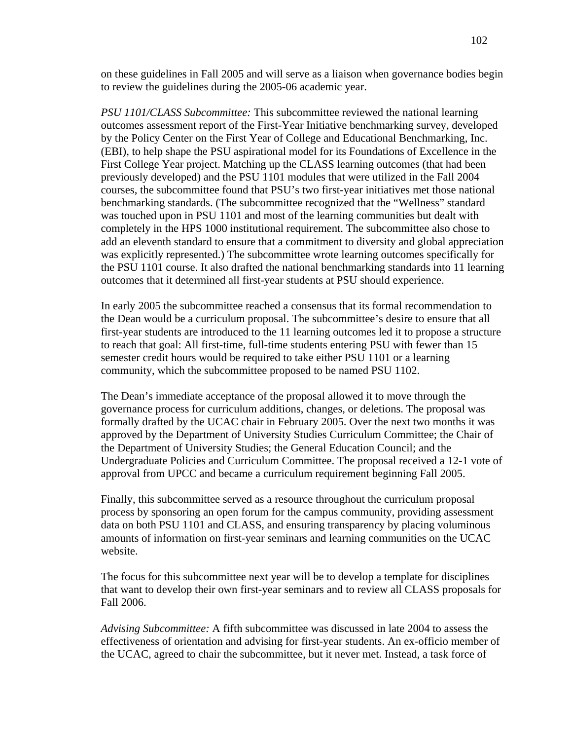on these guidelines in Fall 2005 and will serve as a liaison when governance bodies begin to review the guidelines during the 2005-06 academic year.

*PSU 1101/CLASS Subcommittee:* This subcommittee reviewed the national learning outcomes assessment report of the First-Year Initiative benchmarking survey, developed by the Policy Center on the First Year of College and Educational Benchmarking, Inc. (EBI), to help shape the PSU aspirational model for its Foundations of Excellence in the First College Year project. Matching up the CLASS learning outcomes (that had been previously developed) and the PSU 1101 modules that were utilized in the Fall 2004 courses, the subcommittee found that PSU's two first-year initiatives met those national benchmarking standards. (The subcommittee recognized that the "Wellness" standard was touched upon in PSU 1101 and most of the learning communities but dealt with completely in the HPS 1000 institutional requirement. The subcommittee also chose to add an eleventh standard to ensure that a commitment to diversity and global appreciation was explicitly represented.) The subcommittee wrote learning outcomes specifically for the PSU 1101 course. It also drafted the national benchmarking standards into 11 learning outcomes that it determined all first-year students at PSU should experience.

In early 2005 the subcommittee reached a consensus that its formal recommendation to the Dean would be a curriculum proposal. The subcommittee's desire to ensure that all first-year students are introduced to the 11 learning outcomes led it to propose a structure to reach that goal: All first-time, full-time students entering PSU with fewer than 15 semester credit hours would be required to take either PSU 1101 or a learning community, which the subcommittee proposed to be named PSU 1102.

The Dean's immediate acceptance of the proposal allowed it to move through the governance process for curriculum additions, changes, or deletions. The proposal was formally drafted by the UCAC chair in February 2005. Over the next two months it was approved by the Department of University Studies Curriculum Committee; the Chair of the Department of University Studies; the General Education Council; and the Undergraduate Policies and Curriculum Committee. The proposal received a 12-1 vote of approval from UPCC and became a curriculum requirement beginning Fall 2005.

Finally, this subcommittee served as a resource throughout the curriculum proposal process by sponsoring an open forum for the campus community, providing assessment data on both PSU 1101 and CLASS, and ensuring transparency by placing voluminous amounts of information on first-year seminars and learning communities on the UCAC website.

The focus for this subcommittee next year will be to develop a template for disciplines that want to develop their own first-year seminars and to review all CLASS proposals for Fall 2006.

*Advising Subcommittee:* A fifth subcommittee was discussed in late 2004 to assess the effectiveness of orientation and advising for first-year students. An ex-officio member of the UCAC, agreed to chair the subcommittee, but it never met. Instead, a task force of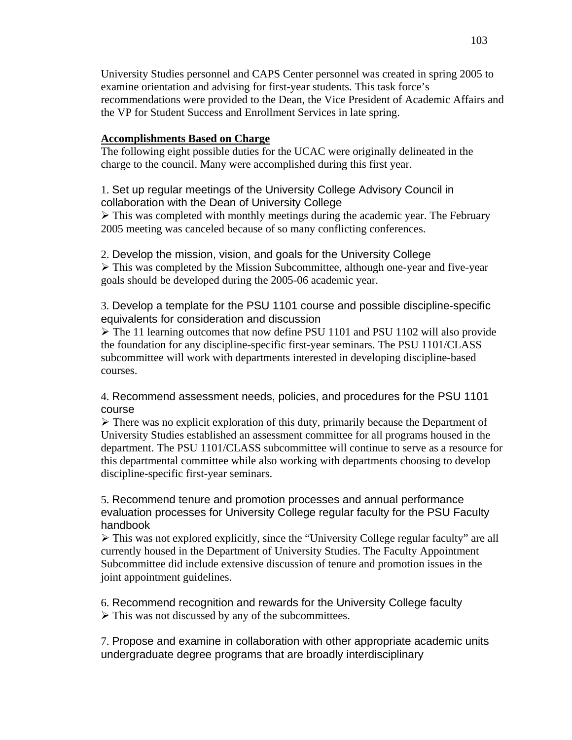University Studies personnel and CAPS Center personnel was created in spring 2005 to examine orientation and advising for first-year students. This task force's recommendations were provided to the Dean, the Vice President of Academic Affairs and the VP for Student Success and Enrollment Services in late spring.

## **Accomplishments Based on Charge**

The following eight possible duties for the UCAC were originally delineated in the charge to the council. Many were accomplished during this first year.

# 1. Set up regular meetings of the University College Advisory Council in collaboration with the Dean of University College

 $\triangleright$  This was completed with monthly meetings during the academic year. The February 2005 meeting was canceled because of so many conflicting conferences.

2. Develop the mission, vision, and goals for the University College

 $\triangleright$  This was completed by the Mission Subcommittee, although one-year and five-year goals should be developed during the 2005-06 academic year.

3. Develop a template for the PSU 1101 course and possible discipline-specific equivalents for consideration and discussion

 $\triangleright$  The 11 learning outcomes that now define PSU 1101 and PSU 1102 will also provide the foundation for any discipline-specific first-year seminars. The PSU 1101/CLASS subcommittee will work with departments interested in developing discipline-based courses.

4. Recommend assessment needs, policies, and procedures for the PSU 1101 course

 $\triangleright$  There was no explicit exploration of this duty, primarily because the Department of University Studies established an assessment committee for all programs housed in the department. The PSU 1101/CLASS subcommittee will continue to serve as a resource for this departmental committee while also working with departments choosing to develop discipline-specific first-year seminars.

5. Recommend tenure and promotion processes and annual performance evaluation processes for University College regular faculty for the PSU Faculty handbook

 $\triangleright$  This was not explored explicitly, since the "University College regular faculty" are all currently housed in the Department of University Studies. The Faculty Appointment Subcommittee did include extensive discussion of tenure and promotion issues in the joint appointment guidelines.

6. Recommend recognition and rewards for the University College faculty

 $\triangleright$  This was not discussed by any of the subcommittees.

7. Propose and examine in collaboration with other appropriate academic units undergraduate degree programs that are broadly interdisciplinary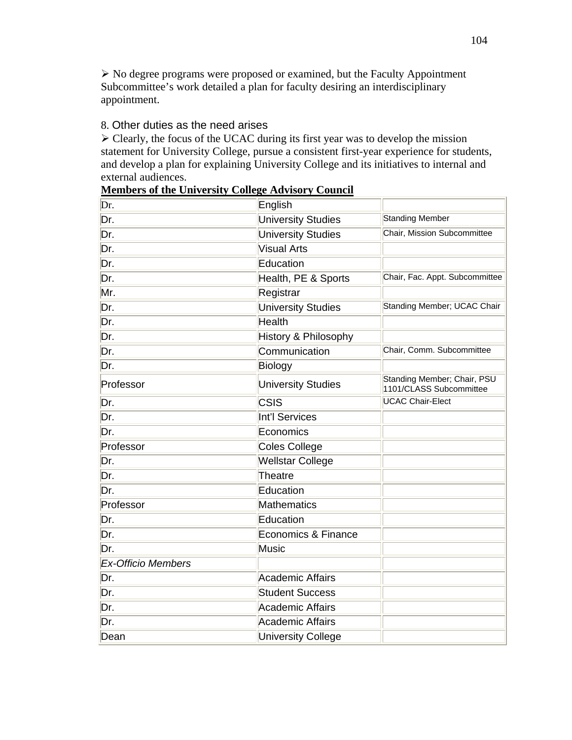¾ No degree programs were proposed or examined, but the Faculty Appointment Subcommittee's work detailed a plan for faculty desiring an interdisciplinary appointment.

# 8. Other duties as the need arises

 $\triangleright$  Clearly, the focus of the UCAC during its first year was to develop the mission statement for University College, pursue a consistent first-year experience for students, and develop a plan for explaining University College and its initiatives to internal and external audiences.

| Dr.                       | English                   |                                                        |
|---------------------------|---------------------------|--------------------------------------------------------|
| Dr.                       | <b>University Studies</b> | <b>Standing Member</b>                                 |
| Dr.                       | <b>University Studies</b> | Chair, Mission Subcommittee                            |
| Dr.                       | Visual Arts               |                                                        |
| Dr.                       | Education                 |                                                        |
| Dr.                       | Health, PE & Sports       | Chair, Fac. Appt. Subcommittee                         |
| Mr.                       | Registrar                 |                                                        |
| Dr.                       | <b>University Studies</b> | Standing Member; UCAC Chair                            |
| Dr.                       | Health                    |                                                        |
| Dr.                       | History & Philosophy      |                                                        |
| Dr.                       | Communication             | Chair, Comm. Subcommittee                              |
| Dr.                       | Biology                   |                                                        |
| Professor                 | <b>University Studies</b> | Standing Member; Chair, PSU<br>1101/CLASS Subcommittee |
| Dr.                       | CSIS                      | <b>UCAC Chair-Elect</b>                                |
| Dr.                       | Int'l Services            |                                                        |
| Dr.                       | Economics                 |                                                        |
| Professor                 | Coles College             |                                                        |
| Dr.                       | <b>Wellstar College</b>   |                                                        |
| Dr.                       | Theatre                   |                                                        |
| Dr.                       | Education                 |                                                        |
| Professor                 | Mathematics               |                                                        |
| Dr.                       | Education                 |                                                        |
| Dr.                       | Economics & Finance       |                                                        |
| Dr.                       | Music                     |                                                        |
| <b>Ex-Officio Members</b> |                           |                                                        |
| Dr.                       | Academic Affairs          |                                                        |
| Dr.                       | <b>Student Success</b>    |                                                        |
| Dr.                       | Academic Affairs          |                                                        |
| Dr.                       | Academic Affairs          |                                                        |
| Dean                      | <b>University College</b> |                                                        |

#### **Members of the University College Advisory Council**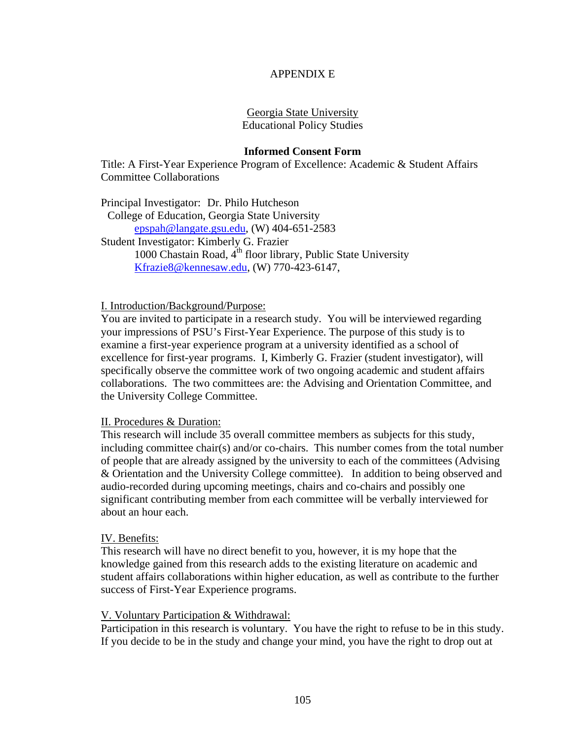## APPENDIX E

#### Georgia State University Educational Policy Studies

#### **Informed Consent Form**

Title: A First-Year Experience Program of Excellence: Academic & Student Affairs Committee Collaborations

Principal Investigator: Dr. Philo Hutcheson College of Education, Georgia State University [epspah@langate.gsu.edu](mailto:epspah@langate.gsu.edu), (W) 404-651-2583 Student Investigator: Kimberly G. Frazier 1000 Chastain Road,  $4<sup>th</sup>$  floor library, Public State University [Kfrazie8@kennesaw.edu,](mailto:Kfrazie8@kennesaw.edu) (W) 770-423-6147,

I. Introduction/Background/Purpose:

You are invited to participate in a research study. You will be interviewed regarding your impressions of PSU's First-Year Experience. The purpose of this study is to examine a first-year experience program at a university identified as a school of excellence for first-year programs. I, Kimberly G. Frazier (student investigator), will specifically observe the committee work of two ongoing academic and student affairs collaborations. The two committees are: the Advising and Orientation Committee, and the University College Committee.

#### II. Procedures & Duration:

This research will include 35 overall committee members as subjects for this study, including committee chair(s) and/or co-chairs. This number comes from the total number of people that are already assigned by the university to each of the committees (Advising & Orientation and the University College committee). In addition to being observed and audio-recorded during upcoming meetings, chairs and co-chairs and possibly one significant contributing member from each committee will be verbally interviewed for about an hour each.

#### IV. Benefits:

This research will have no direct benefit to you, however, it is my hope that the knowledge gained from this research adds to the existing literature on academic and student affairs collaborations within higher education, as well as contribute to the further success of First-Year Experience programs.

#### V. Voluntary Participation & Withdrawal:

Participation in this research is voluntary. You have the right to refuse to be in this study. If you decide to be in the study and change your mind, you have the right to drop out at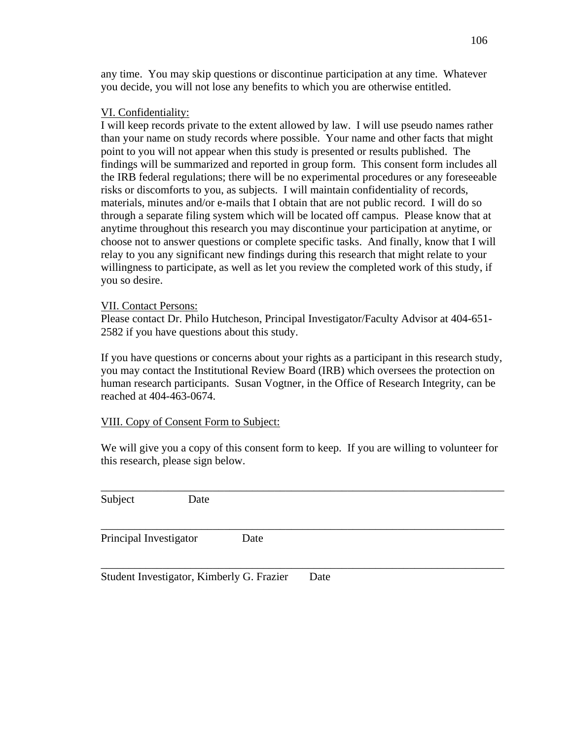any time. You may skip questions or discontinue participation at any time. Whatever you decide, you will not lose any benefits to which you are otherwise entitled.

## VI. Confidentiality:

I will keep records private to the extent allowed by law. I will use pseudo names rather than your name on study records where possible. Your name and other facts that might point to you will not appear when this study is presented or results published. The findings will be summarized and reported in group form. This consent form includes all the IRB federal regulations; there will be no experimental procedures or any foreseeable risks or discomforts to you, as subjects. I will maintain confidentiality of records, materials, minutes and/or e-mails that I obtain that are not public record. I will do so through a separate filing system which will be located off campus. Please know that at anytime throughout this research you may discontinue your participation at anytime, or choose not to answer questions or complete specific tasks. And finally, know that I will relay to you any significant new findings during this research that might relate to your willingness to participate, as well as let you review the completed work of this study, if you so desire.

## VII. Contact Persons:

Please contact Dr. Philo Hutcheson, Principal Investigator/Faculty Advisor at 404-651- 2582 if you have questions about this study.

If you have questions or concerns about your rights as a participant in this research study, you may contact the Institutional Review Board (IRB) which oversees the protection on human research participants. Susan Vogtner, in the Office of Research Integrity, can be reached at 404-463-0674.

# VIII. Copy of Consent Form to Subject:

We will give you a copy of this consent form to keep. If you are willing to volunteer for this research, please sign below.

| Subject                | Date |                                           |      |  |  |
|------------------------|------|-------------------------------------------|------|--|--|
| Principal Investigator |      | Date                                      |      |  |  |
|                        |      | Student Investigator, Kimberly G. Frazier | Date |  |  |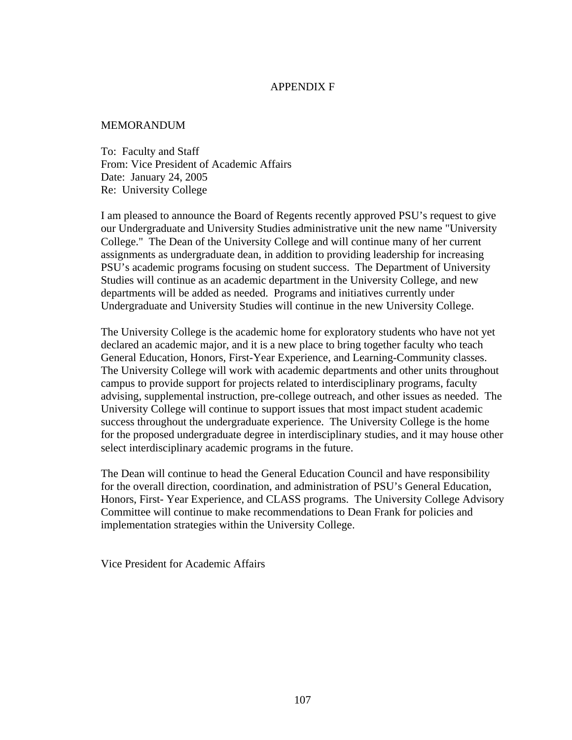#### APPENDIX F

#### **MEMORANDUM**

To: Faculty and Staff From: Vice President of Academic Affairs Date: January 24, 2005 Re: University College

I am pleased to announce the Board of Regents recently approved PSU's request to give our Undergraduate and University Studies administrative unit the new name "University College." The Dean of the University College and will continue many of her current assignments as undergraduate dean, in addition to providing leadership for increasing PSU's academic programs focusing on student success. The Department of University Studies will continue as an academic department in the University College, and new departments will be added as needed. Programs and initiatives currently under Undergraduate and University Studies will continue in the new University College.

The University College is the academic home for exploratory students who have not yet declared an academic major, and it is a new place to bring together faculty who teach General Education, Honors, First-Year Experience, and Learning-Community classes. The University College will work with academic departments and other units throughout campus to provide support for projects related to interdisciplinary programs, faculty advising, supplemental instruction, pre-college outreach, and other issues as needed. The University College will continue to support issues that most impact student academic success throughout the undergraduate experience. The University College is the home for the proposed undergraduate degree in interdisciplinary studies, and it may house other select interdisciplinary academic programs in the future.

The Dean will continue to head the General Education Council and have responsibility for the overall direction, coordination, and administration of PSU's General Education, Honors, First- Year Experience, and CLASS programs. The University College Advisory Committee will continue to make recommendations to Dean Frank for policies and implementation strategies within the University College.

Vice President for Academic Affairs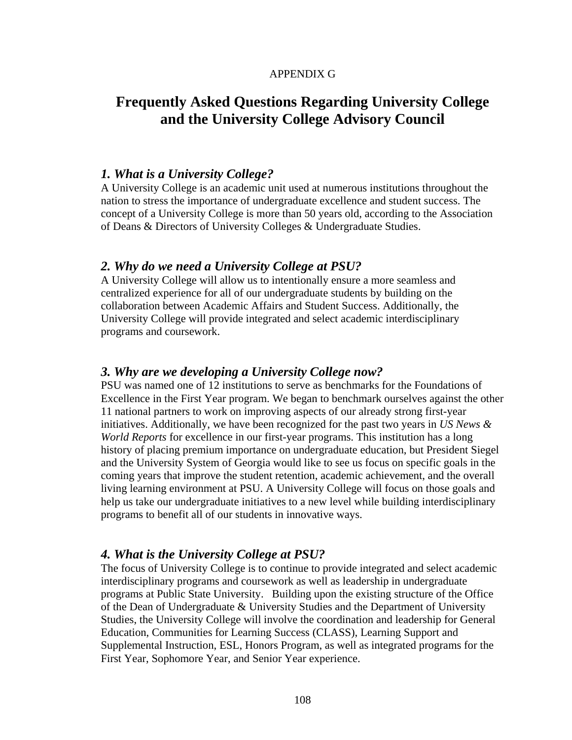## APPENDIX G

# **Frequently Asked Questions Regarding University College and the University College Advisory Council**

## *1. What is a University College?*

A University College is an academic unit used at numerous institutions throughout the nation to stress the importance of undergraduate excellence and student success. The concept of a University College is more than 50 years old, according to the Association of Deans & Directors of University Colleges & Undergraduate Studies.

## *2. Why do we need a University College at PSU?*

A University College will allow us to intentionally ensure a more seamless and centralized experience for all of our undergraduate students by building on the collaboration between Academic Affairs and Student Success. Additionally, the University College will provide integrated and select academic interdisciplinary programs and coursework.

## *3. Why are we developing a University College now?*

PSU was named one of 12 institutions to serve as benchmarks for the Foundations of Excellence in the First Year program. We began to benchmark ourselves against the other 11 national partners to work on improving aspects of our already strong first-year initiatives. Additionally, we have been recognized for the past two years in *US News & World Reports* for excellence in our first-year programs. This institution has a long history of placing premium importance on undergraduate education, but President Siegel and the University System of Georgia would like to see us focus on specific goals in the coming years that improve the student retention, academic achievement, and the overall living learning environment at PSU. A University College will focus on those goals and help us take our undergraduate initiatives to a new level while building interdisciplinary programs to benefit all of our students in innovative ways.

## *4. What is the University College at PSU?*

The focus of University College is to continue to provide integrated and select academic interdisciplinary programs and coursework as well as leadership in undergraduate programs at Public State University. Building upon the existing structure of the Office of the Dean of Undergraduate & University Studies and the Department of University Studies, the University College will involve the coordination and leadership for General Education, Communities for Learning Success (CLASS), Learning Support and Supplemental Instruction, ESL, Honors Program, as well as integrated programs for the First Year, Sophomore Year, and Senior Year experience.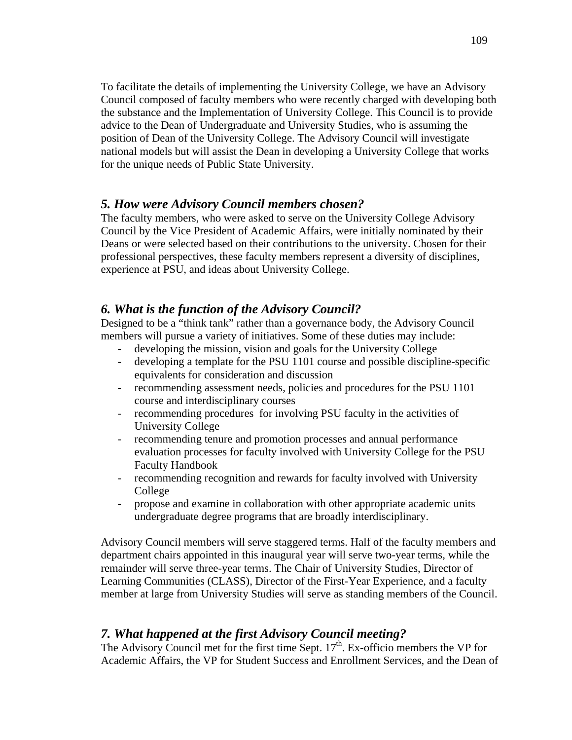To facilitate the details of implementing the University College, we have an Advisory Council composed of faculty members who were recently charged with developing both the substance and the Implementation of University College. This Council is to provide advice to the Dean of Undergraduate and University Studies, who is assuming the position of Dean of the University College. The Advisory Council will investigate national models but will assist the Dean in developing a University College that works for the unique needs of Public State University.

# *5. How were Advisory Council members chosen?*

The faculty members, who were asked to serve on the University College Advisory Council by the Vice President of Academic Affairs, were initially nominated by their Deans or were selected based on their contributions to the university. Chosen for their professional perspectives, these faculty members represent a diversity of disciplines, experience at PSU, and ideas about University College.

# *6. What is the function of the Advisory Council?*

Designed to be a "think tank" rather than a governance body, the Advisory Council members will pursue a variety of initiatives. Some of these duties may include:

- developing the mission, vision and goals for the University College
- developing a template for the PSU 1101 course and possible discipline-specific equivalents for consideration and discussion
- recommending assessment needs, policies and procedures for the PSU 1101 course and interdisciplinary courses
- recommending procedures for involving PSU faculty in the activities of University College
- recommending tenure and promotion processes and annual performance evaluation processes for faculty involved with University College for the PSU Faculty Handbook
- recommending recognition and rewards for faculty involved with University College
- propose and examine in collaboration with other appropriate academic units undergraduate degree programs that are broadly interdisciplinary.

Advisory Council members will serve staggered terms. Half of the faculty members and department chairs appointed in this inaugural year will serve two-year terms, while the remainder will serve three-year terms. The Chair of University Studies, Director of Learning Communities (CLASS), Director of the First-Year Experience, and a faculty member at large from University Studies will serve as standing members of the Council.

# *7. What happened at the first Advisory Council meeting?*

The Advisory Council met for the first time Sept.  $17<sup>th</sup>$ . Ex-officio members the VP for Academic Affairs, the VP for Student Success and Enrollment Services, and the Dean of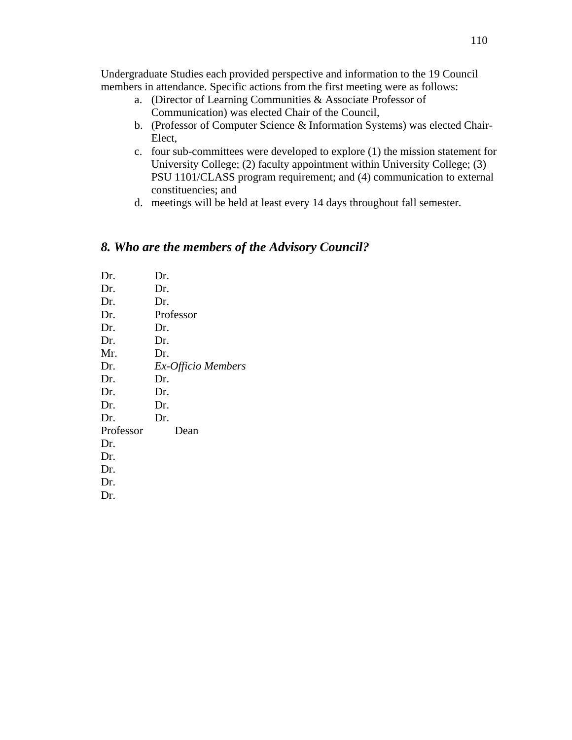Undergraduate Studies each provided perspective and information to the 19 Council members in attendance. Specific actions from the first meeting were as follows:

- a. (Director of Learning Communities & Associate Professor of Communication) was elected Chair of the Council,
- b. (Professor of Computer Science & Information Systems) was elected Chair-Elect,
- c. four sub-committees were developed to explore (1) the mission statement for University College; (2) faculty appointment within University College; (3) PSU 1101/CLASS program requirement; and (4) communication to external constituencies; and
- d. meetings will be held at least every 14 days throughout fall semester.

# *8. Who are the members of the Advisory Council?*

| Dr.       | Dr.                |
|-----------|--------------------|
| Dr.       | Dr.                |
| Dr.       | Dr.                |
| Dr.       | Professor          |
| Dr.       | Dr.                |
| Dr.       | Dr.                |
| Mr.       | Dr.                |
| Dr.       | Ex-Officio Members |
| Dr.       | Dr.                |
| Dr.       | Dr.                |
| Dr.       | Dr.                |
| Dr.       | Dr.                |
| Professor | Dean               |
| Dr.       |                    |
| Dr.       |                    |
| Dr.       |                    |
| Dr.       |                    |
| Dr.       |                    |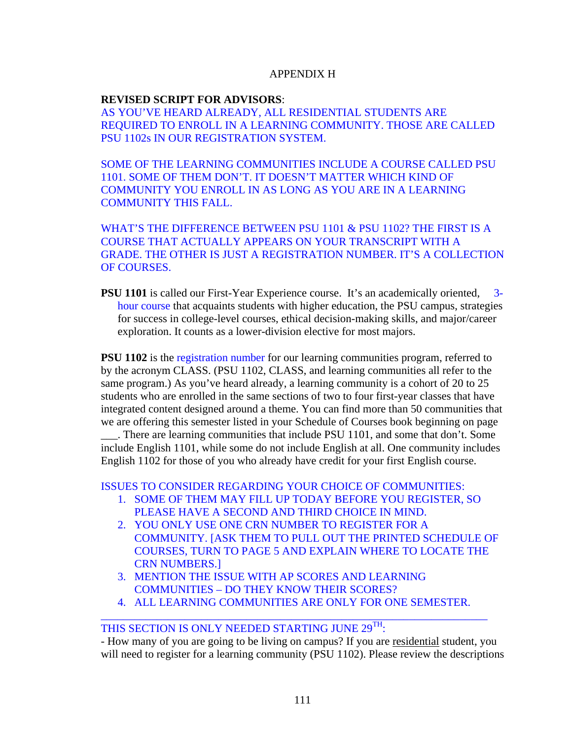## APPENDIX H

## **REVISED SCRIPT FOR ADVISORS**:

AS YOU'VE HEARD ALREADY, ALL RESIDENTIAL STUDENTS ARE REQUIRED TO ENROLL IN A LEARNING COMMUNITY. THOSE ARE CALLED PSU 1102s IN OUR REGISTRATION SYSTEM.

SOME OF THE LEARNING COMMUNITIES INCLUDE A COURSE CALLED PSU 1101. SOME OF THEM DON'T. IT DOESN'T MATTER WHICH KIND OF COMMUNITY YOU ENROLL IN AS LONG AS YOU ARE IN A LEARNING COMMUNITY THIS FALL.

WHAT'S THE DIFFERENCE BETWEEN PSU 1101 & PSU 1102? THE FIRST IS A COURSE THAT ACTUALLY APPEARS ON YOUR TRANSCRIPT WITH A GRADE. THE OTHER IS JUST A REGISTRATION NUMBER. IT'S A COLLECTION OF COURSES.

**PSU 1101** is called our First-Year Experience course. It's an academically oriented, 3hour course that acquaints students with higher education, the PSU campus, strategies for success in college-level courses, ethical decision-making skills, and major/career exploration. It counts as a lower-division elective for most majors.

**PSU 1102** is the registration number for our learning communities program, referred to by the acronym CLASS. (PSU 1102, CLASS, and learning communities all refer to the same program.) As you've heard already, a learning community is a cohort of 20 to 25 students who are enrolled in the same sections of two to four first-year classes that have integrated content designed around a theme. You can find more than 50 communities that we are offering this semester listed in your Schedule of Courses book beginning on page

\_\_\_. There are learning communities that include PSU 1101, and some that don't. Some include English 1101, while some do not include English at all. One community includes English 1102 for those of you who already have credit for your first English course.

ISSUES TO CONSIDER REGARDING YOUR CHOICE OF COMMUNITIES:

- 1. SOME OF THEM MAY FILL UP TODAY BEFORE YOU REGISTER, SO PLEASE HAVE A SECOND AND THIRD CHOICE IN MIND.
- 2. YOU ONLY USE ONE CRN NUMBER TO REGISTER FOR A COMMUNITY. [ASK THEM TO PULL OUT THE PRINTED SCHEDULE OF COURSES, TURN TO PAGE 5 AND EXPLAIN WHERE TO LOCATE THE CRN NUMBERS.]
- 3. MENTION THE ISSUE WITH AP SCORES AND LEARNING COMMUNITIES – DO THEY KNOW THEIR SCORES?
- 4. ALL LEARNING COMMUNITIES ARE ONLY FOR ONE SEMESTER. \_\_\_\_\_\_\_\_\_\_\_\_\_\_\_\_\_\_\_\_\_\_\_\_\_\_\_\_\_\_\_\_\_\_\_\_\_\_\_\_\_\_\_\_\_\_\_\_\_\_\_\_\_\_\_\_\_\_\_\_\_\_\_\_\_\_\_\_\_

# THIS SECTION IS ONLY NEEDED STARTING JUNE  $29^{TH}$ :

- How many of you are going to be living on campus? If you are residential student, you will need to register for a learning community (PSU 1102). Please review the descriptions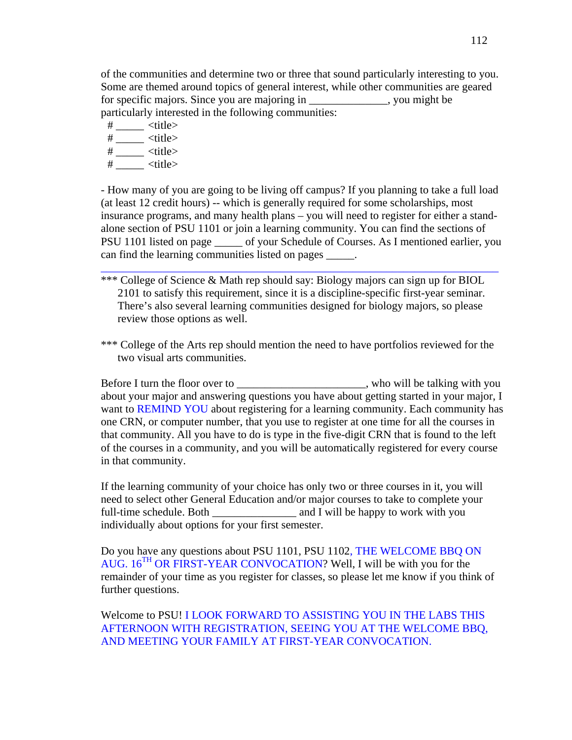of the communities and determine two or three that sound particularly interesting to you. Some are themed around topics of general interest, while other communities are geared for specific majors. Since you are majoring in \_\_\_\_\_\_\_\_\_\_\_\_\_\_, you might be particularly interested in the following communities:

 $\#$  \_\_\_\_\_ <title>

- $\#$  \_\_\_\_\_ <title>
- $\#$  \_\_\_\_\_ <title>
- # \_\_\_\_\_ <title>

- How many of you are going to be living off campus? If you planning to take a full load (at least 12 credit hours) -- which is generally required for some scholarships, most insurance programs, and many health plans – you will need to register for either a standalone section of PSU 1101 or join a learning community. You can find the sections of PSU 1101 listed on page \_\_\_\_\_ of your Schedule of Courses. As I mentioned earlier, you can find the learning communities listed on pages \_\_\_\_\_.

\_\_\_\_\_\_\_\_\_\_\_\_\_\_\_\_\_\_\_\_\_\_\_\_\_\_\_\_\_\_\_\_\_\_\_\_\_\_\_\_\_\_\_\_\_\_\_\_\_\_\_\_\_\_\_\_\_\_\_\_\_\_\_\_\_\_\_\_\_\_\_

\*\*\* College of Science & Math rep should say: Biology majors can sign up for BIOL 2101 to satisfy this requirement, since it is a discipline-specific first-year seminar. There's also several learning communities designed for biology majors, so please review those options as well.

\*\*\* College of the Arts rep should mention the need to have portfolios reviewed for the two visual arts communities.

Before I turn the floor over to \_\_\_\_\_\_\_\_\_\_\_\_\_\_\_\_\_\_\_\_\_\_, who will be talking with you about your major and answering questions you have about getting started in your major, I want to REMIND YOU about registering for a learning community. Each community has one CRN, or computer number, that you use to register at one time for all the courses in that community. All you have to do is type in the five-digit CRN that is found to the left of the courses in a community, and you will be automatically registered for every course in that community.

If the learning community of your choice has only two or three courses in it, you will need to select other General Education and/or major courses to take to complete your full-time schedule. Both \_\_\_\_\_\_\_\_\_\_\_\_\_\_\_\_\_\_\_\_\_\_ and I will be happy to work with you individually about options for your first semester.

Do you have any questions about PSU 1101, PSU 1102, THE WELCOME BBQ ON AUG.  $16^{TH}$  OR FIRST-YEAR CONVOCATION? Well, I will be with you for the remainder of your time as you register for classes, so please let me know if you think of further questions.

Welcome to PSU! I LOOK FORWARD TO ASSISTING YOU IN THE LABS THIS AFTERNOON WITH REGISTRATION, SEEING YOU AT THE WELCOME BBQ, AND MEETING YOUR FAMILY AT FIRST-YEAR CONVOCATION.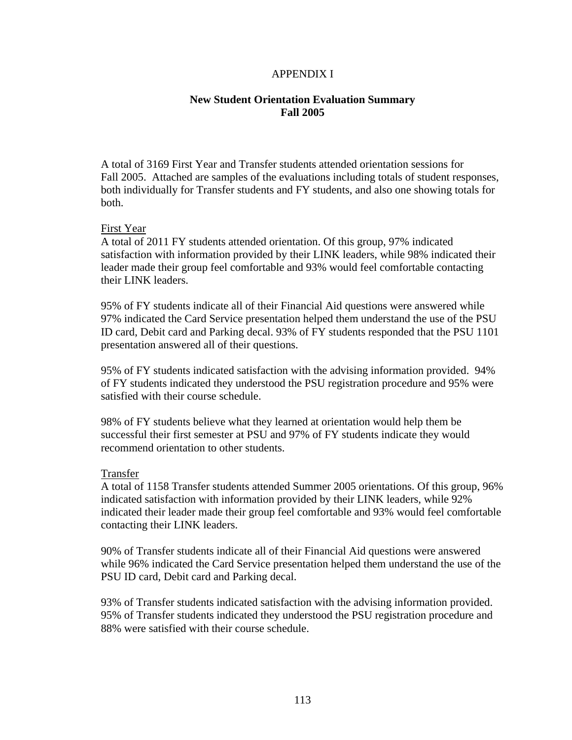#### APPENDIX I

#### **New Student Orientation Evaluation Summary Fall 2005**

A total of 3169 First Year and Transfer students attended orientation sessions for Fall 2005. Attached are samples of the evaluations including totals of student responses, both individually for Transfer students and FY students, and also one showing totals for both.

#### First Year

A total of 2011 FY students attended orientation. Of this group, 97% indicated satisfaction with information provided by their LINK leaders, while 98% indicated their leader made their group feel comfortable and 93% would feel comfortable contacting their LINK leaders.

95% of FY students indicate all of their Financial Aid questions were answered while 97% indicated the Card Service presentation helped them understand the use of the PSU ID card, Debit card and Parking decal. 93% of FY students responded that the PSU 1101 presentation answered all of their questions.

95% of FY students indicated satisfaction with the advising information provided. 94% of FY students indicated they understood the PSU registration procedure and 95% were satisfied with their course schedule.

98% of FY students believe what they learned at orientation would help them be successful their first semester at PSU and 97% of FY students indicate they would recommend orientation to other students.

#### Transfer

A total of 1158 Transfer students attended Summer 2005 orientations. Of this group, 96% indicated satisfaction with information provided by their LINK leaders, while 92% indicated their leader made their group feel comfortable and 93% would feel comfortable contacting their LINK leaders.

90% of Transfer students indicate all of their Financial Aid questions were answered while 96% indicated the Card Service presentation helped them understand the use of the PSU ID card, Debit card and Parking decal.

93% of Transfer students indicated satisfaction with the advising information provided. 95% of Transfer students indicated they understood the PSU registration procedure and 88% were satisfied with their course schedule.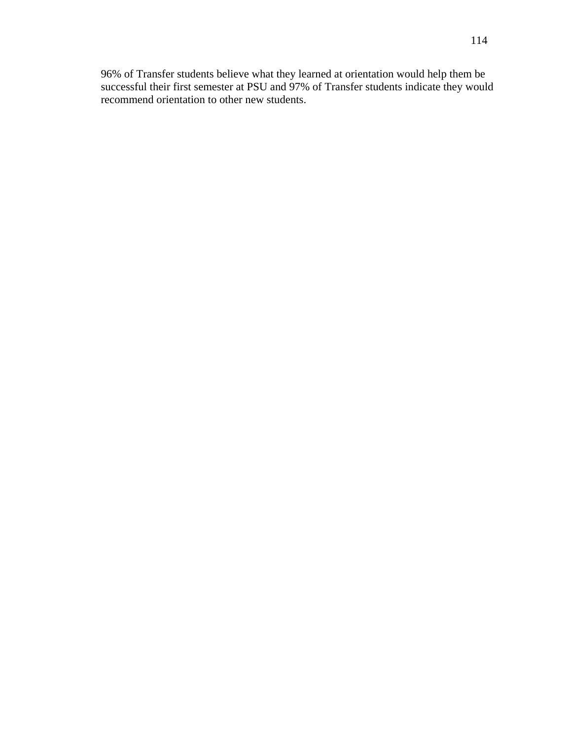96% of Transfer students believe what they learned at orientation would help them be successful their first semester at PSU and 97% of Transfer students indicate they would recommend orientation to other new students.